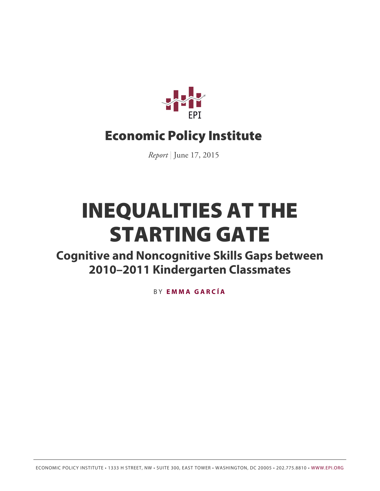

# Economic Policy Institute

*Report* | June 17, 2015

# INEQUALITIES AT THE STARTING GATE

**Cognitive and Noncognitive Skills Gaps between 2010–2011 Kindergarten Classmates**

B Y **[EMMA GARCÍA](http://www.epi.org/people/emma-garcia/)**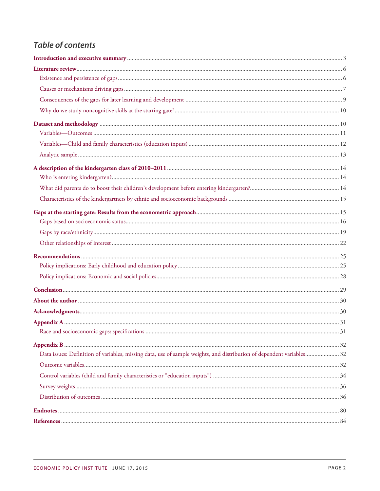# **Table of contents**

| Data issues: Definition of variables, missing data, use of sample weights, and distribution of dependent variables 32 |  |
|-----------------------------------------------------------------------------------------------------------------------|--|
|                                                                                                                       |  |
|                                                                                                                       |  |
|                                                                                                                       |  |
|                                                                                                                       |  |
|                                                                                                                       |  |
|                                                                                                                       |  |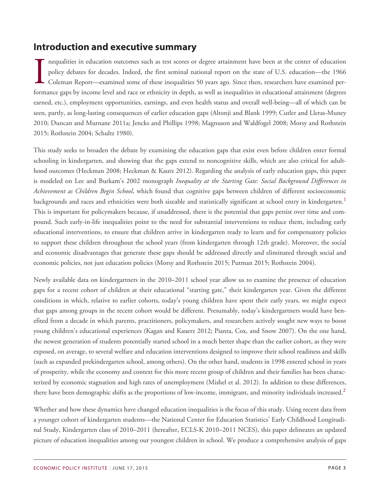# <span id="page-2-0"></span>**Introduction and executive summary**

nequalities in education outcomes such as test scores or degree attainment have been at the center of education<br>policy debates for decades. Indeed, the first seminal national report on the state of U.S. education—the 1966<br> nequalities in education outcomes such as test scores or degree attainment have been at the center of education policy debates for decades. Indeed, the first seminal national report on the state of U.S. education—the 1966 Coleman Report—examined some of these inequalities 50 years ago. Since then, researchers have examined perearned, etc.), employment opportunities, earnings, and even health status and overall well-being—all of which can be seen, partly, as long-lasting consequences of earlier education gaps (Altonji and Blank 1999; Cutler and Lleras-Muney 2010; Duncan and Murnane 2011a; Jencks and Phillips 1998; Magnuson and Waldfogel 2008; Morsy and Rothstein 2015; Rothstein 2004; Schultz 1980).

This study seeks to broaden the debate by examining the education gaps that exist even before children enter formal schooling in kindergarten, and showing that the gaps extend to noncognitive skills, which are also critical for adulthood outcomes (Heckman 2008; Heckman & Kautz 2012). Regarding the analysis of early education gaps, this paper is modeled on Lee and Burkam's 2002 monograph *Inequality at the Starting Gate: Social Background Differences in Achievement as Children Begin School*, which found that cognitive gaps between children of different socioeconomic backgrounds and races and ethnicities were both sizeable and statistically significant at school entry in kindergarten.<sup>[1](#page-79-1)</sup> This is important for policymakers because, if unaddressed, there is the potential that gaps persist over time and compound. Such early-in-life inequalities point to the need for substantial interventions to reduce them, including early educational interventions, to ensure that children arrive in kindergarten ready to learn and for compensatory policies to support these children throughout the school years (from kindergarten through 12th grade). Moreover, the social and economic disadvantages that generate these gaps should be addressed directly and eliminated through social and economic policies, not just education policies (Morsy and Rothstein 2015; Putman 2015; Rothstein 2004).

Newly available data on kindergartners in the 2010–2011 school year allow us to examine the presence of education gaps for a recent cohort of children at their educational "starting gate," their kindergarten year. Given the different conditions in which, relative to earlier cohorts, today's young children have spent their early years, we might expect that gaps among groups in the recent cohort would be different. Presumably, today's kindergartners would have benefited from a decade in which parents, practitioners, policymakers, and researchers actively sought new ways to boost young children's educational experiences (Kagan and Kauerz 2012; Pianta, Cox, and Snow 2007). On the one hand, the newest generation of students potentially started school in a much better shape than the earlier cohort, as they were exposed, on average, to several welfare and education interventions designed to improve their school readiness and skills (such as expanded prekindergarten school, among others). On the other hand, students in 1998 entered school in years of prosperity, while the economy and context for this more recent group of children and their families has been characterized by economic stagnation and high rates of unemployment (Mishel et al. 2012). In addition to these differences, there have been demographic shifts as the proportions of low-income, immigrant, and minority individuals increased.<sup>[2](#page-79-2)</sup>

Whether and how these dynamics have changed education inequalities is the focus of this study. Using recent data from a younger cohort of kindergarten students—the National Center for Education Statistics' Early Childhood Longitudinal Study, Kindergarten class of 2010–2011 (hereafter, ECLS-K 2010–2011 NCES), this paper delineates an updated picture of education inequalities among our youngest children in school. We produce a comprehensive analysis of gaps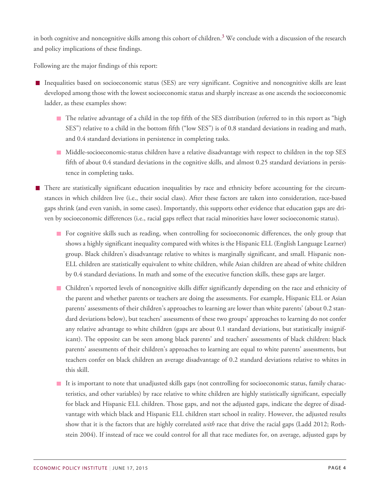in both cognitive and noncognitive skills among this cohort of children.<sup>[3](#page-79-3)</sup> We conclude with a discussion of the research and policy implications of these findings.

Following are the major findings of this report:

- Inequalities based on socioeconomic status (SES) are very significant. Cognitive and noncognitive skills are least developed among those with the lowest socioeconomic status and sharply increase as one ascends the socioeconomic ladder, as these examples show:
	- The relative advantage of a child in the top fifth of the SES distribution (referred to in this report as "high SES") relative to a child in the bottom fifth ("low SES") is of 0.8 standard deviations in reading and math, and 0.4 standard deviations in persistence in completing tasks.
	- Middle-socioeconomic-status children have a relative disadvantage with respect to children in the top SES fifth of about 0.4 standard deviations in the cognitive skills, and almost 0.25 standard deviations in persistence in completing tasks.
- There are statistically significant education inequalities by race and ethnicity before accounting for the circumstances in which children live (i.e., their social class). After these factors are taken into consideration, race-based gaps shrink (and even vanish, in some cases). Importantly, this supports other evidence that education gaps are driven by socioeconomic differences (i.e., racial gaps reflect that racial minorities have lower socioeconomic status).
	- **For cognitive skills such as reading, when controlling for socioeconomic differences, the only group that** shows a highly significant inequality compared with whites is the Hispanic ELL (English Language Learner) group. Black children's disadvantage relative to whites is marginally significant, and small. Hispanic non-ELL children are statistically equivalent to white children, while Asian children are ahead of white children by 0.4 standard deviations. In math and some of the executive function skills, these gaps are larger.
	- Children's reported levels of noncognitive skills differ significantly depending on the race and ethnicity of the parent and whether parents or teachers are doing the assessments. For example, Hispanic ELL or Asian parents' assessments of their children's approaches to learning are lower than white parents' (about 0.2 standard deviations below), but teachers' assessments of these two groups' approaches to learning do not confer any relative advantage to white children (gaps are about 0.1 standard deviations, but statistically insignificant). The opposite can be seen among black parents' and teachers' assessments of black children: black parents' assessments of their children's approaches to learning are equal to white parents' assessments, but teachers confer on black children an average disadvantage of 0.2 standard deviations relative to whites in this skill.
	- It is important to note that unadjusted skills gaps (not controlling for socioeconomic status, family characteristics, and other variables) by race relative to white children are highly statistically significant, especially for black and Hispanic ELL children. Those gaps, and not the adjusted gaps, indicate the degree of disadvantage with which black and Hispanic ELL children start school in reality. However, the adjusted results show that it is the factors that are highly correlated *with* race that drive the racial gaps (Ladd 2012; Rothstein 2004). If instead of race we could control for all that race mediates for, on average, adjusted gaps by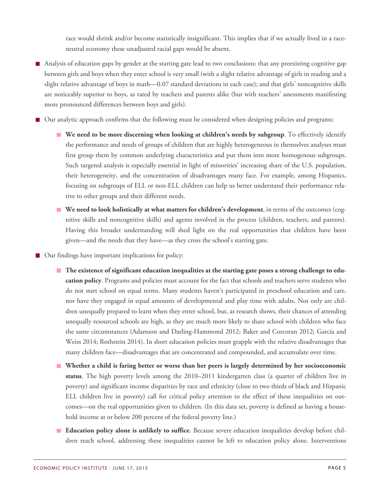race would shrink and/or become statistically insignificant. This implies that if we actually lived in a raceneutral economy these unadjusted racial gaps would be absent.

- Analysis of education gaps by gender at the starting gate lead to two conclusions: that any preexisting cognitive gap between girls and boys when they enter school is very small (with a slight relative advantage of girls in reading and a slight relative advantage of boys in math—0.07 standard deviations in each case); and that girls' noncognitive skills are noticeably superior to boys, as rated by teachers and parents alike (but with teachers' assessments manifesting more pronounced differences between boys and girls).
- Our analytic approach confirms that the following must be considered when designing policies and programs:
	- **We need to be more discerning when looking at children's needs by subgroup**. To effectively identify the performance and needs of groups of children that are highly heterogeneous in themselves analyses must first group them by common underlying characteristics and put them into more homogenous subgroups. Such targeted analysis is especially essential in light of minorities' increasing share of the U.S. population, their heterogeneity, and the concentration of disadvantages many face. For example, among Hispanics, focusing on subgroups of ELL or non-ELL children can help us better understand their performance relative to other groups and their different needs.
	- **We need to look holistically at what matters for children's development**, in terms of the outcomes (cognitive skills and noncognitive skills) and agents involved in the process (children, teachers, and parents). Having this broader understanding will shed light on the real opportunities that children have been given—and the needs that they have—as they cross the school's starting gate.

■ Our findings have important implications for policy:

- **The existence of significant education inequalities at the starting gate poses a strong challenge to education policy**. Programs and policies must account for the fact that schools and teachers serve students who do not start school on equal terms. Many students haven't participated in preschool education and care, nor have they engaged in equal amounts of developmental and play time with adults. Not only are children unequally prepared to learn when they enter school, but, as research shows, their chances of attending unequally resourced schools are high, as they are much more likely to share school with children who face the same circumstances (Adamson and Darling-Hammond 2012; Baker and Corcoran 2012; García and Weiss 2014; Rothstein 2014). In short education policies must grapple with the relative disadvantages that many children face—disadvantages that are concentrated and compounded, and accumulate over time.
- **Whether a child is faring better or worse than her peers is largely determined by her socioeconomic status**. The high poverty levels among the 2010–2011 kindergarten class (a quarter of children live in poverty) and significant income disparities by race and ethnicity (close to two thirds of black and Hispanic ELL children live in poverty) call for critical policy attention to the effect of these inequalities on outcomes—on the real opportunities given to children. (In this data set, poverty is defined as having a household income at or below 200 percent of the federal poverty line.)
- **Education policy alone is unlikely to suffice**. Because severe education inequalities develop before children reach school, addressing these inequalities cannot be left to education policy alone. Interventions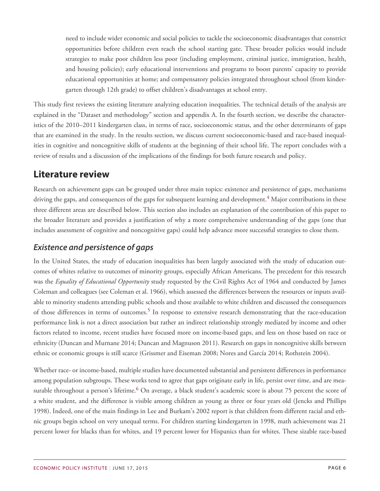need to include wider economic and social policies to tackle the socioeconomic disadvantages that constrict opportunities before children even reach the school starting gate. These broader policies would include strategies to make poor children less poor (including employment, criminal justice, immigration, health, and housing policies); early educational interventions and programs to boost parents' capacity to provide educational opportunities at home; and compensatory policies integrated throughout school (from kindergarten through 12th grade) to offset children's disadvantages at school entry.

This study first reviews the existing literature analyzing education inequalities. The technical details of the analysis are explained in the "Dataset and methodology" section and appendix A. In the fourth section, we describe the characteristics of the 2010–2011 kindergarten class, in terms of race, socioeconomic status, and the other determinants of gaps that are examined in the study. In the results section, we discuss current socioeconomic-based and race-based inequalities in cognitive and noncognitive skills of students at the beginning of their school life. The report concludes with a review of results and a discussion of the implications of the findings for both future research and policy.

# <span id="page-5-0"></span>**Literature review**

Research on achievement gaps can be grouped under three main topics: existence and persistence of gaps, mechanisms driving the gaps, and consequences of the gaps for subsequent learning and development.<sup>[4](#page-79-4)</sup> Major contributions in these three different areas are described below. This section also includes an explanation of the contribution of this paper to the broader literature and provides a justification of why a more comprehensive understanding of the gaps (one that includes assessment of cognitive and noncognitive gaps) could help advance more successful strategies to close them.

# <span id="page-5-1"></span>*Existence and persistence of gaps*

In the United States, the study of education inequalities has been largely associated with the study of education outcomes of whites relative to outcomes of minority groups, especially African Americans. The precedent for this research was the *Equality of Educational Opportunity* study requested by the Civil Rights Act of 1964 and conducted by James Coleman and colleagues (see Coleman et al. 1966), which assessed the differences between the resources or inputs available to minority students attending public schools and those available to white children and discussed the consequences of those differences in terms of outcomes.<sup>[5](#page-79-5)</sup> In response to extensive research demonstrating that the race-education performance link is not a direct association but rather an indirect relationship strongly mediated by income and other factors related to income, recent studies have focused more on income-based gaps, and less on those based on race or ethnicity (Duncan and Murnane 2014; Duncan and Magnuson 2011). Research on gaps in noncognitive skills between ethnic or economic groups is still scarce (Grissmer and Eiseman 2008; Nores and García 2014; Rothstein 2004).

Whether race- or income-based, multiple studies have documented substantial and persistent differences in performance among population subgroups. These works tend to agree that gaps originate early in life, persist over time, and are mea-surable throughout a person's lifetime.<sup>[6](#page-79-6)</sup> On average, a black student's academic score is about 75 percent the score of a white student, and the difference is visible among children as young as three or four years old (Jencks and Phillips 1998). Indeed, one of the main findings in Lee and Burkam's 2002 report is that children from different racial and ethnic groups begin school on very unequal terms. For children starting kindergarten in 1998, math achievement was 21 percent lower for blacks than for whites, and 19 percent lower for Hispanics than for whites. These sizable race-based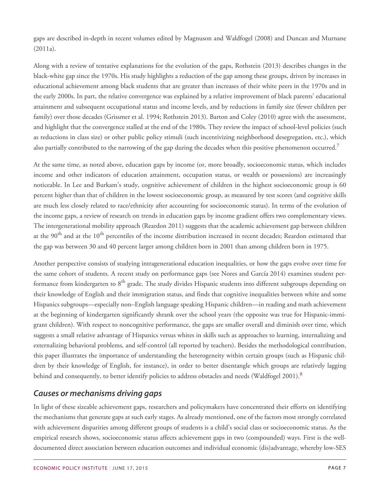gaps are described in-depth in recent volumes edited by Magnuson and Waldfogel (2008) and Duncan and Murnane (2011a).

Along with a review of tentative explanations for the evolution of the gaps, Rothstein (2013) describes changes in the black-white gap since the 1970s. His study highlights a reduction of the gap among these groups, driven by increases in educational achievement among black students that are greater than increases of their white peers in the 1970s and in the early 2000s. In part, the relative convergence was explained by a relative improvement of black parents' educational attainment and subsequent occupational status and income levels, and by reductions in family size (fewer children per family) over those decades (Grissmer et al. 1994; Rothstein 2013). Barton and Coley (2010) agree with the assessment, and highlight that the convergence stalled at the end of the 1980s. They review the impact of school-level policies (such as reductions in class size) or other public policy stimuli (such incentivizing neighborhood desegregation, etc.), which also partially contributed to the narrowing of the gap during the decades when this positive phenomenon occurred.<sup>[7](#page-79-7)</sup>

At the same time, as noted above, education gaps by income (or, more broadly, socioeconomic status, which includes income and other indicators of education attainment, occupation status, or wealth or possessions) are increasingly noticeable. In Lee and Burkam's study, cognitive achievement of children in the highest socioeconomic group is 60 percent higher than that of children in the lowest socioeconomic group, as measured by test scores (and cognitive skills are much less closely related to race/ethnicity after accounting for socioeconomic status). In terms of the evolution of the income gaps, a review of research on trends in education gaps by income gradient offers two complementary views. The intergenerational mobility approach (Reardon 2011) suggests that the academic achievement gap between children at the  $90<sup>th</sup>$  and at the  $10<sup>th</sup>$  percentiles of the income distribution increased in recent decades; Reardon estimated that the gap was between 30 and 40 percent larger among children born in 2001 than among children born in 1975.

Another perspective consists of studying intragenerational education inequalities, or how the gaps evolve over time for the same cohort of students. A recent study on performance gaps (see Nores and García 2014) examines student performance from kindergarten to 8<sup>th</sup> grade. The study divides Hispanic students into different subgroups depending on their knowledge of English and their immigration status, and finds that cognitive inequalities between white and some Hispanics subgroups—especially non–English language speaking Hispanic children—in reading and math achievement at the beginning of kindergarten significantly shrank over the school years (the opposite was true for Hispanic-immigrant children). With respect to noncognitive performance, the gaps are smaller overall and diminish over time, which suggests a small relative advantage of Hispanics versus whites in skills such as approaches to learning, internalizing and externalizing behavioral problems, and self-control (all reported by teachers). Besides the methodological contribution, this paper illustrates the importance of understanding the heterogeneity within certain groups (such as Hispanic children by their knowledge of English, for instance), in order to better disentangle which groups are relatively lagging behind and consequently, to better identify policies to address obstacles and needs (Waldfogel 2001).<sup>[8](#page-79-8)</sup>

### <span id="page-6-0"></span>*Causes or mechanisms driving gaps*

In light of these sizeable achievement gaps, researchers and policymakers have concentrated their efforts on identifying the mechanisms that generate gaps at such early stages. As already mentioned, one of the factors most strongly correlated with achievement disparities among different groups of students is a child's social class or socioeconomic status. As the empirical research shows, socioeconomic status affects achievement gaps in two (compounded) ways. First is the welldocumented direct association between education outcomes and individual economic (dis)advantage, whereby low-SES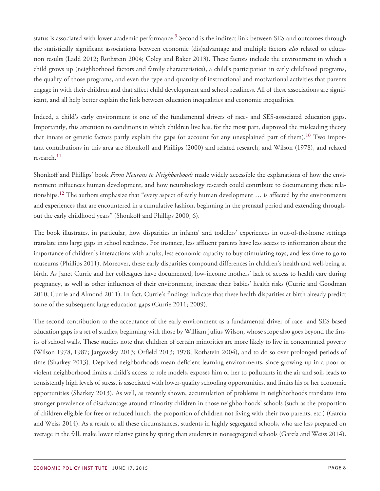status is associated with lower academic performance.<sup>[9](#page-79-9)</sup> Second is the indirect link between SES and outcomes through the statistically significant associations between economic (dis)advantage and multiple factors *also* related to education results (Ladd 2012; Rothstein 2004; Coley and Baker 2013). These factors include the environment in which a child grows up (neighborhood factors and family characteristics), a child's participation in early childhood programs, the quality of those programs, and even the type and quantity of instructional and motivational activities that parents engage in with their children and that affect child development and school readiness. All of these associations are significant, and all help better explain the link between education inequalities and economic inequalities.

Indeed, a child's early environment is one of the fundamental drivers of race- and SES-associated education gaps. Importantly, this attention to conditions in which children live has, for the most part, disproved the misleading theory that innate or genetic factors partly explain the gaps (or account for any unexplained part of them).<sup>[10](#page-79-10)</sup> Two important contributions in this area are Shonkoff and Phillips (2000) and related research, and Wilson (1978), and related research.<sup>[11](#page-79-11)</sup>

Shonkoff and Phillips' book *From Neurons to Neighborhoods* made widely accessible the explanations of how the environment influences human development, and how neurobiology research could contribute to documenting these rela-tionships.<sup>[12](#page-80-0)</sup> The authors emphasize that "every aspect of early human development  $\ldots$  is affected by the environments and experiences that are encountered in a cumulative fashion, beginning in the prenatal period and extending throughout the early childhood years" (Shonkoff and Phillips 2000, 6).

The book illustrates, in particular, how disparities in infants' and toddlers' experiences in out-of-the-home settings translate into large gaps in school readiness. For instance, less affluent parents have less access to information about the importance of children's interactions with adults, less economic capacity to buy stimulating toys, and less time to go to museums (Phillips 2011). Moreover, these early disparities compound differences in children's health and well-being at birth. As Janet Currie and her colleagues have documented, low-income mothers' lack of access to health care during pregnancy, as well as other influences of their environment, increase their babies' health risks (Currie and Goodman 2010; Currie and Almond 2011). In fact, Currie's findings indicate that these health disparities at birth already predict some of the subsequent large education gaps (Currie 2011; 2009).

The second contribution to the acceptance of the early environment as a fundamental driver of race- and SES-based education gaps is a set of studies, beginning with those by William Julius Wilson, whose scope also goes beyond the limits of school walls. These studies note that children of certain minorities are more likely to live in concentrated poverty (Wilson 1978, 1987; Jargowsky 2013; Orfield 2013; 1978; Rothstein 2004), and to do so over prolonged periods of time (Sharkey 2013). Deprived neighborhoods mean deficient learning environments, since growing up in a poor or violent neighborhood limits a child's access to role models, exposes him or her to pollutants in the air and soil, leads to consistently high levels of stress, is associated with lower-quality schooling opportunities, and limits his or her economic opportunities (Sharkey 2013). As well, as recently shown, accumulation of problems in neighborhoods translates into stronger prevalence of disadvantage around minority children in those neighborhoods' schools (such as the proportion of children eligible for free or reduced lunch, the proportion of children not living with their two parents, etc.) (García and Weiss 2014). As a result of all these circumstances, students in highly segregated schools, who are less prepared on average in the fall, make lower relative gains by spring than students in nonsegregated schools (García and Weiss 2014).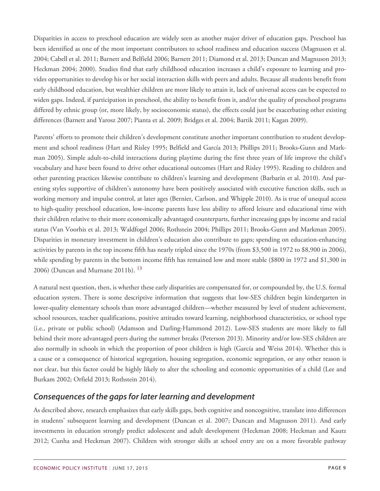Disparities in access to preschool education are widely seen as another major driver of education gaps. Preschool has been identified as one of the most important contributors to school readiness and education success (Magnuson et al. 2004; Cabell et al. 2011; Barnett and Belfield 2006; Barnett 2011; Diamond et al. 2013; Duncan and Magnuson 2013; Heckman 2004; 2000). Studies find that early childhood education increases a child's exposure to learning and provides opportunities to develop his or her social interaction skills with peers and adults. Because all students benefit from early childhood education, but wealthier children are more likely to attain it, lack of universal access can be expected to widen gaps. Indeed, if participation in preschool, the ability to benefit from it, and/or the quality of preschool programs differed by ethnic group (or, more likely, by socioeconomic status), the effects could just be exacerbating other existing differences (Barnett and Yarosz 2007; Pianta et al. 2009; Bridges et al. 2004; Bartik 2011; Kagan 2009).

Parents' efforts to promote their children's development constitute another important contribution to student development and school readiness (Hart and Risley 1995; Belfield and García 2013; Phillips 2011; Brooks-Gunn and Markman 2005). Simple adult-to-child interactions during playtime during the first three years of life improve the child's vocabulary and have been found to drive other educational outcomes (Hart and Risley 1995). Reading to children and other parenting practices likewise contribute to children's learning and development (Barbarin et al. 2010). And parenting styles supportive of children's autonomy have been positively associated with executive function skills, such as working memory and impulse control, at later ages (Bernier, Carlson, and Whipple 2010). As is true of unequal access to high-quality preschool education, low-income parents have less ability to afford leisure and educational time with their children relative to their more economically advantaged counterparts, further increasing gaps by income and racial status (Van Voorhis et al. 2013; Waldfogel 2006; Rothstein 2004; Phillips 2011; Brooks-Gunn and Markman 2005). Disparities in monetary investment in children's education also contribute to gaps; spending on education-enhancing activities by parents in the top income fifth has nearly tripled since the 1970s (from \$3,500 in 1972 to \$8,900 in 2006), while spending by parents in the bottom income fifth has remained low and more stable (\$800 in 1972 and \$1,300 in 2006) (Duncan and Murnane 2011b). [13](#page-80-1)

A natural next question, then, is whether these early disparities are compensated for, or compounded by, the U.S. formal education system. There is some descriptive information that suggests that low-SES children begin kindergarten in lower-quality elementary schools than more advantaged children—whether measured by level of student achievement, school resources, teacher qualifications, positive attitudes toward learning, neighborhood characteristics, or school type (i.e., private or public school) (Adamson and Darling-Hammond 2012). Low-SES students are more likely to fall behind their more advantaged peers during the summer breaks (Peterson 2013). Minority and/or low-SES children are also normally in schools in which the proportion of poor children is high (García and Weiss 2014). Whether this is a cause or a consequence of historical segregation, housing segregation, economic segregation, or any other reason is not clear, but this factor could be highly likely to alter the schooling and economic opportunities of a child (Lee and Burkam 2002; Orfield 2013; Rothstein 2014).

### <span id="page-8-0"></span>*Consequences of the gaps for later learning and development*

As described above, research emphasizes that early skills gaps, both cognitive and noncognitive, translate into differences in students' subsequent learning and development (Duncan et al. 2007; Duncan and Magnuson 2011). And early investments in education strongly predict adolescent and adult development (Heckman 2008; Heckman and Kautz 2012; Cunha and Heckman 2007). Children with stronger skills at school entry are on a more favorable pathway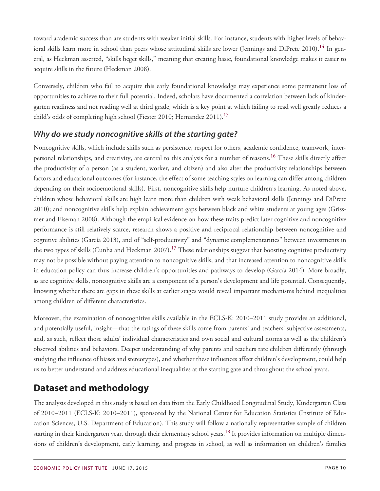toward academic success than are students with weaker initial skills. For instance, students with higher levels of behav-ioral skills learn more in school than peers whose attitudinal skills are lower (Jennings and DiPrete 2010).<sup>[14](#page-80-2)</sup> In general, as Heckman asserted, "skills beget skills," meaning that creating basic, foundational knowledge makes it easier to acquire skills in the future (Heckman 2008).

Conversely, children who fail to acquire this early foundational knowledge may experience some permanent loss of opportunities to achieve to their full potential. Indeed, scholars have documented a correlation between lack of kindergarten readiness and not reading well at third grade, which is a key point at which failing to read well greatly reduces a child's odds of completing high school (Fiester 2010; Hernandez 2011).<sup>[15](#page-80-3)</sup>

# <span id="page-9-0"></span>*Why do we study noncognitive skills at the starting gate?*

Noncognitive skills, which include skills such as persistence, respect for others, academic confidence, teamwork, interpersonal relationships, and creativity, are central to this analysis for a number of reasons.[16](#page-80-4) These skills directly affect the productivity of a person (as a student, worker, and citizen) and also alter the productivity relationships between factors and educational outcomes (for instance, the effect of some teaching styles on learning can differ among children depending on their socioemotional skills). First, noncognitive skills help nurture children's learning. As noted above, children whose behavioral skills are high learn more than children with weak behavioral skills (Jennings and DiPrete 2010); and noncognitive skills help explain achievement gaps between black and white students at young ages (Grissmer and Eiseman 2008). Although the empirical evidence on how these traits predict later cognitive and noncognitive performance is still relatively scarce, research shows a positive and reciprocal relationship between noncognitive and cognitive abilities (García 2013), and of "self-productivity" and "dynamic complementarities" between investments in the two types of skills (Cunha and Heckman 2007).<sup>[17](#page-80-5)</sup> These relationships suggest that boosting cognitive productivity may not be possible without paying attention to noncognitive skills, and that increased attention to noncognitive skills in education policy can thus increase children's opportunities and pathways to develop (García 2014). More broadly, as are cognitive skills, noncognitive skills are a component of a person's development and life potential. Consequently, knowing whether there are gaps in these skills at earlier stages would reveal important mechanisms behind inequalities among children of different characteristics.

Moreover, the examination of noncognitive skills available in the ECLS-K: 2010–2011 study provides an additional, and potentially useful, insight—that the ratings of these skills come from parents' and teachers' subjective assessments, and, as such, reflect those adults' individual characteristics and own social and cultural norms as well as the children's observed abilities and behaviors. Deeper understanding of why parents and teachers rate children differently (through studying the influence of biases and stereotypes), and whether these influences affect children's development, could help us to better understand and address educational inequalities at the starting gate and throughout the school years.

# <span id="page-9-1"></span>**Dataset and methodology**

The analysis developed in this study is based on data from the Early Childhood Longitudinal Study, Kindergarten Class of 2010–2011 (ECLS-K: 2010–2011), sponsored by the National Center for Education Statistics (Institute of Education Sciences, U.S. Department of Education). This study will follow a nationally representative sample of children starting in their kindergarten year, through their elementary school years.<sup>[18](#page-80-6)</sup> It provides information on multiple dimensions of children's development, early learning, and progress in school, as well as information on children's families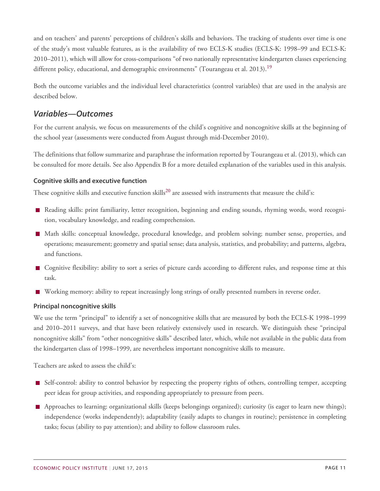and on teachers' and parents' perceptions of children's skills and behaviors. The tracking of students over time is one of the study's most valuable features, as is the availability of two ECLS-K studies (ECLS-K: 1998–99 and ECLS-K: 2010–2011), which will allow for cross-comparisons "of two nationally representative kindergarten classes experiencing different policy, educational, and demographic environments" (Tourangeau et al. 2013).<sup>[19](#page-80-7)</sup>

Both the outcome variables and the individual level characteristics (control variables) that are used in the analysis are described below.

### <span id="page-10-0"></span>*Variables—Outcomes*

For the current analysis, we focus on measurements of the child's cognitive and noncognitive skills at the beginning of the school year (assessments were conducted from August through mid-December 2010).

The definitions that follow summarize and paraphrase the information reported by Tourangeau et al. (2013), which can be consulted for more details. See also Appendix B for a more detailed explanation of the variables used in this analysis.

#### **Cognitive skills and executive function**

These cognitive skills and executive function skills<sup>[20](#page-80-8)</sup> are assessed with instruments that measure the child's:

- Reading skills: print familiarity, letter recognition, beginning and ending sounds, rhyming words, word recognition, vocabulary knowledge, and reading comprehension.
- Math skills: conceptual knowledge, procedural knowledge, and problem solving; number sense, properties, and operations; measurement; geometry and spatial sense; data analysis, statistics, and probability; and patterns, algebra, and functions.
- Cognitive flexibility: ability to sort a series of picture cards according to different rules, and response time at this task.
- Working memory: ability to repeat increasingly long strings of orally presented numbers in reverse order.

#### **Principal noncognitive skills**

We use the term "principal" to identify a set of noncognitive skills that are measured by both the ECLS-K 1998–1999 and 2010–2011 surveys, and that have been relatively extensively used in research. We distinguish these "principal noncognitive skills" from "other noncognitive skills" described later, which, while not available in the public data from the kindergarten class of 1998–1999, are nevertheless important noncognitive skills to measure.

Teachers are asked to assess the child's:

- Self-control: ability to control behavior by respecting the property rights of others, controlling temper, accepting peer ideas for group activities, and responding appropriately to pressure from peers.
- Approaches to learning: organizational skills (keeps belongings organized); curiosity (is eager to learn new things); independence (works independently); adaptability (easily adapts to changes in routine); persistence in completing tasks; focus (ability to pay attention); and ability to follow classroom rules.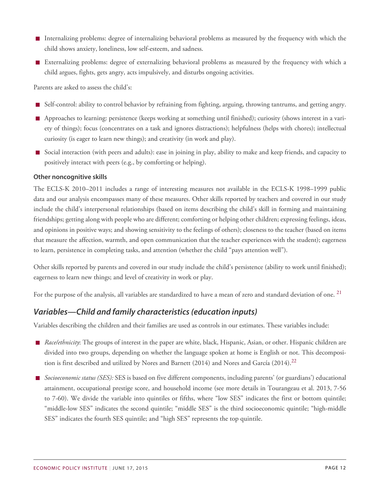- Internalizing problems: degree of internalizing behavioral problems as measured by the frequency with which the child shows anxiety, loneliness, low self-esteem, and sadness.
- Externalizing problems: degree of externalizing behavioral problems as measured by the frequency with which a child argues, fights, gets angry, acts impulsively, and disturbs ongoing activities.

Parents are asked to assess the child's:

- $\overline{\phantom{a}}$ Self-control: ability to control behavior by refraining from fighting, arguing, throwing tantrums, and getting angry.
- Approaches to learning: persistence (keeps working at something until finished); curiosity (shows interest in a variety of things); focus (concentrates on a task and ignores distractions); helpfulness (helps with chores); intellectual curiosity (is eager to learn new things); and creativity (in work and play).
- Social interaction (with peers and adults): ease in joining in play, ability to make and keep friends, and capacity to positively interact with peers (e.g., by comforting or helping).

#### **Other noncognitive skills**

The ECLS-K 2010–2011 includes a range of interesting measures not available in the ECLS-K 1998–1999 public data and our analysis encompasses many of these measures. Other skills reported by teachers and covered in our study include the child's interpersonal relationships (based on items describing the child's skill in forming and maintaining friendships; getting along with people who are different; comforting or helping other children; expressing feelings, ideas, and opinions in positive ways; and showing sensitivity to the feelings of others); closeness to the teacher (based on items that measure the affection, warmth, and open communication that the teacher experiences with the student); eagerness to learn, persistence in completing tasks, and attention (whether the child "pays attention well").

Other skills reported by parents and covered in our study include the child's persistence (ability to work until finished); eagerness to learn new things; and level of creativity in work or play.

For the purpose of the analysis, all variables are standardized to have a mean of zero and standard deviation of one.<sup>[21](#page-81-0)</sup>

### <span id="page-11-0"></span>*Variables—Child and family characteristics (education inputs)*

Variables describing the children and their families are used as controls in our estimates. These variables include:

- *Race/ethnicity*: The groups of interest in the paper are white, black, Hispanic, Asian, or other. Hispanic children are divided into two groups, depending on whether the language spoken at home is English or not. This decomposi-tion is first described and utilized by Nores and Barnett (2014) and Nores and García (2014).<sup>[22](#page-81-1)</sup>
- *Socioeconomic status (SES):* SES is based on five different components, including parents' (or guardians') educational attainment, occupational prestige score, and household income (see more details in Tourangeau et al. 2013, 7-56 to 7-60). We divide the variable into quintiles or fifths, where "low SES" indicates the first or bottom quintile; "middle-low SES" indicates the second quintile; "middle SES" is the third socioeconomic quintile; "high-middle SES" indicates the fourth SES quintile; and "high SES" represents the top quintile.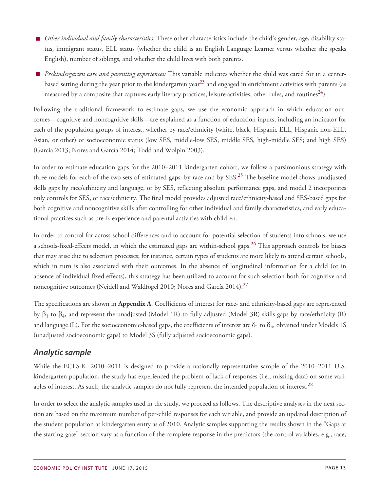- *Other individual and family characteristics:* These other characteristics include the child's gender, age, disability status, immigrant status, ELL status (whether the child is an English Language Learner versus whether she speaks English), number of siblings, and whether the child lives with both parents.
- *Prekindergarten care and parenting experiences:* This variable indicates whether the child was cared for in a center-based setting during the year prior to the kindergarten year<sup>[23](#page-81-2)</sup> and engaged in enrichment activities with parents (as measured by a composite that captures early literacy practices, leisure activities, other rules, and routines<sup>[24](#page-81-3)</sup>).

Following the traditional framework to estimate gaps, we use the economic approach in which education outcomes—cognitive and noncognitive skills—are explained as a function of education inputs, including an indicator for each of the population groups of interest, whether by race/ethnicity (white, black, Hispanic ELL, Hispanic non-ELL, Asian, or other) or socioeconomic status (low SES, middle-low SES, middle SES, high-middle SES; and high SES) (García 2013; Nores and García 2014; Todd and Wolpin 2003).

In order to estimate education gaps for the 2010–2011 kindergarten cohort, we follow a parsimonious strategy with three models for each of the two sets of estimated gaps: by race and by SES.<sup>[25](#page-81-4)</sup> The baseline model shows unadjusted skills gaps by race/ethnicity and language, or by SES, reflecting absolute performance gaps, and model 2 incorporates only controls for SES, or race/ethnicity. The final model provides adjusted race/ethnicity-based and SES-based gaps for both cognitive and noncognitive skills after controlling for other individual and family characteristics, and early educational practices such as pre-K experience and parental activities with children.

In order to control for across-school differences and to account for potential selection of students into schools, we use a schools-fixed-effects model, in which the estimated gaps are within-school gaps.<sup>[26](#page-81-5)</sup> This approach controls for biases that may arise due to selection processes; for instance, certain types of students are more likely to attend certain schools, which in turn is also associated with their outcomes. In the absence of longitudinal information for a child (or in absence of individual fixed effects), this strategy has been utilized to account for such selection both for cognitive and noncognitive outcomes (Neidell and Waldfogel 2010; Nores and García 2014).<sup>[27](#page-81-6)</sup>

The specifications are shown in **Appendix A**. Coefficients of interest for race- and ethnicity-based gaps are represented by  $\beta_1$  to  $\beta_4$ , and represent the unadjusted (Model 1R) to fully adjusted (Model 3R) skills gaps by race/ethnicity (R) and language (L). For the socioeconomic-based gaps, the coefficients of interest are  $\delta_1$  to  $\delta_4$ , obtained under Models 1S (unadjusted socioeconomic gaps) to Model 3S (fully adjusted socioeconomic gaps).

### <span id="page-12-0"></span>*Analytic sample*

While the ECLS-K: 2010–2011 is designed to provide a nationally representative sample of the 2010–2011 U.S. kindergarten population, the study has experienced the problem of lack of responses (i.e., missing data) on some vari-ables of interest. As such, the analytic samples do not fully represent the intended population of interest.<sup>[28](#page-81-7)</sup>

In order to select the analytic samples used in the study, we proceed as follows. The descriptive analyses in the next section are based on the maximum number of per-child responses for each variable, and provide an updated description of the student population at kindergarten entry as of 2010. Analytic samples supporting the results shown in the "Gaps at the starting gate" section vary as a function of the complete response in the predictors (the control variables, e.g., race,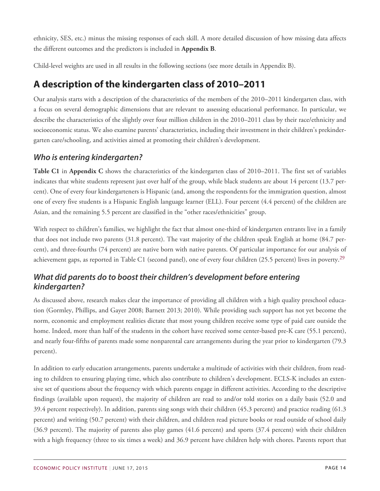ethnicity, SES, etc.) minus the missing responses of each skill. A more detailed discussion of how missing data affects the different outcomes and the predictors is included in **Appendix B**.

Child-level weights are used in all results in the following sections (see more details in Appendix B).

# <span id="page-13-0"></span>**A description of the kindergarten class of 2010–2011**

Our analysis starts with a description of the characteristics of the members of the 2010–2011 kindergarten class, with a focus on several demographic dimensions that are relevant to assessing educational performance. In particular, we describe the characteristics of the slightly over four million children in the 2010–2011 class by their race/ethnicity and socioeconomic status. We also examine parents' characteristics, including their investment in their children's prekindergarten care/schooling, and activities aimed at promoting their children's development.

# <span id="page-13-1"></span>*Who is entering kindergarten?*

**Table C1** in **Appendix C** shows the characteristics of the kindergarten class of 2010–2011. The first set of variables indicates that white students represent just over half of the group, while black students are about 14 percent (13.7 percent). One of every four kindergarteners is Hispanic (and, among the respondents for the immigration question, almost one of every five students is a Hispanic English language learner (ELL). Four percent (4.4 percent) of the children are Asian, and the remaining 5.5 percent are classified in the "other races/ethnicities" group.

With respect to children's families, we highlight the fact that almost one-third of kindergarten entrants live in a family that does not include two parents (31.8 percent). The vast majority of the children speak English at home (84.7 percent), and three-fourths (74 percent) are native born with native parents. Of particular importance for our analysis of achievement gaps, as reported in Table C1 (second panel), one of every four children  $(25.5 \text{ percent})$  lives in poverty.<sup>[29](#page-81-8)</sup>

# <span id="page-13-2"></span>*What did parents do to boost their children's development before entering kindergarten?*

As discussed above, research makes clear the importance of providing all children with a high quality preschool education (Gormley, Phillips, and Gayer 2008; Barnett 2013; 2010). While providing such support has not yet become the norm, economic and employment realities dictate that most young children receive some type of paid care outside the home. Indeed, more than half of the students in the cohort have received some center-based pre-K care (55.1 percent), and nearly four-fifths of parents made some nonparental care arrangements during the year prior to kindergarten (79.3 percent).

In addition to early education arrangements, parents undertake a multitude of activities with their children, from reading to children to ensuring playing time, which also contribute to children's development. ECLS-K includes an extensive set of questions about the frequency with which parents engage in different activities. According to the descriptive findings (available upon request), the majority of children are read to and/or told stories on a daily basis (52.0 and 39.4 percent respectively). In addition, parents sing songs with their children (45.3 percent) and practice reading (61.3 percent) and writing (50.7 percent) with their children, and children read picture books or read outside of school daily (36.9 percent). The majority of parents also play games (41.6 percent) and sports (37.4 percent) with their children with a high frequency (three to six times a week) and 36.9 percent have children help with chores. Parents report that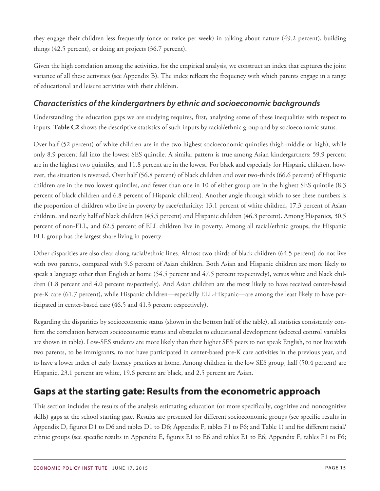they engage their children less frequently (once or twice per week) in talking about nature (49.2 percent), building things (42.5 percent), or doing art projects (36.7 percent).

Given the high correlation among the activities, for the empirical analysis, we construct an index that captures the joint variance of all these activities (see Appendix B). The index reflects the frequency with which parents engage in a range of educational and leisure activities with their children.

### <span id="page-14-0"></span>*Characteristics of the kindergartners by ethnic and socioeconomic backgrounds*

Understanding the education gaps we are studying requires, first, analyzing some of these inequalities with respect to inputs. **Table C2** shows the descriptive statistics of such inputs by racial/ethnic group and by socioeconomic status.

Over half (52 percent) of white children are in the two highest socioeconomic quintiles (high-middle or high), while only 8.9 percent fall into the lowest SES quintile. A similar pattern is true among Asian kindergartners: 59.9 percent are in the highest two quintiles, and 11.8 percent are in the lowest. For black and especially for Hispanic children, however, the situation is reversed. Over half (56.8 percent) of black children and over two-thirds (66.6 percent) of Hispanic children are in the two lowest quintiles, and fewer than one in 10 of either group are in the highest SES quintile (8.3 percent of black children and 6.8 percent of Hispanic children). Another angle through which to see these numbers is the proportion of children who live in poverty by race/ethnicity: 13.1 percent of white children, 17.3 percent of Asian children, and nearly half of black children (45.5 percent) and Hispanic children (46.3 percent). Among Hispanics, 30.5 percent of non-ELL, and 62.5 percent of ELL children live in poverty. Among all racial/ethnic groups, the Hispanic ELL group has the largest share living in poverty.

Other disparities are also clear along racial/ethnic lines. Almost two-thirds of black children (64.5 percent) do not live with two parents, compared with 9.6 percent of Asian children. Both Asian and Hispanic children are more likely to speak a language other than English at home (54.5 percent and 47.5 percent respectively), versus white and black children (1.8 percent and 4.0 percent respectively). And Asian children are the most likely to have received center-based pre-K care (61.7 percent), while Hispanic children—especially ELL-Hispanic—are among the least likely to have participated in center-based care (46.5 and 41.3 percent respectively).

Regarding the disparities by socioeconomic status (shown in the bottom half of the table), all statistics consistently confirm the correlation between socioeconomic status and obstacles to educational development (selected control variables are shown in table). Low-SES students are more likely than their higher SES peers to not speak English, to not live with two parents, to be immigrants, to not have participated in center-based pre-K care activities in the previous year, and to have a lower index of early literacy practices at home. Among children in the low SES group, half (50.4 percent) are Hispanic, 23.1 percent are white, 19.6 percent are black, and 2.5 percent are Asian.

# <span id="page-14-1"></span>**Gaps at the starting gate: Results from the econometric approach**

This section includes the results of the analysis estimating education (or more specifically, cognitive and noncognitive skills) gaps at the school starting gate. Results are presented for different socioeconomic groups (see specific results in Appendix D, figures D1 to D6 and tables D1 to D6; Appendix F, tables F1 to F6; and Table 1) and for different racial/ ethnic groups (see specific results in Appendix E, figures E1 to E6 and tables E1 to E6; Appendix F, tables F1 to F6;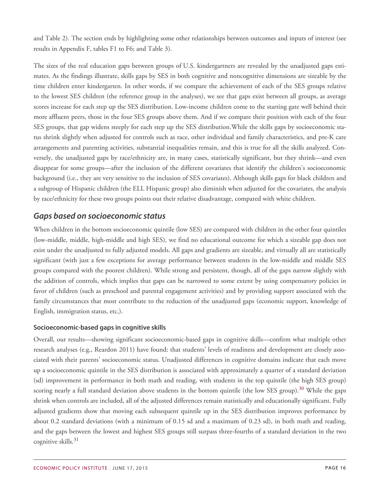and Table 2). The section ends by highlighting some other relationships between outcomes and inputs of interest (see results in Appendix F, tables F1 to F6; and Table 3).

The sizes of the real education gaps between groups of U.S. kindergartners are revealed by the unadjusted gaps estimates. As the findings illustrate, skills gaps by SES in both cognitive and noncognitive dimensions are sizeable by the time children enter kindergarten. In other words, if we compare the achievement of each of the SES groups relative to the lowest SES children (the reference group in the analyses), we see that gaps exist between all groups, as average scores increase for each step up the SES distribution. Low-income children come to the starting gate well behind their more affluent peers, those in the four SES groups above them. And if we compare their position with each of the four SES groups, that gap widens steeply for each step up the SES distribution.While the skills gaps by socioeconomic status shrink slightly when adjusted for controls such as race, other individual and family characteristics, and pre-K care arrangements and parenting activities, substantial inequalities remain, and this is true for all the skills analyzed. Conversely, the unadjusted gaps by race/ethnicity are, in many cases, statistically significant, but they shrink—and even disappear for some groups—after the inclusion of the different covariates that identify the children's socioeconomic background (i.e., they are very sensitive to the inclusion of SES covariates). Although skills gaps for black children and a subgroup of Hispanic children (the ELL Hispanic group) also diminish when adjusted for the covariates, the analysis by race/ethnicity for these two groups points out their relative disadvantage, compared with white children.

### <span id="page-15-0"></span>*Gaps based on socioeconomic status*

When children in the bottom socioeconomic quintile (low SES) are compared with children in the other four quintiles (low-middle, middle, high-middle and high SES), we find no educational outcome for which a sizeable gap does not exist under the unadjusted to fully adjusted models. All gaps and gradients are sizeable, and virtually all are statistically significant (with just a few exceptions for average performance between students in the low-middle and middle SES groups compared with the poorest children). While strong and persistent, though, all of the gaps narrow slightly with the addition of controls, which implies that gaps can be narrowed to some extent by using compensatory policies in favor of children (such as preschool and parental engagement activities) and by providing support associated with the family circumstances that most contribute to the reduction of the unadjusted gaps (economic support, knowledge of English, immigration status, etc.).

#### **Socioeconomic-based gaps in cognitive skills**

Overall, our results—showing significant socioeconomic-based gaps in cognitive skills—confirm what multiple other research analyses (e.g., Reardon 2011) have found: that students' levels of readiness and development are closely associated with their parents' socioeconomic status. Unadjusted differences in cognitive domains indicate that each move up a socioeconomic quintile in the SES distribution is associated with approximately a quarter of a standard deviation (sd) improvement in performance in both math and reading, with students in the top quintile (the high SES group) scoring nearly a full standard deviation above students in the bottom quintile (the low SES group).<sup>[30](#page-81-9)</sup> While the gaps shrink when controls are included, all of the adjusted differences remain statistically and educationally significant. Fully adjusted gradients show that moving each subsequent quintile up in the SES distribution improves performance by about 0.2 standard deviations (with a minimum of 0.15 sd and a maximum of 0.23 sd), in both math and reading, and the gaps between the lowest and highest SES groups still surpass three-fourths of a standard deviation in the two cognitive skills.<sup>[31](#page-81-10)</sup>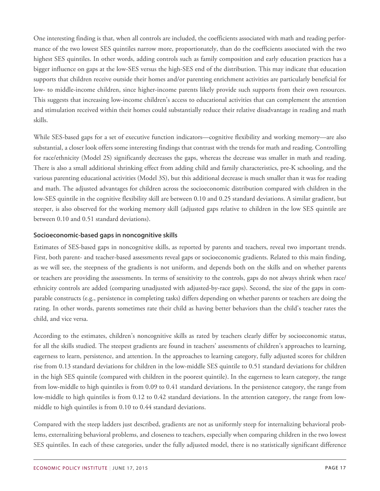One interesting finding is that, when all controls are included, the coefficients associated with math and reading performance of the two lowest SES quintiles narrow more, proportionately, than do the coefficients associated with the two highest SES quintiles. In other words, adding controls such as family composition and early education practices has a bigger influence on gaps at the low-SES versus the high-SES end of the distribution. This may indicate that education supports that children receive outside their homes and/or parenting enrichment activities are particularly beneficial for low- to middle-income children, since higher-income parents likely provide such supports from their own resources. This suggests that increasing low-income children's access to educational activities that can complement the attention and stimulation received within their homes could substantially reduce their relative disadvantage in reading and math skills.

While SES-based gaps for a set of executive function indicators—cognitive flexibility and working memory—are also substantial, a closer look offers some interesting findings that contrast with the trends for math and reading. Controlling for race/ethnicity (Model 2S) significantly decreases the gaps, whereas the decrease was smaller in math and reading. There is also a small additional shrinking effect from adding child and family characteristics, pre-K schooling, and the various parenting educational activities (Model 3S), but this additional decrease is much smaller than it was for reading and math. The adjusted advantages for children across the socioeconomic distribution compared with children in the low-SES quintile in the cognitive flexibility skill are between 0.10 and 0.25 standard deviations. A similar gradient, but steeper, is also observed for the working memory skill (adjusted gaps relative to children in the low SES quintile are between 0.10 and 0.51 standard deviations).

#### **Socioeconomic-based gaps in noncognitive skills**

Estimates of SES-based gaps in noncognitive skills, as reported by parents and teachers, reveal two important trends. First, both parent- and teacher-based assessments reveal gaps or socioeconomic gradients. Related to this main finding, as we will see, the steepness of the gradients is not uniform, and depends both on the skills and on whether parents or teachers are providing the assessments. In terms of sensitivity to the controls, gaps do not always shrink when race/ ethnicity controls are added (comparing unadjusted with adjusted-by-race gaps). Second, the size of the gaps in comparable constructs (e.g., persistence in completing tasks) differs depending on whether parents or teachers are doing the rating. In other words, parents sometimes rate their child as having better behaviors than the child's teacher rates the child, and vice versa.

According to the estimates, children's noncognitive skills as rated by teachers clearly differ by socioeconomic status, for all the skills studied. The steepest gradients are found in teachers' assessments of children's approaches to learning, eagerness to learn, persistence, and attention. In the approaches to learning category, fully adjusted scores for children rise from 0.13 standard deviations for children in the low-middle SES quintile to 0.51 standard deviations for children in the high SES quintile (compared with children in the poorest quintile). In the eagerness to learn category, the range from low-middle to high quintiles is from 0.09 to 0.41 standard deviations. In the persistence category, the range from low-middle to high quintiles is from 0.12 to 0.42 standard deviations. In the attention category, the range from lowmiddle to high quintiles is from 0.10 to 0.44 standard deviations.

Compared with the steep ladders just described, gradients are not as uniformly steep for internalizing behavioral problems, externalizing behavioral problems, and closeness to teachers, especially when comparing children in the two lowest SES quintiles. In each of these categories, under the fully adjusted model, there is no statistically significant difference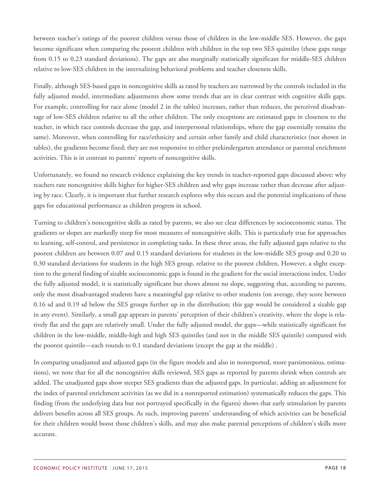between teacher's ratings of the poorest children versus those of children in the low-middle SES. However, the gaps become significant when comparing the poorest children with children in the top two SES quintiles (these gaps range from 0.15 to 0.23 standard deviations). The gaps are also marginally statistically significant for middle-SES children relative to low-SES children in the internalizing behavioral problems and teacher closeness skills.

Finally, although SES-based gaps in noncognitive skills as rated by teachers are narrowed by the controls included in the fully adjusted model, intermediate adjustments show some trends that are in clear contrast with cognitive skills gaps. For example, controlling for race alone (model 2 in the tables) increases, rather than reduces, the perceived disadvantage of low-SES children relative to all the other children. The only exceptions are estimated gaps in closeness to the teacher, in which race controls decrease the gap, and interpersonal relationships, where the gap essentially remains the same). Moreover, when controlling for race/ethnicity and certain other family and child characteristics (not shown in tables), the gradients become fixed; they are not responsive to either prekindergarten attendance or parental enrichment activities. This is in contrast to parents' reports of noncognitive skills.

Unfortunately, we found no research evidence explaining the key trends in teacher-reported gaps discussed above: why teachers rate noncognitive skills higher for higher-SES children and why gaps increase rather than decrease after adjusting by race. Clearly, it is important that further research explores why this occurs and the potential implications of these gaps for educational performance as children progress in school.

Turning to children's noncognitive skills as rated by parents, we also see clear differences by socioeconomic status. The gradients or slopes are markedly steep for most measures of noncognitive skills. This is particularly true for approaches to learning, self-control, and persistence in completing tasks. In these three areas, the fully adjusted gaps relative to the poorest children are between 0.07 and 0.15 standard deviations for students in the low-middle SES group and 0.20 to 0.30 standard deviations for students in the high SES group, relative to the poorest children. However, a slight exception to the general finding of sizable socioeconomic gaps is found in the gradient for the social interactions index. Under the fully adjusted model, it is statistically significant but shows almost no slope, suggesting that, according to parents, only the most disadvantaged students have a meaningful gap relative to other students (on average, they score between 0.16 sd and 0.19 sd below the SES groups further up in the distribution; this gap would be considered a sizable gap in any event). Similarly, a small gap appears in parents' perception of their children's creativity, where the slope is relatively flat and the gaps are relatively small. Under the fully adjusted model, the gaps—while statistically significant for children in the low-middle, middle-high and high SES quintiles (and not in the middle SES quintile) compared with the poorest quintile—each rounds to 0.1 standard deviations (except the gap at the middle) .

In comparing unadjusted and adjusted gaps (in the figure models and also in nonreported, more parsimonious, estimations), we note that for all the noncognitive skills reviewed, SES gaps as reported by parents shrink when controls are added. The unadjusted gaps show steeper SES gradients than the adjusted gaps. In particular, adding an adjustment for the index of parental enrichment activities (as we did in a nonreported estimation) systematically reduces the gaps. This finding (from the underlying data but not portrayed specifically in the figures) shows that early stimulation by parents delivers benefits across all SES groups. As such, improving parents' understanding of which activities can be beneficial for their children would boost those children's skills, and may also make parental perceptions of children's skills more accurate.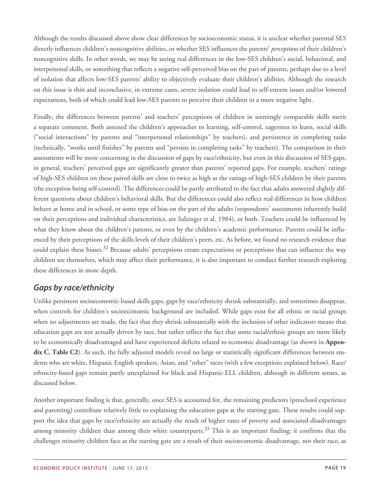Although the results discussed above show clear differences by socioeconomic status, it is unclear whether parental SES directly influences children's noncognitive abilities, or whether SES influences the parents' *perceptions* of their children's noncognitive skills. In other words, we may be seeing real differences in the low-SES children's social, behavioral, and interpersonal skills, or something that reflects a negative self-perceived bias on the part of parents, perhaps due to a level of isolation that affects low-SES parents' ability to objectively evaluate their children's abilities. Although the research on this issue is thin and inconclusive, in extreme cases, severe isolation could lead to self-esteem issues and/or lowered expectations, both of which could lead low-SES parents to perceive their children in a more negative light.

Finally, the differences between parents' and teachers' perceptions of children in seemingly comparable skills merit a separate comment. Both assessed the children's approaches to learning, self-control, eagerness to learn, social skills ("social interactions" by parents and "interpersonal relationships" by teachers), and persistence in completing tasks (technically, "works until finishes" by parents and "persists in completing tasks" by teachers). The comparison in their assessments will be more concerning in the discussion of gaps by race/ethnicity, but even in this discussion of SES gaps, in general, teachers' perceived gaps are significantly greater than parents' reported gaps. For example, teachers' ratings of high-SES children on these paired skills are close to twice as high as the ratings of high-SES children by their parents (the exception being self-control). The differences could be partly attributed to the fact that adults answered slightly different questions about children's behavioral skills. But the differences could also reflect real differences in how children behave at home and in school, or some type of bias on the part of the adults (respondents' assessments inherently build on their perceptions and individual characteristics, see Salzinger et al. 1984), or both. Teachers could be influenced by what they know about the children's parents, or even by the children's academic performance. Parents could be influenced by their perceptions of the skills levels of their children's peers, etc. As before, we found no research evidence that could explain these biases.<sup>[32](#page-82-0)</sup> Because adults' perceptions create expectations or perceptions that can influence the way children see themselves, which may affect their performance, it is also important to conduct further research exploring these differences in more depth.

# <span id="page-18-0"></span>*Gaps by race/ethnicity*

Unlike persistent socioeconomic-based skills gaps, gaps by race/ethnicity shrink substantially, and sometimes disappear, when controls for children's socioeconomic background are included. While gaps exist for all ethnic or racial groups when no adjustments are made, the fact that they shrink substantially with the inclusion of other indicators means that education gaps are not actually driven by race, but rather reflect the fact that some racial/ethnic groups are more likely to be economically disadvantaged and have experienced deficits related to economic disadvantage (as shown in **Appendix C**, **Table C2**). As such, the fully adjusted models reveal no large or statistically significant differences between students who are white, Hispanic English speakers, Asian, and "other" races (with a few exceptions explained below). Race/ ethnicity-based gaps remain partly unexplained for black and Hispanic-ELL children, although in different senses, as discussed below.

Another important finding is that, generally, once SES is accounted for, the remaining predictors (preschool experience and parenting) contribute relatively little to explaining the education gaps at the starting gate. These results could support the idea that gaps by race/ethnicity are actually the result of higher rates of poverty and associated disadvantages among minority children than among their white counterparts.<sup>[33](#page-82-1)</sup> This is an important finding; it confirms that the challenges minority children face at the starting gate are a result of their socioeconomic disadvantage, not their race, as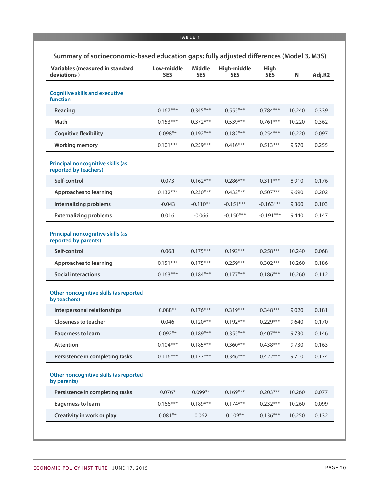#### **TABLE 1**

|  | Summary of socioeconomic-based education gaps; fully adjusted differences (Model 3, M3S) |  |  |  |  |
|--|------------------------------------------------------------------------------------------|--|--|--|--|
|--|------------------------------------------------------------------------------------------|--|--|--|--|

| <b>Variables (measured in standard</b><br>deviations)            | Low-middle<br><b>SES</b> | <b>Middle</b><br><b>SES</b> | High-middle<br><b>SES</b> | <b>High</b><br><b>SES</b> | Ν      | Adj.R2 |
|------------------------------------------------------------------|--------------------------|-----------------------------|---------------------------|---------------------------|--------|--------|
| <b>Cognitive skills and executive</b><br>function                |                          |                             |                           |                           |        |        |
| Reading                                                          | $0.167***$               | $0.345***$                  | $0.555***$                | $0.784***$                | 10,240 | 0.339  |
| Math                                                             | $0.153***$               | $0.372***$                  | $0.539***$                | $0.761***$                | 10,220 | 0.362  |
| <b>Cognitive flexibility</b>                                     | $0.098**$                | $0.192***$                  | $0.182***$                | $0.254***$                | 10,220 | 0.097  |
| <b>Working memory</b>                                            | $0.101***$               | $0.259***$                  | $0.416***$                | $0.513***$                | 9,570  | 0.255  |
| Principal noncognitive skills (as<br>reported by teachers)       |                          |                             |                           |                           |        |        |
| Self-control                                                     | 0.073                    | $0.162***$                  | $0.286***$                | $0.311***$                | 8,910  | 0.176  |
| <b>Approaches to learning</b>                                    | $0.132***$               | $0.230***$                  | $0.432***$                | $0.507***$                | 9,690  | 0.202  |
| Internalizing problems                                           | $-0.043$                 | $-0.110**$                  | $-0.151***$               | $-0.163***$               | 9,360  | 0.103  |
| <b>Externalizing problems</b>                                    | 0.016                    | $-0.066$                    | $-0.150***$               | $-0.191***$               | 9,440  | 0.147  |
| <b>Principal noncognitive skills (as</b><br>reported by parents) |                          |                             |                           |                           |        |        |
| Self-control                                                     | 0.068                    | $0.175***$                  | $0.192***$                | $0.258***$                | 10,240 | 0.068  |
| <b>Approaches to learning</b>                                    | $0.151***$               | $0.175***$                  | $0.259***$                | $0.302***$                | 10,260 | 0.186  |
| <b>Social interactions</b>                                       | $0.163***$               | $0.184***$                  | $0.177***$                | $0.186***$                | 10,260 | 0.112  |
| Other noncognitive skills (as reported<br>by teachers)           |                          |                             |                           |                           |        |        |
| Interpersonal relationships                                      | $0.088**$                | $0.176***$                  | $0.319***$                | $0.348***$                | 9,020  | 0.181  |
| <b>Closeness to teacher</b>                                      | 0.046                    | $0.120***$                  | $0.192***$                | $0.229***$                | 9,640  | 0.170  |
| <b>Eagerness to learn</b>                                        | $0.092**$                | $0.189***$                  | $0.355***$                | $0.407***$                | 9,730  | 0.146  |
| <b>Attention</b>                                                 | $0.104***$               | $0.185***$                  | $0.360***$                | $0.438***$                | 9,730  | 0.163  |
| Persistence in completing tasks                                  | $0.116***$               | $0.177***$                  | $0.346***$                | $0.422***$                | 9,710  | 0.174  |
| Other noncognitive skills (as reported<br>by parents)            |                          |                             |                           |                           |        |        |
| Persistence in completing tasks                                  | $0.076*$                 | $0.099**$                   | $0.169***$                | $0.203***$                | 10,260 | 0.077  |
| <b>Eagerness to learn</b>                                        | $0.166***$               | $0.189***$                  | $0.174***$                | $0.232***$                | 10,260 | 0.099  |
| Creativity in work or play                                       | $0.081**$                | 0.062                       | $0.109**$                 | $0.136***$                | 10,250 | 0.132  |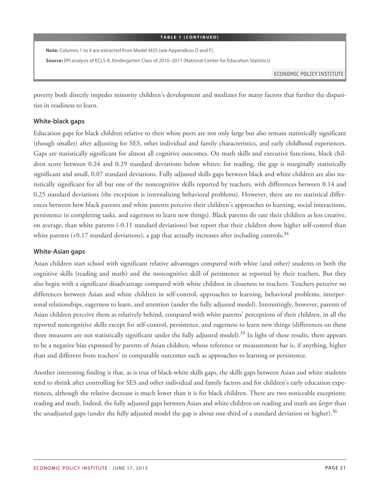#### **TABLE 1 (CONTINUED)**

**Note:** Columns 1 to 4 are extracted from Model M3S (see Appendices D and F).

**Source:** EPI analysis of ECLS-K, Kindergarten Class of 2010–2011 (National Center for Education Statistics)

ECONOMIC POLICY INSTITUTE

poverty both directly impedes minority children's development and mediates for many factors that further the disparities in readiness to learn.

#### **White-black gaps**

Education gaps for black children relative to their white peers are not only large but also remain statistically significant (though smaller) after adjusting for SES, other individual and family characteristics, and early childhood experiences. Gaps are statistically significant for almost all cognitive outcomes. On math skills and executive functions, black children score between 0.24 and 0.29 standard deviations below whites; for reading, the gap is marginally statistically significant and small, 0.07 standard deviations. Fully adjusted skills gaps between black and white children are also statistically significant for all but one of the noncognitive skills reported by teachers, with differences between 0.14 and 0.25 standard deviations (the exception is internalizing behavioral problems). However, there are no statistical differences between how black parents and white parents perceive their children's approaches to learning, social interactions, persistence in completing tasks, and eagerness to learn new things). Black parents do rate their children as less creative, on average, than white parents (-0.11 standard deviations) but report that their children show higher self-control than white parents  $(+0.17 \text{ standard deviations})$ , a gap that actually increases after including controls.<sup>[34](#page-82-2)</sup>

#### **White-Asian gaps**

Asian children start school with significant relative advantages compared with white (and other) students in both the cognitive skills (reading and math) and the noncognitive skill of persistence as reported by their teachers. But they also begin with a significant disadvantage compared with white children in closeness to teachers. Teachers perceive no differences between Asian and white children in self-control, approaches to learning, behavioral problems, interpersonal relationships, eagerness to learn, and attention (under the fully adjusted model). Interestingly, however, parents of Asian children perceive them as relatively behind, compared with white parents' perceptions of their children, in all the reported noncognitive skills except for self-control, persistence, and eagerness to learn new things (differences on these three measures are not statistically significant under the fully adjusted model).<sup>[35](#page-82-3)</sup> In light of these results, there appears to be a negative bias expressed by parents of Asian children, whose reference or measurement bar is, if anything, higher than and different from teachers' in comparable outcomes such as approaches to learning or persistence.

Another interesting finding is that, as is true of black-white skills gaps, the skills gaps between Asian and white students tend to shrink after controlling for SES and other individual and family factors and for children's early education experiences, although the relative decrease is much lower than it is for black children. There are two noticeable exceptions: reading and math. Indeed, the fully adjusted gaps between Asian and white children on reading and math are *larger* than the unadjusted gaps (under the fully adjusted model the gap is about one-third of a standard deviation or higher).<sup>[36](#page-82-4)</sup>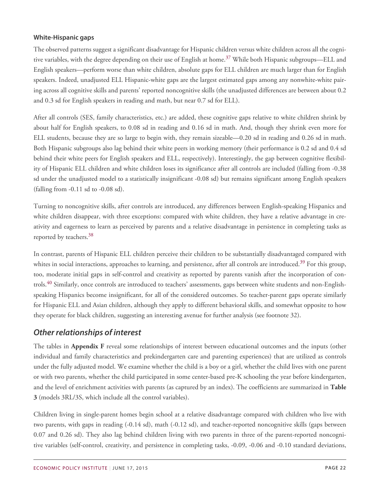#### **White-Hispanic gaps**

The observed patterns suggest a significant disadvantage for Hispanic children versus white children across all the cogni-tive variables, with the degree depending on their use of English at home.<sup>[37](#page-82-5)</sup> While both Hispanic subgroups—ELL and English speakers—perform worse than white children, absolute gaps for ELL children are much larger than for English speakers. Indeed, unadjusted ELL Hispanic-white gaps are the largest estimated gaps among any nonwhite-white pairing across all cognitive skills and parents' reported noncognitive skills (the unadjusted differences are between about 0.2 and 0.3 sd for English speakers in reading and math, but near 0.7 sd for ELL).

After all controls (SES, family characteristics, etc.) are added, these cognitive gaps relative to white children shrink by about half for English speakers, to 0.08 sd in reading and 0.16 sd in math. And, though they shrink even more for ELL students, because they are so large to begin with, they remain sizeable—0.20 sd in reading and 0.26 sd in math. Both Hispanic subgroups also lag behind their white peers in working memory (their performance is 0.2 sd and 0.4 sd behind their white peers for English speakers and ELL, respectively). Interestingly, the gap between cognitive flexibility of Hispanic ELL children and white children loses its significance after all controls are included (falling from -0.38 sd under the unadjusted model to a statistically insignificant -0.08 sd) but remains significant among English speakers (falling from -0.11 sd to -0.08 sd).

Turning to noncognitive skills, after controls are introduced, any differences between English-speaking Hispanics and white children disappear, with three exceptions: compared with white children, they have a relative advantage in creativity and eagerness to learn as perceived by parents and a relative disadvantage in persistence in completing tasks as reported by teachers.<sup>[38](#page-82-6)</sup>

In contrast, parents of Hispanic ELL children perceive their children to be substantially disadvantaged compared with whites in social interactions, approaches to learning, and persistence, after all controls are introduced.<sup>[39](#page-82-7)</sup> For this group, too, moderate initial gaps in self-control and creativity as reported by parents vanish after the incorporation of con-trols.<sup>[40](#page-82-8)</sup> Similarly, once controls are introduced to teachers' assessments, gaps between white students and non-Englishspeaking Hispanics become insignificant, for all of the considered outcomes. So teacher-parent gaps operate similarly for Hispanic ELL and Asian children, although they apply to different behavioral skills, and somewhat opposite to how they operate for black children, suggesting an interesting avenue for further analysis (see footnote 32).

### <span id="page-21-0"></span>*Other relationships of interest*

The tables in **Appendix F** reveal some relationships of interest between educational outcomes and the inputs (other individual and family characteristics and prekindergarten care and parenting experiences) that are utilized as controls under the fully adjusted model. We examine whether the child is a boy or a girl, whether the child lives with one parent or with two parents, whether the child participated in some center-based pre-K schooling the year before kindergarten, and the level of enrichment activities with parents (as captured by an index). The coefficients are summarized in **Table 3** (models 3RL/3S, which include all the control variables).

Children living in single-parent homes begin school at a relative disadvantage compared with children who live with two parents, with gaps in reading (-0.14 sd), math (-0.12 sd), and teacher-reported noncognitive skills (gaps between 0.07 and 0.26 sd). They also lag behind children living with two parents in three of the parent-reported noncognitive variables (self-control, creativity, and persistence in completing tasks, -0.09, -0.06 and -0.10 standard deviations,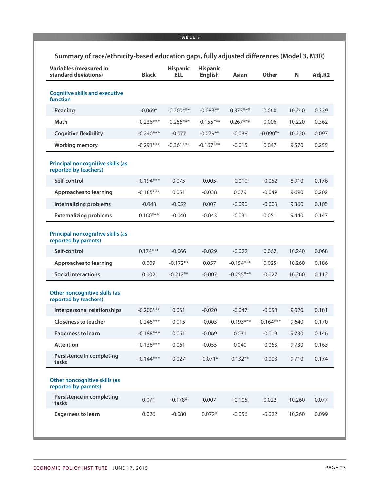|  |  |  | Summary of race/ethnicity-based education gaps, fully adjusted differences (Model 3, M3R) |  |  |
|--|--|--|-------------------------------------------------------------------------------------------|--|--|
|--|--|--|-------------------------------------------------------------------------------------------|--|--|

| <b>Variables (measured in</b><br>standard deviations)            | <b>Black</b> | <b>Hispanic</b><br><b>ELL</b> | <b>Hispanic</b><br><b>English</b> | Asian       | Other       | N      | Adj.R2 |
|------------------------------------------------------------------|--------------|-------------------------------|-----------------------------------|-------------|-------------|--------|--------|
| <b>Cognitive skills and executive</b><br>function                |              |                               |                                   |             |             |        |        |
| Reading                                                          | $-0.069*$    | $-0.200***$                   | $-0.083**$                        | $0.373***$  | 0.060       | 10,240 | 0.339  |
| Math                                                             | $-0.236***$  | $-0.256***$                   | $-0.155***$                       | $0.267***$  | 0.006       | 10,220 | 0.362  |
| <b>Cognitive flexibility</b>                                     | $-0.240***$  | $-0.077$                      | $-0.079**$                        | $-0.038$    | $-0.090**$  | 10,220 | 0.097  |
| <b>Working memory</b>                                            | $-0.291***$  | $-0.361***$                   | $-0.167***$                       | $-0.015$    | 0.047       | 9,570  | 0.255  |
| Principal noncognitive skills (as<br>reported by teachers)       |              |                               |                                   |             |             |        |        |
| Self-control                                                     | $-0.194***$  | 0.075                         | 0.005                             | $-0.010$    | $-0.052$    | 8,910  | 0.176  |
| <b>Approaches to learning</b>                                    | $-0.185***$  | 0.051                         | $-0.038$                          | 0.079       | $-0.049$    | 9,690  | 0.202  |
| <b>Internalizing problems</b>                                    | $-0.043$     | $-0.052$                      | 0.007                             | $-0.090$    | $-0.003$    | 9,360  | 0.103  |
| <b>Externalizing problems</b>                                    | $0.160***$   | $-0.040$                      | $-0.043$                          | $-0.031$    | 0.051       | 9,440  | 0.147  |
| <b>Principal noncognitive skills (as</b><br>reported by parents) |              |                               |                                   |             |             |        |        |
| Self-control                                                     | $0.174***$   | $-0.066$                      | $-0.029$                          | $-0.022$    | 0.062       | 10,240 | 0.068  |
| <b>Approaches to learning</b>                                    | 0.009        | $-0.172**$                    | 0.057                             | $-0.154***$ | 0.025       | 10,260 | 0.186  |
| <b>Social interactions</b>                                       | 0.002        | $-0.212**$                    | $-0.007$                          | $-0.255***$ | $-0.027$    | 10,260 | 0.112  |
| Other noncognitive skills (as<br>reported by teachers)           |              |                               |                                   |             |             |        |        |
| Interpersonal relationships                                      | $-0.200***$  | 0.061                         | $-0.020$                          | $-0.047$    | $-0.050$    | 9,020  | 0.181  |
| <b>Closeness to teacher</b>                                      | $-0.246***$  | 0.015                         | $-0.003$                          | $-0.193***$ | $-0.164***$ | 9,640  | 0.170  |
| <b>Eagerness to learn</b>                                        | $-0.188***$  | 0.061                         | $-0.069$                          | 0.031       | $-0.019$    | 9,730  | 0.146  |
| <b>Attention</b>                                                 | $-0.136***$  | 0.061                         | $-0.055$                          | 0.040       | $-0.063$    | 9,730  | 0.163  |
| Persistence in completing<br>tasks                               | $-0.144***$  | 0.027                         | $-0.071*$                         | $0.132**$   | $-0.008$    | 9,710  | 0.174  |
| Other noncognitive skills (as<br>reported by parents)            |              |                               |                                   |             |             |        |        |
| Persistence in completing<br>tasks                               | 0.071        | $-0.178*$                     | 0.007                             | $-0.105$    | 0.022       | 10,260 | 0.077  |
| <b>Eagerness to learn</b>                                        | 0.026        | $-0.080$                      | $0.072*$                          | $-0.056$    | $-0.022$    | 10,260 | 0.099  |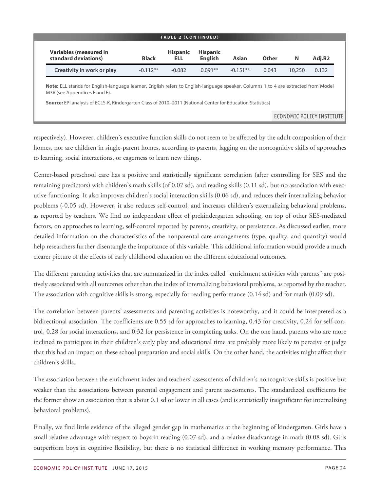| <b>TABLE 2 (CONTINUED)</b>                                                                                                                                                 |              |                        |                                   |            |              |                           |        |  |
|----------------------------------------------------------------------------------------------------------------------------------------------------------------------------|--------------|------------------------|-----------------------------------|------------|--------------|---------------------------|--------|--|
| <b>Variables (measured in</b><br>standard deviations)                                                                                                                      | <b>Black</b> | <b>Hispanic</b><br>ELL | <b>Hispanic</b><br><b>English</b> | Asian      | <b>Other</b> | N                         | Adj.R2 |  |
| Creativity in work or play                                                                                                                                                 | $-0.112**$   | $-0.082$               | $0.091**$                         | $-0.151**$ | 0.043        | 10,250                    | 0.132  |  |
| <b>Note:</b> ELL stands for English-language learner. English refers to English-language speaker. Columns 1 to 4 are extracted from Model<br>M3R (see Appendices E and F). |              |                        |                                   |            |              |                           |        |  |
| Source: EPI analysis of ECLS-K, Kindergarten Class of 2010-2011 (National Center for Education Statistics)                                                                 |              |                        |                                   |            |              |                           |        |  |
|                                                                                                                                                                            |              |                        |                                   |            |              | ECONOMIC POLICY INSTITUTE |        |  |

respectively). However, children's executive function skills do not seem to be affected by the adult composition of their homes, nor are children in single-parent homes, according to parents, lagging on the noncognitive skills of approaches to learning, social interactions, or eagerness to learn new things.

Center-based preschool care has a positive and statistically significant correlation (after controlling for SES and the remaining predictors) with children's math skills (of 0.07 sd), and reading skills (0.11 sd), but no association with executive functioning. It also improves children's social interaction skills (0.06 sd), and reduces their internalizing behavior problems (-0.05 sd). However, it also reduces self-control, and increases children's externalizing behavioral problems, as reported by teachers. We find no independent effect of prekindergarten schooling, on top of other SES-mediated factors, on approaches to learning, self-control reported by parents, creativity, or persistence. As discussed earlier, more detailed information on the characteristics of the nonparental care arrangements (type, quality, and quantity) would help researchers further disentangle the importance of this variable. This additional information would provide a much clearer picture of the effects of early childhood education on the different educational outcomes.

The different parenting activities that are summarized in the index called "enrichment activities with parents" are positively associated with all outcomes other than the index of internalizing behavioral problems, as reported by the teacher. The association with cognitive skills is strong, especially for reading performance (0.14 sd) and for math (0.09 sd).

The correlation between parents' assessments and parenting activities is noteworthy, and it could be interpreted as a bidirectional association. The coefficients are 0.55 sd for approaches to learning, 0.43 for creativity, 0.24 for self-control, 0.28 for social interactions, and 0.32 for persistence in completing tasks. On the one hand, parents who are more inclined to participate in their children's early play and educational time are probably more likely to perceive or judge that this had an impact on these school preparation and social skills. On the other hand, the activities might affect their children's skills.

The association between the enrichment index and teachers' assessments of children's noncognitive skills is positive but weaker than the associations between parental engagement and parent assessments. The standardized coefficients for the former show an association that is about 0.1 sd or lower in all cases (and is statistically insignificant for internalizing behavioral problems).

Finally, we find little evidence of the alleged gender gap in mathematics at the beginning of kindergarten. Girls have a small relative advantage with respect to boys in reading (0.07 sd), and a relative disadvantage in math (0.08 sd). Girls outperform boys in cognitive flexibility, but there is no statistical difference in working memory performance. This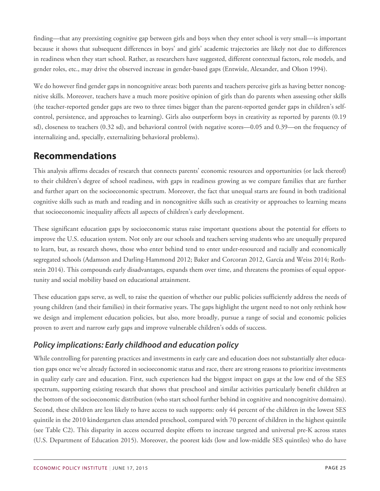finding—that any preexisting cognitive gap between girls and boys when they enter school is very small—is important because it shows that subsequent differences in boys' and girls' academic trajectories are likely not due to differences in readiness when they start school. Rather, as researchers have suggested, different contextual factors, role models, and gender roles, etc., may drive the observed increase in gender-based gaps (Entwisle, Alexander, and Olson 1994).

We do however find gender gaps in noncognitive areas: both parents and teachers perceive girls as having better noncognitive skills. Moreover, teachers have a much more positive opinion of girls than do parents when assessing other skills (the teacher-reported gender gaps are two to three times bigger than the parent-reported gender gaps in children's selfcontrol, persistence, and approaches to learning). Girls also outperform boys in creativity as reported by parents (0.19 sd), closeness to teachers (0.32 sd), and behavioral control (with negative scores—0.05 and 0.39—on the frequency of internalizing and, specially, externalizing behavioral problems).

# <span id="page-24-0"></span>**Recommendations**

This analysis affirms decades of research that connects parents' economic resources and opportunities (or lack thereof) to their children's degree of school readiness, with gaps in readiness growing as we compare families that are further and further apart on the socioeconomic spectrum. Moreover, the fact that unequal starts are found in both traditional cognitive skills such as math and reading and in noncognitive skills such as creativity or approaches to learning means that socioeconomic inequality affects all aspects of children's early development.

These significant education gaps by socioeconomic status raise important questions about the potential for efforts to improve the U.S. education system. Not only are our schools and teachers serving students who are unequally prepared to learn, but, as research shows, those who enter behind tend to enter under-resourced and racially and economically segregated schools (Adamson and Darling-Hammond 2012; Baker and Corcoran 2012, García and Weiss 2014; Rothstein 2014). This compounds early disadvantages, expands them over time, and threatens the promises of equal opportunity and social mobility based on educational attainment.

These education gaps serve, as well, to raise the question of whether our public policies sufficiently address the needs of young children (and their families) in their formative years. The gaps highlight the urgent need to not only rethink how we design and implement education policies, but also, more broadly, pursue a range of social and economic policies proven to avert and narrow early gaps and improve vulnerable children's odds of success.

# <span id="page-24-1"></span>*Policy implications: Early childhood and education policy*

While controlling for parenting practices and investments in early care and education does not substantially alter education gaps once we've already factored in socioeconomic status and race, there are strong reasons to prioritize investments in quality early care and education. First, such experiences had the biggest impact on gaps at the low end of the SES spectrum, supporting existing research that shows that preschool and similar activities particularly benefit children at the bottom of the socioeconomic distribution (who start school further behind in cognitive and noncognitive domains). Second, these children are less likely to have access to such supports: only 44 percent of the children in the lowest SES quintile in the 2010 kindergarten class attended preschool, compared with 70 percent of children in the highest quintile (see Table C2). This disparity in access occurred despite efforts to increase targeted and universal pre-K across states (U.S. Department of Education 2015). Moreover, the poorest kids (low and low-middle SES quintiles) who do have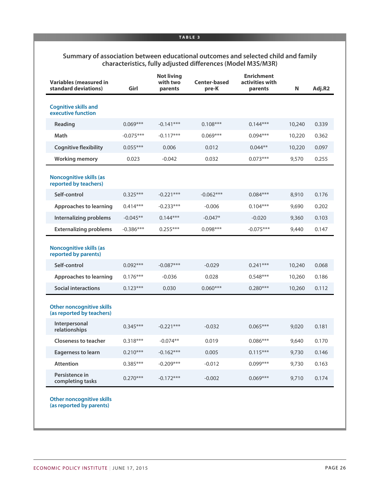#### **Summary of association between educational outcomes and selected child and family characteristics, fully adjusted differences (Model M3S/M3R)**

| <b>Variables (measured in</b><br>standard deviations)         | Girl        | <b>Not living</b><br>with two<br>parents | <b>Center-based</b><br>pre-K | <b>Enrichment</b><br>activities with<br>parents | N      | Adj.R2 |
|---------------------------------------------------------------|-------------|------------------------------------------|------------------------------|-------------------------------------------------|--------|--------|
| <b>Cognitive skills and</b><br>executive function             |             |                                          |                              |                                                 |        |        |
| Reading                                                       | $0.069***$  | $-0.141***$                              | $0.108***$                   | $0.144***$                                      | 10,240 | 0.339  |
| Math                                                          | $-0.075***$ | $-0.117***$                              | $0.069***$                   | $0.094***$                                      | 10,220 | 0.362  |
| <b>Cognitive flexibility</b>                                  | $0.055***$  | 0.006                                    | 0.012                        | $0.044**$                                       | 10,220 | 0.097  |
| <b>Working memory</b>                                         | 0.023       | $-0.042$                                 | 0.032                        | $0.073***$                                      | 9,570  | 0.255  |
| <b>Noncognitive skills (as</b><br>reported by teachers)       |             |                                          |                              |                                                 |        |        |
| Self-control                                                  | $0.325***$  | $-0.221***$                              | $-0.062***$                  | $0.084***$                                      | 8,910  | 0.176  |
| <b>Approaches to learning</b>                                 | $0.414***$  | $-0.233***$                              | $-0.006$                     | $0.104***$                                      | 9,690  | 0.202  |
| Internalizing problems                                        | $-0.045**$  | $0.144***$                               | $-0.047*$                    | $-0.020$                                        | 9,360  | 0.103  |
| <b>Externalizing problems</b>                                 | $-0.386***$ | $0.255***$                               | $0.098***$                   | $-0.075***$                                     | 9,440  | 0.147  |
| <b>Noncognitive skills (as</b><br>reported by parents)        |             |                                          |                              |                                                 |        |        |
| Self-control                                                  | $0.092***$  | $-0.087***$                              | $-0.029$                     | $0.241***$                                      | 10,240 | 0.068  |
| <b>Approaches to learning</b>                                 | $0.176***$  | $-0.036$                                 | 0.028                        | $0.548***$                                      | 10,260 | 0.186  |
| <b>Social interactions</b>                                    | $0.123***$  | 0.030                                    | $0.060***$                   | $0.280***$                                      | 10,260 | 0.112  |
| <b>Other noncognitive skills</b><br>(as reported by teachers) |             |                                          |                              |                                                 |        |        |
| Interpersonal<br>relationships                                | $0.345***$  | $-0.221***$                              | $-0.032$                     | $0.065***$                                      | 9,020  | 0.181  |
| <b>Closeness to teacher</b>                                   | $0.318***$  | $-0.074**$                               | 0.019                        | $0.086***$                                      | 9,640  | 0.170  |
| <b>Eagerness to learn</b>                                     | $0.210***$  | $-0.162***$                              | 0.005                        | $0.115***$                                      | 9,730  | 0.146  |
| Attention                                                     | $0.385***$  | $-0.209***$                              | $-0.012$                     | $0.099***$                                      | 9,730  | 0.163  |
| Persistence in<br>completing tasks                            | $0.270***$  | $-0.172***$                              | $-0.002$                     | $0.069***$                                      | 9,710  | 0.174  |
| <b>Other noncognitive skills</b><br>(as reported by parents)  |             |                                          |                              |                                                 |        |        |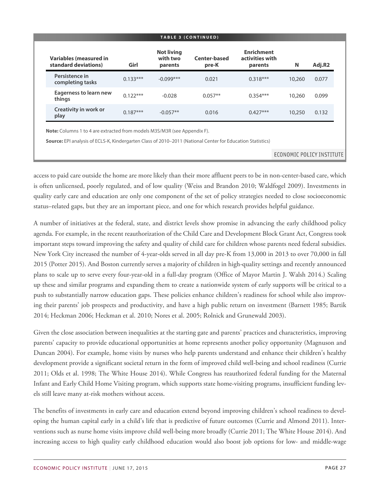| <b>Variables (measured in</b><br>standard deviations) | Girl       | <b>Not living</b><br>with two<br>parents | <b>Center-based</b><br>pre-K | <b>Enrichment</b><br>activities with<br>parents | N      | Adj.R2 |
|-------------------------------------------------------|------------|------------------------------------------|------------------------------|-------------------------------------------------|--------|--------|
| Persistence in<br>completing tasks                    | $0.133***$ | $-0.099***$                              | 0.021                        | $0.318***$                                      | 10,260 | 0.077  |
| <b>Eagerness to learn new</b><br>things               | $0.122***$ | $-0.028$                                 | $0.057**$                    | $0.354***$                                      | 10,260 | 0.099  |
| Creativity in work or<br>play                         | $0.187***$ | $-0.057**$                               | 0.016                        | $0.427***$                                      | 10,250 | 0.132  |

**Source:** EPI analysis of ECLS-K, Kindergarten Class of 2010–2011 (National Center for Education Statistics)

**ECONOMIC POLICY INSTITUTE** 

access to paid care outside the home are more likely than their more affluent peers to be in non-center-based care, which is often unlicensed, poorly regulated, and of low quality (Weiss and Brandon 2010; Waldfogel 2009). Investments in quality early care and education are only one component of the set of policy strategies needed to close socioeconomic status–related gaps, but they are an important piece, and one for which research provides helpful guidance.

A number of initiatives at the federal, state, and district levels show promise in advancing the early childhood policy agenda. For example, in the recent reauthorization of the Child Care and Development Block Grant Act, Congress took important steps toward improving the safety and quality of child care for children whose parents need federal subsidies. New York City increased the number of 4-year-olds served in all day pre-K from 13,000 in 2013 to over 70,000 in fall 2015 (Potter 2015). And Boston currently serves a majority of children in high-quality settings and recently announced plans to scale up to serve every four-year-old in a full-day program (Office of Mayor Martin J. Walsh 2014.) Scaling up these and similar programs and expanding them to create a nationwide system of early supports will be critical to a push to substantially narrow education gaps. These policies enhance children's readiness for school while also improving their parents' job prospects and productivity, and have a high public return on investment (Barnett 1985; Bartik 2014; Heckman 2006; Heckman et al. 2010; Nores et al. 2005; Rolnick and Grunewald 2003).

Given the close association between inequalities at the starting gate and parents' practices and characteristics, improving parents' capacity to provide educational opportunities at home represents another policy opportunity (Magnuson and Duncan 2004). For example, home visits by nurses who help parents understand and enhance their children's healthy development provide a significant societal return in the form of improved child well-being and school readiness (Currie 2011; Olds et al. 1998; The White House 2014). While Congress has reauthorized federal funding for the Maternal Infant and Early Child Home Visiting program, which supports state home-visiting programs, insufficient funding levels still leave many at-risk mothers without access.

The benefits of investments in early care and education extend beyond improving children's school readiness to developing the human capital early in a child's life that is predictive of future outcomes (Currie and Almond 2011). Interventions such as nurse home visits improve child well-being more broadly (Currie 2011; The White House 2014). And increasing access to high quality early childhood education would also boost job options for low- and middle-wage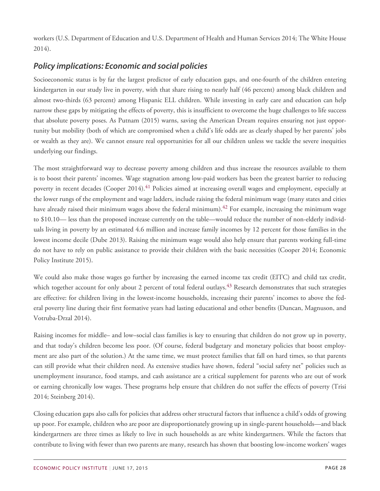workers (U.S. Department of Education and U.S. Department of Health and Human Services 2014; The White House 2014).

# <span id="page-27-0"></span>*Policy implications: Economic and social policies*

Socioeconomic status is by far the largest predictor of early education gaps, and one-fourth of the children entering kindergarten in our study live in poverty, with that share rising to nearly half (46 percent) among black children and almost two-thirds (63 percent) among Hispanic ELL children. While investing in early care and education can help narrow these gaps by mitigating the effects of poverty, this is insufficient to overcome the huge challenges to life success that absolute poverty poses. As Putnam (2015) warns, saving the American Dream requires ensuring not just opportunity but mobility (both of which are compromised when a child's life odds are as clearly shaped by her parents' jobs or wealth as they are). We cannot ensure real opportunities for all our children unless we tackle the severe inequities underlying our findings.

The most straightforward way to decrease poverty among children and thus increase the resources available to them is to boost their parents' incomes. Wage stagnation among low-paid workers has been the greatest barrier to reducing poverty in recent decades (Cooper 2014).<sup>[41](#page-82-9)</sup> Policies aimed at increasing overall wages and employment, especially at the lower rungs of the employment and wage ladders, include raising the federal minimum wage (many states and cities have already raised their minimum wages above the federal minimum).<sup>[42](#page-82-10)</sup> For example, increasing the minimum wage to \$10.10— less than the proposed increase currently on the table—would reduce the number of non-elderly individuals living in poverty by an estimated 4.6 million and increase family incomes by 12 percent for those families in the lowest income decile (Dube 2013). Raising the minimum wage would also help ensure that parents working full-time do not have to rely on public assistance to provide their children with the basic necessities (Cooper 2014; Economic Policy Institute 2015).

We could also make those wages go further by increasing the earned income tax credit (EITC) and child tax credit, which together account for only about 2 percent of total federal outlays.<sup>[43](#page-82-11)</sup> Research demonstrates that such strategies are effective: for children living in the lowest-income households, increasing their parents' incomes to above the federal poverty line during their first formative years had lasting educational and other benefits (Duncan, Magnuson, and Votruba-Drzal 2014).

Raising incomes for middle– and low–social class families is key to ensuring that children do not grow up in poverty, and that today's children become less poor. (Of course, federal budgetary and monetary policies that boost employment are also part of the solution.) At the same time, we must protect families that fall on hard times, so that parents can still provide what their children need. As extensive studies have shown, federal "social safety net" policies such as unemployment insurance, food stamps, and cash assistance are a critical supplement for parents who are out of work or earning chronically low wages. These programs help ensure that children do not suffer the effects of poverty (Trisi 2014; Steinberg 2014).

Closing education gaps also calls for policies that address other structural factors that influence a child's odds of growing up poor. For example, children who are poor are disproportionately growing up in single-parent households—and black kindergartners are three times as likely to live in such households as are white kindergartners. While the factors that contribute to living with fewer than two parents are many, research has shown that boosting low-income workers' wages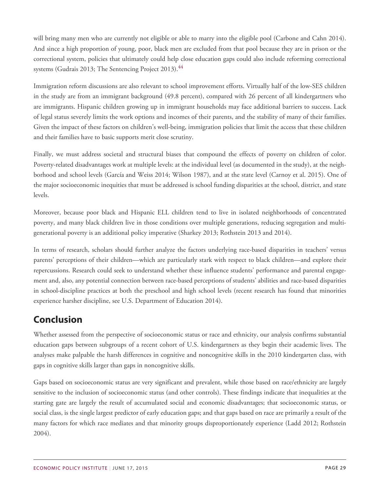will bring many men who are currently not eligible or able to marry into the eligible pool (Carbone and Cahn 2014). And since a high proportion of young, poor, black men are excluded from that pool because they are in prison or the correctional system, policies that ultimately could help close education gaps could also include reforming correctional systems (Gudrais 2013; The Sentencing Project 2013).<sup>[44](#page-82-12)</sup>

Immigration reform discussions are also relevant to school improvement efforts. Virtually half of the low-SES children in the study are from an immigrant background (49.8 percent), compared with 26 percent of all kindergartners who are immigrants. Hispanic children growing up in immigrant households may face additional barriers to success. Lack of legal status severely limits the work options and incomes of their parents, and the stability of many of their families. Given the impact of these factors on children's well-being, immigration policies that limit the access that these children and their families have to basic supports merit close scrutiny.

Finally, we must address societal and structural biases that compound the effects of poverty on children of color. Poverty-related disadvantages work at multiple levels: at the individual level (as documented in the study), at the neighborhood and school levels (García and Weiss 2014; Wilson 1987), and at the state level (Carnoy et al. 2015). One of the major socioeconomic inequities that must be addressed is school funding disparities at the school, district, and state levels.

Moreover, because poor black and Hispanic ELL children tend to live in isolated neighborhoods of concentrated poverty, and many black children live in those conditions over multiple generations, reducing segregation and multigenerational poverty is an additional policy imperative (Sharkey 2013; Rothstein 2013 and 2014).

In terms of research, scholars should further analyze the factors underlying race-based disparities in teachers' versus parents' perceptions of their children—which are particularly stark with respect to black children—and explore their repercussions. Research could seek to understand whether these influence students' performance and parental engagement and, also, any potential connection between race-based perceptions of students' abilities and race-based disparities in school-discipline practices at both the preschool and high school levels (recent research has found that minorities experience harsher discipline, see U.S. Department of Education 2014).

# <span id="page-28-0"></span>**Conclusion**

Whether assessed from the perspective of socioeconomic status or race and ethnicity, our analysis confirms substantial education gaps between subgroups of a recent cohort of U.S. kindergartners as they begin their academic lives. The analyses make palpable the harsh differences in cognitive and noncognitive skills in the 2010 kindergarten class, with gaps in cognitive skills larger than gaps in noncognitive skills.

Gaps based on socioeconomic status are very significant and prevalent, while those based on race/ethnicity are largely sensitive to the inclusion of socioeconomic status (and other controls). These findings indicate that inequalities at the starting gate are largely the result of accumulated social and economic disadvantages; that socioeconomic status, or social class, is the single largest predictor of early education gaps; and that gaps based on race are primarily a result of the many factors for which race mediates and that minority groups disproportionately experience (Ladd 2012; Rothstein 2004).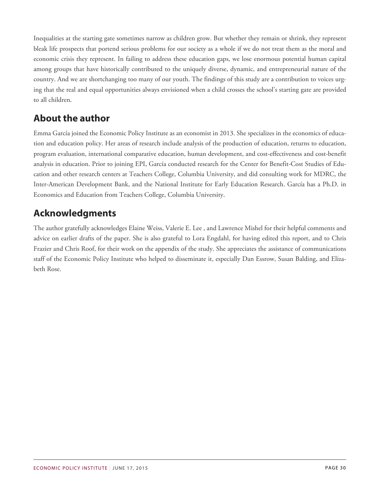Inequalities at the starting gate sometimes narrow as children grow. But whether they remain or shrink, they represent bleak life prospects that portend serious problems for our society as a whole if we do not treat them as the moral and economic crisis they represent. In failing to address these education gaps, we lose enormous potential human capital among groups that have historically contributed to the uniquely diverse, dynamic, and entrepreneurial nature of the country. And we are shortchanging too many of our youth. The findings of this study are a contribution to voices urging that the real and equal opportunities always envisioned when a child crosses the school's starting gate are provided to all children.

# <span id="page-29-0"></span>**About the author**

Emma García joined the Economic Policy Institute as an economist in 2013. She specializes in the economics of education and education policy. Her areas of research include analysis of the production of education, returns to education, program evaluation, international comparative education, human development, and cost-effectiveness and cost-benefit analysis in education. Prior to joining EPI, García conducted research for the Center for Benefit-Cost Studies of Education and other research centers at Teachers College, Columbia University, and did consulting work for MDRC, the Inter-American Development Bank, and the National Institute for Early Education Research. García has a Ph.D. in Economics and Education from Teachers College, Columbia University.

# <span id="page-29-1"></span>**Acknowledgments**

The author gratefully acknowledges Elaine Weiss, Valerie E. Lee , and Lawrence Mishel for their helpful comments and advice on earlier drafts of the paper. She is also grateful to Lora Engdahl, for having edited this report, and to Chris Frazier and Chris Roof, for their work on the appendix of the study. She appreciates the assistance of communications staff of the Economic Policy Institute who helped to disseminate it, especially Dan Essrow, Susan Balding, and Elizabeth Rose.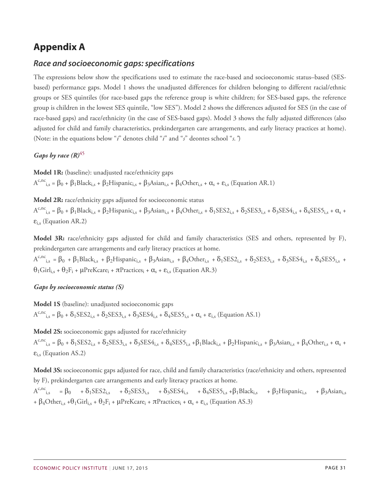# <span id="page-30-0"></span>**Appendix A**

### <span id="page-30-1"></span>*Race and socioeconomic gaps: specifications*

The expressions below show the specifications used to estimate the race-based and socioeconomic status–based (SESbased) performance gaps. Model 1 shows the unadjusted differences for children belonging to different racial/ethnic groups or SES quintiles (for race-based gaps the reference group is white children; for SES-based gaps, the reference group is children in the lowest SES quintile, "low SES"). Model 2 shows the differences adjusted for SES (in the case of race-based gaps) and race/ethnicity (in the case of SES-based gaps). Model 3 shows the fully adjusted differences (also adjusted for child and family characteristics, prekindergarten care arrangements, and early literacy practices at home). (Note: in the equations below "*i*" denotes child "*i*" and "*s*" deontes school "*s."*)

#### *Gaps by race (R)*[45](#page-82-13)

**Model 1R:** (baseline): unadjusted race/ethnicity gaps  $A^{c,nc}$ <sub>i,s</sub> =  $\beta_0$  +  $\beta_1$ Black<sub>i,s</sub> +  $\beta_2$ Hispanic<sub>i,s</sub> +  $\beta_3$ Asian<sub>i,s</sub> +  $\beta_4$ Other<sub>i,s</sub> +  $\alpha_s$  +  $\varepsilon_{i,s}$  (Equation AR.1)

**Model 2R:** race/ethnicity gaps adjusted for socioeconomic status

 $A^{c,nc}$ <sub>i,s</sub> =  $\beta_0$  +  $\beta_1$ Black<sub>i,s</sub> +  $\beta_2$ Hispanic<sub>i,s</sub> +  $\beta_3$ Asian<sub>i,s</sub> +  $\beta_4$ Other<sub>i,s</sub> +  $\delta_1$ SES2<sub>i,s</sub> +  $\delta_2$ SES3<sub>i,s</sub> +  $\delta_3$ SES4<sub>i,s</sub> +  $\delta_4$ SES5<sub>i,s</sub> +  $\alpha_s$  +  $\varepsilon$ <sub>i,s</sub> (Equation AR.2)

**Model 3R:** race/ethnicity gaps adjusted for child and family characteristics (SES and others, represented by F), prekindergarten care arrangements and early literacy practices at home.

 $A^{c,nc}$ <sub>i,s</sub> =  $\beta_0$  +  $\beta_1$ Black<sub>i,s</sub> +  $\beta_2$ Hispanic<sub>i,s</sub> +  $\beta_3$ Asian<sub>i,s</sub> +  $\beta_4$ Other<sub>i,s</sub> +  $\delta_1$ SES2<sub>i,s</sub> +  $\delta_2$ SES3<sub>i,s</sub> +  $\delta_3$ SES4<sub>i,s</sub> +  $\delta_4$ SES5<sub>i,s</sub> +  $\theta_1$ Girl<sub>i,s</sub> +  $\theta_2$ F<sub>i</sub> +  $\mu$ PreKcare<sub>i</sub> +  $\pi$ Practices<sub>i</sub> +  $\alpha_s$  +  $\varepsilon_{i,s}$  (Equation AR.3)

#### *Gaps by socioeconomic status (S)*

**Model 1S** (baseline): unadjusted socioeconomic gaps  $A^{c,nc}$ <sub>i,s</sub> =  $\beta_0 + \delta_1$ SES2<sub>i,s</sub> +  $\delta_2$ SES3<sub>i,s</sub> +  $\delta_3$ SES4<sub>i,s</sub> +  $\delta_4$ SES5<sub>i,s</sub> +  $\alpha_s$  +  $\varepsilon_{i,s}$  (Equation AS.1)

**Model 2S:** socioeconomic gaps adjusted for race/ethnicity  $A^{c,nc}$ <sub>i,s</sub> =  $\beta_0$  +  $\delta_1$ SES2<sub>i,s</sub> +  $\delta_2$ SES3<sub>i,s</sub> +  $\delta_3$ SES4<sub>i,s</sub> +  $\delta_4$ SES5<sub>i,s</sub> +  $\beta_1$ Black<sub>i,s</sub> +  $\beta_2$ Hispanic<sub>i,s</sub> +  $\beta_3$ Asian<sub>i,s</sub> +  $\beta_4$ Other<sub>i,s</sub> +  $\alpha_s$  +  $\varepsilon$ <sub>i.s</sub> (Equation AS.2)

**Model 3S:** socioeconomic gaps adjusted for race, child and family characteristics (race/ethnicity and others, represented by F), prekindergarten care arrangements and early literacy practices at home.

 $A^{c,nc}$ <sub>i,s</sub> =  $\beta_0$  +  $\delta_1$ SES2<sub>i,s</sub> +  $\delta_2$ SES3<sub>i,s</sub> +  $\delta_3$ SES4<sub>i,s</sub> +  $\delta_4$ SES5<sub>i,s</sub> +  $\beta_1$ Black<sub>i,s</sub> +  $\beta_2$ Hispanic<sub>i,s</sub> +  $\beta_3$ Asian<sub>i,s</sub> +  $\beta_4$ Other<sub>i,s</sub> +  $\theta_1$ Girl<sub>i,s</sub> +  $\theta_2$ F<sub>i</sub> + μPreKcare<sub>i</sub> +  $\pi$ Practices<sub>i</sub> +  $\alpha_s$  +  $\varepsilon_{i,s}$  (Equation AS.3)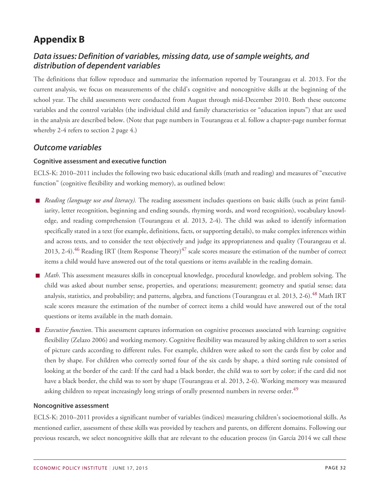# <span id="page-31-0"></span>**Appendix B**

### <span id="page-31-1"></span>*Data issues: Definition of variables, missing data, use of sample weights, and distribution of dependent variables*

The definitions that follow reproduce and summarize the information reported by Tourangeau et al. 2013. For the current analysis, we focus on measurements of the child's cognitive and noncognitive skills at the beginning of the school year. The child assessments were conducted from August through mid-December 2010. Both these outcome variables and the control variables (the individual child and family characteristics or "education inputs") that are used in the analysis are described below. (Note that page numbers in Tourangeau et al. follow a chapter-page number format whereby 2-4 refers to section 2 page 4.)

### <span id="page-31-2"></span>*Outcome variables*

#### **Cognitive assessment and executive function**

ECLS-K: 2010–2011 includes the following two basic educational skills (math and reading) and measures of "executive function" (cognitive flexibility and working memory), as outlined below:

- *Reading (language use and literacy).* The reading assessment includes questions on basic skills (such as print familiarity, letter recognition, beginning and ending sounds, rhyming words, and word recognition), vocabulary knowledge, and reading comprehension (Tourangeau et al. 2013, 2-4). The child was asked to identify information specifically stated in a text (for example, definitions, facts, or supporting details), to make complex inferences within and across texts, and to consider the text objectively and judge its appropriateness and quality (Tourangeau et al. 2013, 2-4).<sup>[46](#page-83-1)</sup> Reading IRT (Item Response Theory)<sup>[47](#page-83-2)</sup> scale scores measure the estimation of the number of correct items a child would have answered out of the total questions or items available in the reading domain.
- *Math*. This assessment measures skills in conceptual knowledge, procedural knowledge, and problem solving. The child was asked about number sense, properties, and operations; measurement; geometry and spatial sense; data analysis, statistics, and probability; and patterns, algebra, and functions (Tourangeau et al. 2013, 2-6).<sup>[48](#page-83-3)</sup> Math IRT scale scores measure the estimation of the number of correct items a child would have answered out of the total questions or items available in the math domain.
- *Executive function*. This assessment captures information on cognitive processes associated with learning: cognitive flexibility (Zelazo 2006) and working memory. Cognitive flexibility was measured by asking children to sort a series of picture cards according to different rules. For example, children were asked to sort the cards first by color and then by shape. For children who correctly sorted four of the six cards by shape, a third sorting rule consisted of looking at the border of the card: If the card had a black border, the child was to sort by color; if the card did not have a black border, the child was to sort by shape (Tourangeau et al. 2013, 2-6). Working memory was measured asking children to repeat increasingly long strings of orally presented numbers in reverse order.<sup>[49](#page-83-4)</sup>

#### **Noncognitive assessment**

ECLS-K: 2010–2011 provides a significant number of variables (indices) measuring children's socioemotional skills. As mentioned earlier, assessment of these skills was provided by teachers and parents, on different domains. Following our previous research, we select noncognitive skills that are relevant to the education process (in García 2014 we call these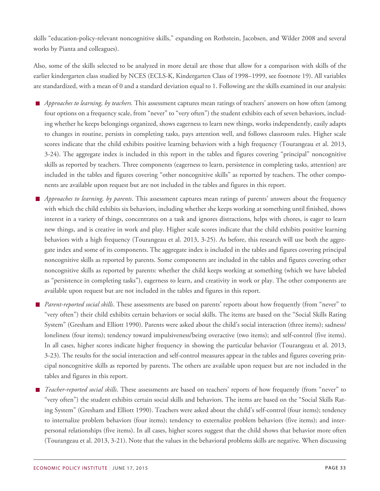skills "education-policy-relevant noncognitive skills," expanding on Rothstein, Jacobsen, and Wilder 2008 and several works by Pianta and colleagues).

Also, some of the skills selected to be analyzed in more detail are those that allow for a comparison with skills of the earlier kindergarten class studied by NCES (ECLS-K, Kindergarten Class of 1998–1999, see footnote 19). All variables are standardized, with a mean of 0 and a standard deviation equal to 1. Following are the skills examined in our analysis:

- *Approaches to learning, by teachers.* This assessment captures mean ratings of teachers' answers on how often (among four options on a frequency scale, from "never" to "very often") the student exhibits each of seven behaviors, including whether he keeps belongings organized, shows eagerness to learn new things, works independently, easily adapts to changes in routine, persists in completing tasks, pays attention well, and follows classroom rules. Higher scale scores indicate that the child exhibits positive learning behaviors with a high frequency (Tourangeau et al. 2013, 3-24). The aggregate index is included in this report in the tables and figures covering "principal" noncognitive skills as reported by teachers. Three components (eagerness to learn, persistence in completing tasks, attention) are included in the tables and figures covering "other noncognitive skills" as reported by teachers. The other components are available upon request but are not included in the tables and figures in this report.
- *Approaches to learning, by parents*. This assessment captures mean ratings of parents' answers about the frequency with which the child exhibits six behaviors, including whether she keeps working at something until finished, shows interest in a variety of things, concentrates on a task and ignores distractions, helps with chores, is eager to learn new things, and is creative in work and play. Higher scale scores indicate that the child exhibits positive learning behaviors with a high frequency (Tourangeau et al. 2013, 3-25). As before, this research will use both the aggregate index and some of its components. The aggregate index is included in the tables and figures covering principal noncognitive skills as reported by parents. Some components are included in the tables and figures covering other noncognitive skills as reported by parents: whether the child keeps working at something (which we have labeled as "persistence in completing tasks"), eagerness to learn, and creativity in work or play. The other components are available upon request but are not included in the tables and figures in this report.
- *Parent-reported social skills*. These assessments are based on parents' reports about how frequently (from "never" to "very often") their child exhibits certain behaviors or social skills. The items are based on the "Social Skills Rating System" (Gresham and Elliott 1990). Parents were asked about the child's social interaction (three items); sadness/ loneliness (four items); tendency toward impulsiveness/being overactive (two items); and self-control (five items). In all cases, higher scores indicate higher frequency in showing the particular behavior (Tourangeau et al. 2013, 3-23). The results for the social interaction and self-control measures appear in the tables and figures covering principal noncognitive skills as reported by parents. The others are available upon request but are not included in the tables and figures in this report.
- *Teacher-reported social skills*. These assessments are based on teachers' reports of how frequently (from "never" to "very often") the student exhibits certain social skills and behaviors. The items are based on the "Social Skills Rating System" (Gresham and Elliott 1990). Teachers were asked about the child's self-control (four items); tendency to internalize problem behaviors (four items); tendency to externalize problem behaviors (five items); and interpersonal relationships (five items). In all cases, higher scores suggest that the child shows that behavior more often (Tourangeau et al. 2013, 3-21). Note that the values in the behavioral problems skills are negative. When discussing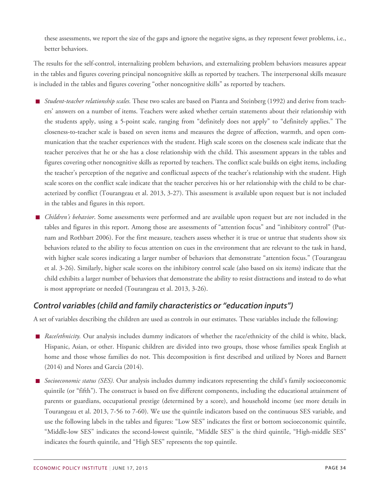these assessments, we report the size of the gaps and ignore the negative signs, as they represent fewer problems, i.e., better behaviors.

The results for the self-control, internalizing problem behaviors, and externalizing problem behaviors measures appear in the tables and figures covering principal noncognitive skills as reported by teachers. The interpersonal skills measure is included in the tables and figures covering "other noncognitive skills" as reported by teachers.

- *Student-teacher relationship scales.* These two scales are based on Pianta and Steinberg (1992) and derive from teachers' answers on a number of items. Teachers were asked whether certain statements about their relationship with the students apply, using a 5-point scale, ranging from "definitely does not apply" to "definitely applies." The closeness-to-teacher scale is based on seven items and measures the degree of affection, warmth, and open communication that the teacher experiences with the student. High scale scores on the closeness scale indicate that the teacher perceives that he or she has a close relationship with the child. This assessment appears in the tables and figures covering other noncognitive skills as reported by teachers. The conflict scale builds on eight items, including the teacher's perception of the negative and conflictual aspects of the teacher's relationship with the student. High scale scores on the conflict scale indicate that the teacher perceives his or her relationship with the child to be characterized by conflict (Tourangeau et al. 2013, 3-27). This assessment is available upon request but is not included in the tables and figures in this report.
- *Children's behavior*. Some assessments were performed and are available upon request but are not included in the tables and figures in this report. Among those are assessments of "attention focus" and "inhibitory control" (Putnam and Rothbart 2006). For the first measure, teachers assess whether it is true or untrue that students show six behaviors related to the ability to focus attention on cues in the environment that are relevant to the task in hand, with higher scale scores indicating a larger number of behaviors that demonstrate "attention focus." (Tourangeau et al. 3-26). Similarly, higher scale scores on the inhibitory control scale (also based on six items) indicate that the child exhibits a larger number of behaviors that demonstrate the ability to resist distractions and instead to do what is most appropriate or needed (Tourangeau et al. 2013, 3-26).

# <span id="page-33-0"></span>*Control variables (child and family characteristics or "education inputs")*

A set of variables describing the children are used as controls in our estimates. These variables include the following:

- *Race/ethnicity*. Our analysis includes dummy indicators of whether the race/ethnicity of the child is white, black, Hispanic, Asian, or other. Hispanic children are divided into two groups, those whose families speak English at home and those whose families do not. This decomposition is first described and utilized by Nores and Barnett (2014) and Nores and García (2014).
- *Socioeconomic status (SES).* Our analysis includes dummy indicators representing the child's family socioeconomic quintile (or "fifth"). The construct is based on five different components, including the educational attainment of parents or guardians, occupational prestige (determined by a score), and household income (see more details in Tourangeau et al. 2013, 7-56 to 7-60). We use the quintile indicators based on the continuous SES variable, and use the following labels in the tables and figures: "Low SES" indicates the first or bottom socioeconomic quintile, "Middle-low SES" indicates the second-lowest quintile, "Middle SES" is the third quintile, "High-middle SES" indicates the fourth quintile, and "High SES" represents the top quintile.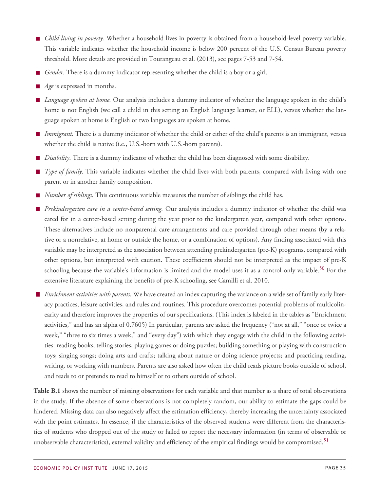- *Child living in poverty.* Whether a household lives in poverty is obtained from a household-level poverty variable. This variable indicates whether the household income is below 200 percent of the U.S. Census Bureau poverty threshold. More details are provided in Tourangeau et al. (2013), see pages 7-53 and 7-54.
- *Gender.* There is a dummy indicator representing whether the child is a boy or a girl.
- *Age* is expressed in months.
- *Language spoken at home.* Our analysis includes a dummy indicator of whether the language spoken in the child's home is not English (we call a child in this setting an English language learner, or ELL), versus whether the language spoken at home is English or two languages are spoken at home.
- *Immigrant.* There is a dummy indicator of whether the child or either of the child's parents is an immigrant, versus whether the child is native (i.e., U.S.-born with U.S.-born parents).
- *Disability*. There is a dummy indicator of whether the child has been diagnosed with some disability.
- *Type of family*. This variable indicates whether the child lives with both parents, compared with living with one parent or in another family composition.
- *Number of siblings.* This continuous variable measures the number of siblings the child has.
- *Prekindergarten care in a center-based setting.* Our analysis includes a dummy indicator of whether the child was cared for in a center-based setting during the year prior to the kindergarten year, compared with other options. These alternatives include no nonparental care arrangements and care provided through other means (by a relative or a nonrelative, at home or outside the home, or a combination of options). Any finding associated with this variable may be interpreted as the association between attending prekindergarten (pre-K) programs, compared with other options, but interpreted with caution. These coefficients should not be interpreted as the impact of pre-K schooling because the variable's information is limited and the model uses it as a control-only variable.<sup>[50](#page-83-5)</sup> For the extensive literature explaining the benefits of pre-K schooling, see Camilli et al. 2010.
- *Enrichment activities with parents.* We have created an index capturing the variance on a wide set of family early literacy practices, leisure activities, and rules and routines. This procedure overcomes potential problems of multicolinearity and therefore improves the properties of our specifications. (This index is labeled in the tables as "Enrichment activities," and has an alpha of 0.7605) In particular, parents are asked the frequency ("not at all," "once or twice a week," "three to six times a week," and "every day") with which they engage with the child in the following activities: reading books; telling stories; playing games or doing puzzles; building something or playing with construction toys; singing songs; doing arts and crafts; talking about nature or doing science projects; and practicing reading, writing, or working with numbers. Parents are also asked how often the child reads picture books outside of school, and reads to or pretends to read to himself or to others outside of school.

**Table B.1** shows the number of missing observations for each variable and that number as a share of total observations in the study. If the absence of some observations is not completely random, our ability to estimate the gaps could be hindered. Missing data can also negatively affect the estimation efficiency, thereby increasing the uncertainty associated with the point estimates. In essence, if the characteristics of the observed students were different from the characteristics of students who dropped out of the study or failed to report the necessary information (in terms of observable or unobservable characteristics), external validity and efficiency of the empirical findings would be compromised.<sup>[51](#page-83-6)</sup>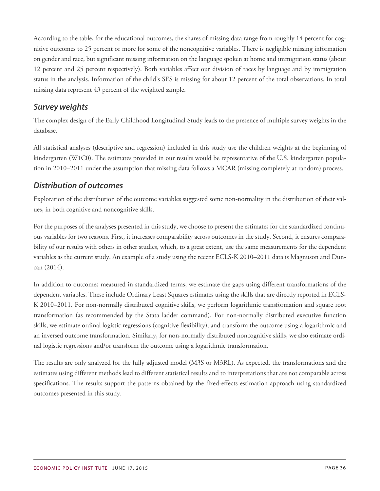According to the table, for the educational outcomes, the shares of missing data range from roughly 14 percent for cognitive outcomes to 25 percent or more for some of the noncognitive variables. There is negligible missing information on gender and race, but significant missing information on the language spoken at home and immigration status (about 12 percent and 25 percent respectively). Both variables affect our division of races by language and by immigration status in the analysis. Information of the child's SES is missing for about 12 percent of the total observations. In total missing data represent 43 percent of the weighted sample.

### <span id="page-35-0"></span>*Survey weights*

The complex design of the Early Childhood Longitudinal Study leads to the presence of multiple survey weights in the database.

All statistical analyses (descriptive and regression) included in this study use the children weights at the beginning of kindergarten (W1C0). The estimates provided in our results would be representative of the U.S. kindergarten population in 2010–2011 under the assumption that missing data follows a MCAR (missing completely at random) process.

### <span id="page-35-1"></span>*Distribution of outcomes*

Exploration of the distribution of the outcome variables suggested some non-normality in the distribution of their values, in both cognitive and noncognitive skills.

For the purposes of the analyses presented in this study, we choose to present the estimates for the standardized continuous variables for two reasons. First, it increases comparability across outcomes in the study. Second, it ensures comparability of our results with others in other studies, which, to a great extent, use the same measurements for the dependent variables as the current study. An example of a study using the recent ECLS-K 2010–2011 data is Magnuson and Duncan (2014).

In addition to outcomes measured in standardized terms, we estimate the gaps using different transformations of the dependent variables. These include Ordinary Least Squares estimates using the skills that are directly reported in ECLS-K 2010–2011. For non-normally distributed cognitive skills, we perform logarithmic transformation and square root transformation (as recommended by the Stata ladder command). For non-normally distributed executive function skills, we estimate ordinal logistic regressions (cognitive flexibility), and transform the outcome using a logarithmic and an inversed outcome transformation. Similarly, for non-normally distributed noncognitive skills, we also estimate ordinal logistic regressions and/or transform the outcome using a logarithmic transformation.

The results are only analyzed for the fully adjusted model (M3S or M3RL). As expected, the transformations and the estimates using different methods lead to different statistical results and to interpretations that are not comparable across specifications. The results support the patterns obtained by the fixed-effects estimation approach using standardized outcomes presented in this study.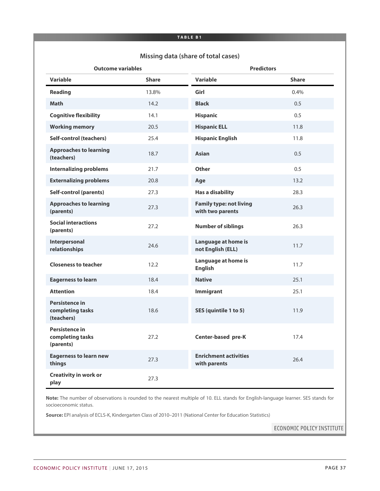#### **TABLE B1**

## **Missing data (share of total cases)**

| <b>Outcome variables</b>                         |              | <b>Predictors</b>                                  |              |  |  |  |
|--------------------------------------------------|--------------|----------------------------------------------------|--------------|--|--|--|
| Variable                                         | <b>Share</b> | <b>Variable</b>                                    | <b>Share</b> |  |  |  |
| Reading                                          | 13.8%        | Girl                                               | 0.4%         |  |  |  |
| <b>Math</b>                                      | 14.2         | <b>Black</b>                                       | 0.5          |  |  |  |
| <b>Cognitive flexibility</b>                     | 14.1         | <b>Hispanic</b>                                    | 0.5          |  |  |  |
| <b>Working memory</b>                            | 20.5         | <b>Hispanic ELL</b>                                | 11.8         |  |  |  |
| <b>Self-control (teachers)</b>                   | 25.4         | <b>Hispanic English</b>                            | 11.8         |  |  |  |
| <b>Approaches to learning</b><br>(teachers)      | 18.7         | <b>Asian</b>                                       | 0.5          |  |  |  |
| <b>Internalizing problems</b>                    | 21.7         | <b>Other</b>                                       | 0.5          |  |  |  |
| <b>Externalizing problems</b>                    | 20.8         | Age                                                | 13.2         |  |  |  |
| <b>Self-control (parents)</b>                    | 27.3         | <b>Has a disability</b>                            | 28.3         |  |  |  |
| <b>Approaches to learning</b><br>(parents)       | 27.3         | <b>Family type: not living</b><br>with two parents | 26.3         |  |  |  |
| <b>Social interactions</b><br>(parents)          | 27.2         | <b>Number of siblings</b>                          | 26.3         |  |  |  |
| Interpersonal<br>relationships                   | 24.6         | Language at home is<br>not English (ELL)           | 11.7         |  |  |  |
| <b>Closeness to teacher</b>                      | 12.2         | Language at home is<br><b>English</b>              | 11.7         |  |  |  |
| <b>Eagerness to learn</b>                        | 18.4         | <b>Native</b>                                      | 25.1         |  |  |  |
| <b>Attention</b>                                 | 18.4         | <b>Immigrant</b>                                   | 25.1         |  |  |  |
| Persistence in<br>completing tasks<br>(teachers) | 18.6         | SES (quintile 1 to 5)                              | 11.9         |  |  |  |
| Persistence in<br>completing tasks<br>(parents)  | 27.2         | <b>Center-based pre-K</b>                          | 17.4         |  |  |  |
| <b>Eagerness to learn new</b><br>things          | 27.3         | <b>Enrichment activities</b><br>with parents       | 26.4         |  |  |  |
| <b>Creativity in work or</b><br>play             | 27.3         |                                                    |              |  |  |  |

**Note:** The number of observations is rounded to the nearest multiple of 10. ELL stands for English-language learner. SES stands for socioeconomic status.

**Source:** EPI analysis of ECLS-K, Kindergarten Class of 2010–2011 (National Center for Education Statistics)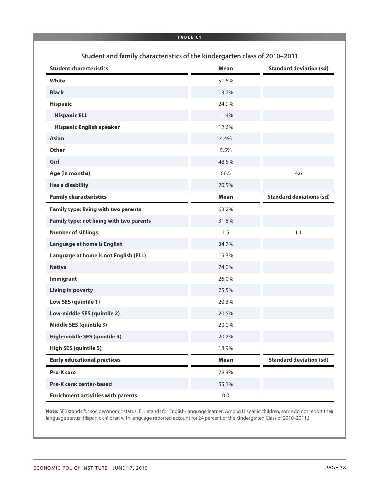|                                                                           | <b>TABLE C1</b> |                                 |
|---------------------------------------------------------------------------|-----------------|---------------------------------|
| Student and family characteristics of the kindergarten class of 2010-2011 |                 |                                 |
| <b>Student characteristics</b>                                            | <b>Mean</b>     | <b>Standard deviation (sd)</b>  |
| White                                                                     | 51.5%           |                                 |
| <b>Black</b>                                                              | 13.7%           |                                 |
| <b>Hispanic</b>                                                           | 24.9%           |                                 |
| <b>Hispanic ELL</b>                                                       | 11.4%           |                                 |
| <b>Hispanic English speaker</b>                                           | 12.6%           |                                 |
| <b>Asian</b>                                                              | 4.4%            |                                 |
| <b>Other</b>                                                              | 5.5%            |                                 |
| Girl                                                                      | 48.5%           |                                 |
| Age (in months)                                                           | 68.5            | 4.6                             |
| <b>Has a disability</b>                                                   | 20.5%           |                                 |
| <b>Family characteristics</b>                                             | <b>Mean</b>     | <b>Standard deviations (sd)</b> |
| <b>Family type: living with two parents</b>                               | 68.2%           |                                 |
| Family type: not living with two parents                                  | 31.8%           |                                 |
| <b>Number of siblings</b>                                                 | 1.5             | 1.1                             |
| Language at home is English                                               | 84.7%           |                                 |
| Language at home is not English (ELL)                                     | 15.3%           |                                 |
| <b>Native</b>                                                             | 74.0%           |                                 |
| Immigrant                                                                 | 26.0%           |                                 |
| <b>Living in poverty</b>                                                  | 25.5%           |                                 |
| Low SES (quintile 1)                                                      | 20.3%           |                                 |
| Low-middle SES (quintile 2)                                               | 20.5%           |                                 |
| <b>Middle SES (quintile 3)</b>                                            | 20.0%           |                                 |
| High-middle SES (quintile 4)                                              | 20.2%           |                                 |
| <b>High SES (quintile 5)</b>                                              | 18.9%           |                                 |
| <b>Early educational practices</b>                                        | <b>Mean</b>     | <b>Standard deviation (sd)</b>  |
| <b>Pre-K care</b>                                                         | 79.3%           |                                 |
| <b>Pre-K care: center-based</b>                                           | 55.1%           |                                 |
| <b>Enrichment activities with parents</b>                                 | $0.0\,$         |                                 |

**Note:** SES stands for socioeconomic status. ELL stands for English-language learner. Among Hispanic children, some do not report their language status (Hispanic children with language reported account for 24 percent of the Kindergarten Class of 2010–2011.)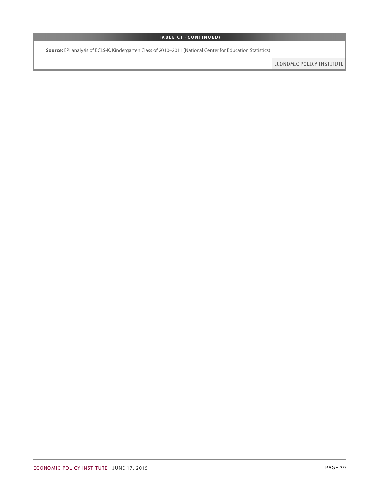## **TABLE C1 (CONTINUED)**

**Source:** EPI analysis of ECLS-K, Kindergarten Class of 2010–2011 (National Center for Education Statistics)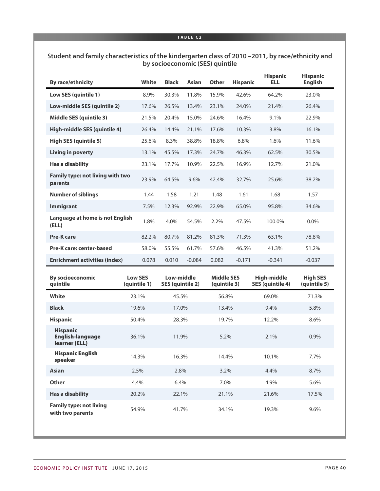## **TABLE C2**

## **Student and family characteristics of the kindergarten class of 2010 –2011, by race/ethnicity and by socioeconomic (SES) quintile**

| <b>By race/ethnicity</b>                           | <b>White</b> | <b>Black</b> | <b>Asian</b> | <b>Other</b> | <b>Hispanic</b> | <b>Hispanic</b><br><b>ELL</b> | <b>Hispanic</b><br><b>English</b> |
|----------------------------------------------------|--------------|--------------|--------------|--------------|-----------------|-------------------------------|-----------------------------------|
| Low SES (quintile 1)                               | 8.9%         | 30.3%        | 11.8%        | 15.9%        | 42.6%           | 64.2%                         | 23.0%                             |
| Low-middle SES (quintile 2)                        | 17.6%        | 26.5%        | 13.4%        | 23.1%        | 24.0%           | 21.4%                         | 26.4%                             |
| <b>Middle SES (quintile 3)</b>                     | 21.5%        | 20.4%        | 15.0%        | 24.6%        | 16.4%           | 9.1%                          | 22.9%                             |
| High-middle SES (quintile 4)                       | 26.4%        | 14.4%        | 21.1%        | 17.6%        | 10.3%           | 3.8%                          | 16.1%                             |
| <b>High SES (quintile 5)</b>                       | 25.6%        | 8.3%         | 38.8%        | 18.8%        | 6.8%            | 1.6%                          | 11.6%                             |
| Living in poverty                                  | 13.1%        | 45.5%        | 17.3%        | 24.7%        | 46.3%           | 62.5%                         | 30.5%                             |
| Has a disability                                   | 23.1%        | 17.7%        | 10.9%        | 22.5%        | 16.9%           | 12.7%                         | 21.0%                             |
| <b>Family type: not living with two</b><br>parents | 23.9%        | 64.5%        | 9.6%         | 42.4%        | 32.7%           | 25.6%                         | 38.2%                             |
| <b>Number of siblings</b>                          | 1.44         | 1.58         | 1.21         | 1.48         | 1.61            | 1.68                          | 1.57                              |
| <b>Immigrant</b>                                   | 7.5%         | 12.3%        | 92.9%        | 22.9%        | 65.0%           | 95.8%                         | 34.6%                             |
| Language at home is not English<br>(ELL)           | 1.8%         | 4.0%         | 54.5%        | 2.2%         | 47.5%           | 100.0%                        | $0.0\%$                           |
| <b>Pre-K care</b>                                  | 82.2%        | 80.7%        | 81.2%        | 81.3%        | 71.3%           | 63.1%                         | 78.8%                             |
| Pre-K care: center-based                           | 58.0%        | 55.5%        | 61.7%        | 57.6%        | 46.5%           | 41.3%                         | 51.2%                             |
| <b>Enrichment activities (index)</b>               | 0.078        | 0.010        | $-0.084$     | 0.082        | $-0.171$        | $-0.341$                      | $-0.037$                          |

| <b>By socioeconomic</b><br>quintile                         | <b>Low SES</b><br>(quintile 1) | Low-middle<br>SES (quintile 2) | <b>Middle SES</b><br>(quintile 3) | High-middle<br><b>SES (quintile 4)</b> | <b>High SES</b><br>(quintile 5) |
|-------------------------------------------------------------|--------------------------------|--------------------------------|-----------------------------------|----------------------------------------|---------------------------------|
| White                                                       | 23.1%                          | 45.5%                          | 56.8%                             | 69.0%                                  | 71.3%                           |
| <b>Black</b>                                                | 19.6%                          | 17.0%                          | 13.4%                             | 9.4%                                   | 5.8%                            |
| <b>Hispanic</b>                                             | 50.4%                          | 28.3%                          | 19.7%                             | 12.2%                                  | 8.6%                            |
| <b>Hispanic</b><br><b>English-language</b><br>learner (ELL) | 36.1%                          | 11.9%                          | 5.2%                              | 2.1%                                   | 0.9%                            |
| <b>Hispanic English</b><br>speaker                          | 14.3%                          | 16.3%                          | 14.4%                             | 10.1%                                  | 7.7%                            |
| <b>Asian</b>                                                | 2.5%                           | 2.8%                           | 3.2%                              | 4.4%                                   | 8.7%                            |
| <b>Other</b>                                                | 4.4%                           | 6.4%                           | 7.0%                              | 4.9%                                   | 5.6%                            |
| <b>Has a disability</b>                                     | 20.2%                          | 22.1%                          | 21.1%                             | 21.6%                                  | 17.5%                           |
| <b>Family type: not living</b><br>with two parents          | 54.9%                          | 41.7%                          | 34.1%                             | 19.3%                                  | 9.6%                            |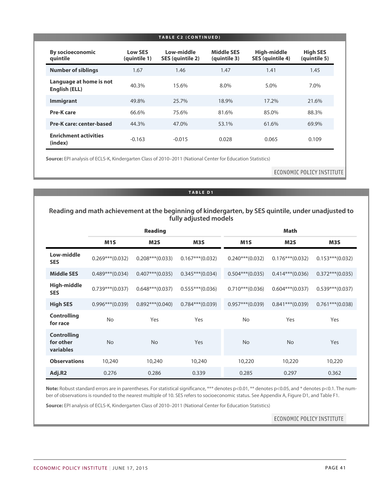|                                          |                                | TABLE C2 (CONTINUED)           |                            |                                        |                                 |
|------------------------------------------|--------------------------------|--------------------------------|----------------------------|----------------------------------------|---------------------------------|
| <b>By socioeconomic</b><br>quintile      | <b>Low SES</b><br>(quintile 1) | Low-middle<br>SES (quintile 2) | Middle SES<br>(quintile 3) | High-middle<br><b>SES (quintile 4)</b> | <b>High SES</b><br>(quintile 5) |
| <b>Number of siblings</b>                | 1.67                           | 1.46                           | 1.47                       | 1.41                                   | 1.45                            |
| Language at home is not<br>English (ELL) | 40.3%                          | 15.6%                          | 8.0%                       | 5.0%                                   | 7.0%                            |
| <b>Immigrant</b>                         | 49.8%                          | 25.7%                          | 18.9%                      | 17.2%                                  | 21.6%                           |
| Pre-K care                               | 66.6%                          | 75.6%                          | 81.6%                      | 85.0%                                  | 88.3%                           |
| Pre-K care: center-based                 | 44.3%                          | 47.0%                          | 53.1%                      | 61.6%                                  | 69.9%                           |
| <b>Enrichment activities</b><br>(index)  | $-0.163$                       | $-0.015$                       | 0.028                      | 0.065                                  | 0.109                           |

**Source:** EPI analysis of ECLS-K, Kindergarten Class of 2010–2011 (National Center for Education Statistics)

ECONOMIC POLICY INSTITUTE

## **TABLE D1**

## **Reading and math achievement at the beginning of kindergarten, by SES quintile, under unadjusted to fully adjusted models**

|                                              |                    | <b>Reading</b>    |                   |                    | <b>Math</b>       |                    |
|----------------------------------------------|--------------------|-------------------|-------------------|--------------------|-------------------|--------------------|
|                                              | M <sub>1</sub> S   | M <sub>2</sub> S  | M3S               | M <sub>1</sub> S   | M <sub>2</sub> S  | M3S                |
| Low-middle<br><b>SES</b>                     | $0.269***(0.032)$  | $0.208***(0.033)$ | $0.167***(0.032)$ | $0.240***(0.032)$  | $0.176***(0.032)$ | $0.153***(0.032)$  |
| <b>Middle SES</b>                            | $0.489***(0.034)$  | $0.407***(0.035)$ | $0.345***(0.034)$ | $0.504***(0.035)$  | $0.414***(0.036)$ | $0.372***(0.035)$  |
| <b>High-middle</b><br><b>SES</b>             | $0.739***$ (0.037) | $0.648***(0.037)$ | $0.555***(0.036)$ | $0.710***$ (0.036) | $0.604***(0.037)$ | $0.539***(0.037)$  |
| <b>High SES</b>                              | $0.996***(0.039)$  | $0.892***(0.040)$ | $0.784***(0.039)$ | $0.957***(0.039)$  | $0.841***(0.039)$ | $0.761***$ (0.038) |
| <b>Controlling</b><br>for race               | <b>No</b>          | Yes               | Yes               | <b>No</b>          | Yes               | Yes                |
| <b>Controlling</b><br>for other<br>variables | <b>No</b>          | <b>No</b>         | <b>Yes</b>        | <b>No</b>          | <b>No</b>         | Yes                |
| <b>Observations</b>                          | 10,240             | 10,240            | 10,240            | 10,220             | 10,220            | 10,220             |
| Adj.R2                                       | 0.276              | 0.286             | 0.339             | 0.285              | 0.297             | 0.362              |

Note: Robust standard errors are in parentheses. For statistical significance, \*\*\* denotes p<0.01, \*\* denotes p<0.05, and \* denotes p<0.1. The number of observations is rounded to the nearest multiple of 10. SES refers to socioeconomic status. See Appendix A, Figure D1, and Table F1.

**Source:** EPI analysis of ECLS-K, Kindergarten Class of 2010–2011 (National Center for Education Statistics)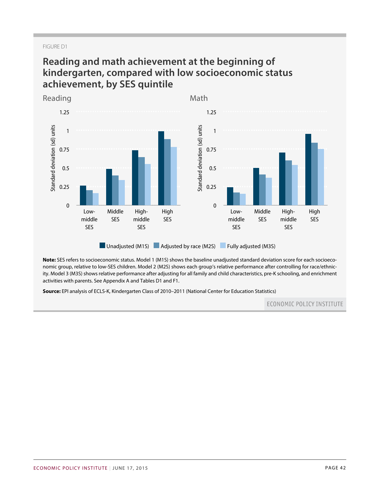### FIGURE D1

## **Reading and math achievement at the beginning of kindergarten, compared with low socioeconomic status achievement, by SES quintile**



**Note:** SES refers to socioeconomic status. Model 1 (M1S) shows the baseline unadjusted standard deviation score for each socioeconomic group, relative to low-SES children. Model 2 (M2S) shows each group's relative performance after controlling for race/ethnicity. Model 3 (M3S) shows relative performance after adjusting for all family and child characteristics, pre-K schooling, and enrichment activities with parents. See Appendix A and Tables D1 and F1.

**Source:** EPI analysis of ECLS-K, Kindergarten Class of 2010–2011 (National Center for Education Statistics)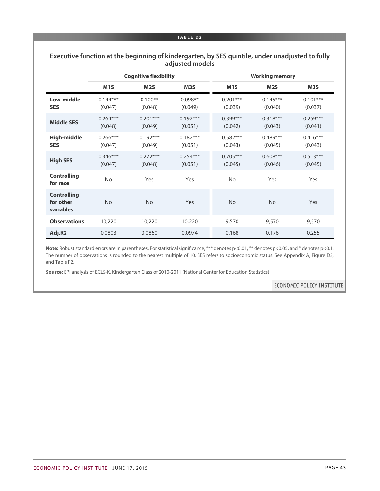#### **TABLE D2**

## **Executive function at the beginning of kindergarten, by SES quintile, under unadjusted to fully adjusted models**

|                                              |                       | <b>Cognitive flexibility</b> |                       | <b>Working memory</b> |                       |                       |  |  |
|----------------------------------------------|-----------------------|------------------------------|-----------------------|-----------------------|-----------------------|-----------------------|--|--|
|                                              | M <sub>1</sub> S      | M2S                          | M <sub>3</sub> S      | M <sub>1</sub> S      | M <sub>25</sub>       | M <sub>3</sub> S      |  |  |
| Low-middle<br><b>SES</b>                     | $0.144***$<br>(0.047) | $0.100**$<br>(0.048)         | $0.098**$<br>(0.049)  | $0.201***$<br>(0.039) | $0.145***$<br>(0.040) | $0.101***$<br>(0.037) |  |  |
| <b>Middle SES</b>                            | $0.264***$<br>(0.048) | $0.201***$<br>(0.049)        | $0.192***$<br>(0.051) | $0.399***$<br>(0.042) | $0.318***$<br>(0.043) | $0.259***$<br>(0.041) |  |  |
| <b>High-middle</b><br><b>SES</b>             | $0.266***$<br>(0.047) | $0.192***$<br>(0.049)        | $0.182***$<br>(0.051) | $0.582***$<br>(0.043) | $0.489***$<br>(0.045) | $0.416***$<br>(0.043) |  |  |
| <b>High SES</b>                              | $0.346***$<br>(0.047) | $0.272***$<br>(0.048)        | $0.254***$<br>(0.051) | $0.705***$<br>(0.045) | $0.608***$<br>(0.046) | $0.513***$<br>(0.045) |  |  |
| <b>Controlling</b><br>for race               | <b>No</b>             | Yes                          | Yes                   | <b>No</b>             | Yes                   | Yes                   |  |  |
| <b>Controlling</b><br>for other<br>variables | N <sub>o</sub>        | No                           | Yes                   | <b>No</b>             | <b>No</b>             | Yes                   |  |  |
| <b>Observations</b>                          | 10,220                | 10,220                       | 10,220                | 9,570                 | 9,570                 | 9,570                 |  |  |
| Adj.R2                                       | 0.0803                | 0.0860                       | 0.0974                | 0.168                 | 0.176                 | 0.255                 |  |  |

Note: Robust standard errors are in parentheses. For statistical significance, \*\*\* denotes p<0.01, \*\* denotes p<0.05, and \* denotes p<0.1. The number of observations is rounded to the nearest multiple of 10. SES refers to socioeconomic status. See Appendix A, Figure D2, and Table F2.

**Source:** EPI analysis of ECLS-K, Kindergarten Class of 2010-2011 (National Center for Education Statistics)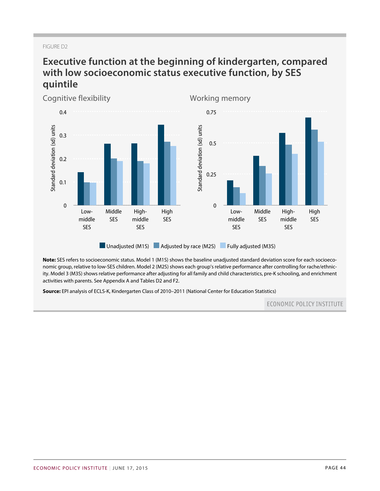## FIGURE D2

# **Executive function at the beginning of kindergarten, compared with low socioeconomic status executive function, by SES quintile**



**Note:** SES refers to socioeconomic status. Model 1 (M1S) shows the baseline unadjusted standard deviation score for each socioeconomic group, relative to low-SES children. Model 2 (M2S) shows each group's relative performance after controlling for rache/ethnicity. Model 3 (M3S) shows relative performance after adjusting for all family and child characteristics, pre-K schooling, and enrichment activities with parents. See Appendix A and Tables D2 and F2.

**Source:** EPI analysis of ECLS-K, Kindergarten Class of 2010–2011 (National Center for Education Statistics)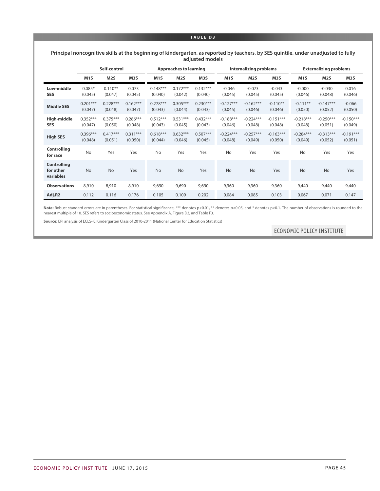#### **TABLE D3**

#### **Principal noncognitive skills at the beginning of kindergarten, as reported by teachers, by SES quintile, under unadjusted to fully adjusted models**

|                                              |                       | Self-control          |                       | <b>Approaches to learning</b> |                       |                       |                        | <b>Internalizing problems</b> |                        |                        | <b>Externalizing problems</b> |                        |  |
|----------------------------------------------|-----------------------|-----------------------|-----------------------|-------------------------------|-----------------------|-----------------------|------------------------|-------------------------------|------------------------|------------------------|-------------------------------|------------------------|--|
|                                              | M <sub>1</sub> S      | M <sub>2</sub> S      | M3S                   | M <sub>1</sub> S              | M2S                   | M <sub>3</sub> S      | M <sub>1</sub> S       | M <sub>25</sub>               | M3S                    | M <sub>1</sub> S       | M <sub>2</sub> S              | M3S                    |  |
| Low-middle<br><b>SES</b>                     | $0.085*$<br>(0.045)   | $0.110**$<br>(0.047)  | 0.073<br>(0.045)      | $0.148***$<br>(0.040)         | $0.172***$<br>(0.042) | $0.132***$<br>(0.040) | $-0.046$<br>(0.045)    | $-0.073$<br>(0.045)           | $-0.043$<br>(0.045)    | $-0.000$<br>(0.046)    | $-0.030$<br>(0.048)           | 0.016<br>(0.046)       |  |
| <b>Middle SES</b>                            | $0.201***$<br>(0.047) | $0.228***$<br>(0.048) | $0.162***$<br>(0.047) | $0.278***$<br>(0.043)         | $0.305***$<br>(0.044) | $0.230***$<br>(0.043) | $-0.127***$<br>(0.045) | $-0.162***$<br>(0.046)        | $-0.110**$<br>(0.046)  | $-0.111**$<br>(0.050)  | $-0.147***$<br>(0.052)        | $-0.066$<br>(0.050)    |  |
| High-middle<br><b>SES</b>                    | $0.352***$<br>(0.047) | $0.375***$<br>(0.050) | $0.286***$<br>(0.048) | $0.512***$<br>(0.043)         | $0.531***$<br>(0.045) | $0.432***$<br>(0.043) | $-0.188***$<br>(0.046) | $-0.224***$<br>(0.048)        | $-0.151***$<br>(0.048) | $-0.218***$<br>(0.048) | $-0.250***$<br>(0.051)        | $-0.150***$<br>(0.049) |  |
| <b>High SES</b>                              | $0.396***$<br>(0.048) | $0.417***$<br>(0.051) | $0.311***$<br>(0.050) | $0.618***$<br>(0.044)         | $0.632***$<br>(0.046) | $0.507***$<br>(0.045) | $-0.224***$<br>(0.048) | $-0.257***$<br>(0.049)        | $-0.163***$<br>(0.050) | $-0.284***$<br>(0.049) | $-0.313***$<br>(0.052)        | $-0.191***$<br>(0.051) |  |
| <b>Controlling</b><br>for race               | <b>No</b>             | Yes                   | Yes                   | <b>No</b>                     | Yes                   | Yes                   | <b>No</b>              | Yes                           | Yes                    | <b>No</b>              | Yes                           | Yes                    |  |
| <b>Controlling</b><br>for other<br>variables | <b>No</b>             | <b>No</b>             | Yes                   | <b>No</b>                     | No                    | Yes                   | <b>No</b>              | <b>No</b>                     | Yes                    | <b>No</b>              | <b>No</b>                     | Yes                    |  |
| <b>Observations</b>                          | 8,910                 | 8,910                 | 8,910                 | 9,690                         | 9,690                 | 9,690                 | 9,360                  | 9,360                         | 9,360                  | 9,440                  | 9,440                         | 9,440                  |  |
| Adj.R2                                       | 0.112                 | 0.116                 | 0.176                 | 0.105                         | 0.109                 | 0.202                 | 0.084                  | 0.085                         | 0.103                  | 0.067                  | 0.071                         | 0.147                  |  |

Note: Robust standard errors are in parentheses. For statistical significance, \*\*\* denotes p<0.01, \*\* denotes p<0.05, and \* denotes p<0.1. The number of observations is rounded to the nearest multiple of 10. SES refers to socioeconomic status. See Appendix A, Figure D3, and Table F3.

**Source:** EPI analysis of ECLS-K, Kindergarten Class of 2010-2011 (National Center for Education Statistics)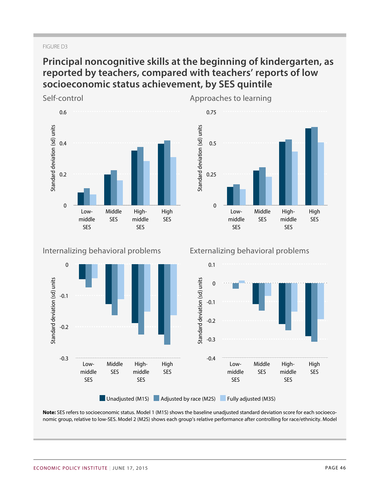### FIGURE D3

# **Principal noncognitive skills at the beginning of kindergarten, as reported by teachers, compared with teachers' reports of low socioeconomic status achievement, by SES quintile**



## Internalizing behavioral problems





## Approaches to learning

Externalizing behavioral problems



[Unadjusted \(M1S\)](#page-0-0) [Adjusted by race \(M2S\)](#page-0-0) [Fully adjusted \(M3S\)](#page-0-0)

**Note:** SES refers to socioeconomic status. Model 1 (M1S) shows the baseline unadjusted standard deviation score for each socioeconomic group, relative to low-SES. Model 2 (M2S) shows each group's relative performance after controlling for race/ethnicity. Model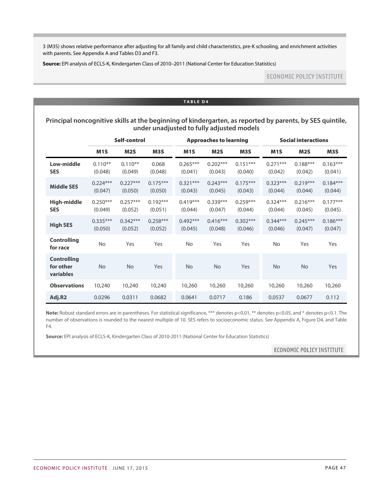3 (M3S) shows relative performance after adjusting for all family and child characteristics, pre-K schooling, and enrichment activities with parents. See Appendix A and Tables D3 and F3.

**Source:** EPI analysis of ECLS-K, Kindergarten Class of 2010–2011 (National Center for Education Statistics)

## **ECONOMIC POLICY INSTITUTE**

#### **TABLE D4**

**Principal noncognitive skills at the beginning of kindergarten, as reported by parents, by SES quintile, under unadjusted to fully adjusted models**

|                                              |                       | Self-control          |                       |                       | <b>Approaches to learning</b> |                       |                       | <b>Social interactions</b> |                       |  |  |
|----------------------------------------------|-----------------------|-----------------------|-----------------------|-----------------------|-------------------------------|-----------------------|-----------------------|----------------------------|-----------------------|--|--|
|                                              | M <sub>1</sub> S      | M <sub>2</sub> S      | M3S                   | M <sub>1</sub> S      | M <sub>2</sub> S              | M3S                   | M <sub>1</sub> S      | M <sub>2</sub> S           | M3S                   |  |  |
| Low-middle<br><b>SES</b>                     | $0.110**$<br>(0.048)  | $0.110**$<br>(0.049)  | 0.068<br>(0.048)      | $0.265***$<br>(0.041) | $0.202***$<br>(0.043)         | $0.151***$<br>(0.040) | $0.271***$<br>(0.042) | $0.188***$<br>(0.042)      | $0.163***$<br>(0.041) |  |  |
| <b>Middle SES</b>                            | $0.224***$<br>(0.047) | $0.227***$<br>(0.050) | $0.175***$<br>(0.050) | $0.321***$<br>(0.043) | $0.243***$<br>(0.045)         | $0.175***$<br>(0.043) | $0.323***$<br>(0.044) | $0.219***$<br>(0.044)      | $0.184***$<br>(0.044) |  |  |
| High-middle<br><b>SES</b>                    | $0.250***$<br>(0.049) | $0.257***$<br>(0.052) | $0.192***$<br>(0.051) | $0.419***$<br>(0.044) | $0.339***$<br>(0.047)         | $0.259***$<br>(0.044) | $0.324***$<br>(0.044) | $0.216***$<br>(0.045)      | $0.177***$<br>(0.045) |  |  |
| <b>High SES</b>                              | $0.335***$<br>(0.050) | $0.342***$<br>(0.052) | $0.258***$<br>(0.052) | $0.492***$<br>(0.045) | $0.416***$<br>(0.048)         | $0.302***$<br>(0.046) | $0.344***$<br>(0.046) | $0.245***$<br>(0.047)      | $0.186***$<br>(0.047) |  |  |
| <b>Controlling</b><br>for race               | <b>No</b>             | Yes                   | Yes                   | <b>No</b>             | Yes                           | Yes                   | <b>No</b>             | Yes                        | Yes                   |  |  |
| <b>Controlling</b><br>for other<br>variables | No                    | <b>No</b>             | Yes                   | <b>No</b>             | No                            | Yes                   | <b>No</b>             | <b>No</b>                  | <b>Yes</b>            |  |  |
| <b>Observations</b>                          | 10,240                | 10,240                | 10,240                | 10,260                | 10,260                        | 10,260                | 10,260                | 10,260                     | 10,260                |  |  |
| Adj.R2                                       | 0.0296                | 0.0311                | 0.0682                | 0.0641                | 0.0717                        | 0.186                 | 0.0537                | 0.0677                     | 0.112                 |  |  |

Note: Robust standard errors are in parentheses. For statistical significance, \*\*\* denotes p<0.01, \*\* denotes p<0.05, and \* denotes p<0.1. The number of observations is rounded to the nearest multiple of 10. SES refers to socioeconomic status. See Appendix A, Figure D4, and Table F4.

**Source:** EPI analysis of ECLS-K, Kindergarten Class of 2010-2011 (National Center for Education Statistics)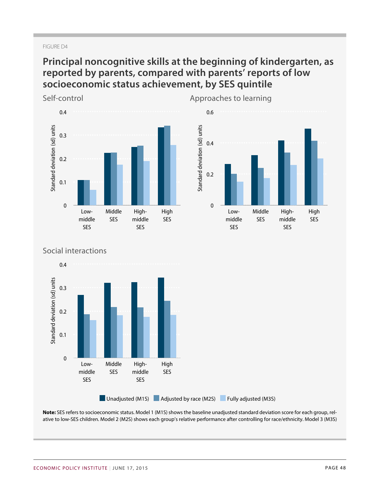### FIGURE D4

# **Principal noncognitive skills at the beginning of kindergarten, as reported by parents, compared with parents' reports of low socioeconomic status achievement, by SES quintile**

Self-control





## Social interactions



**Note:** SES refers to socioeconomic status. Model 1 (M1S) shows the baseline unadjusted standard deviation score for each group, relative to low-SES children. Model 2 (M2S) shows each group's relative performance after controlling for race/ethnicity. Model 3 (M3S)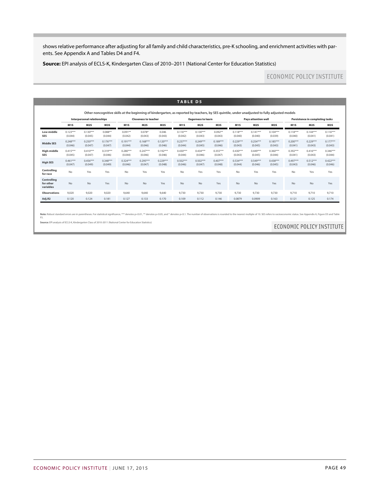shows relative performance after adjusting for all family and child characteristics, pre-K schooling, and enrichment activities with parents. See Appendix A and Tables D4 and F4.

**Source:** EPI analysis of ECLS-K, Kindergarten Class of 2010–2011 (National Center for Education Statistics)

## ECONOMIC POLICY INSTITUTE

|                                       |                       |                                    |                       |                       |                             |                       | <b>TABLE D5</b>       |                           |                       |                       |                            |                                                                                                                                                 |                       |                                        |                       |
|---------------------------------------|-----------------------|------------------------------------|-----------------------|-----------------------|-----------------------------|-----------------------|-----------------------|---------------------------|-----------------------|-----------------------|----------------------------|-------------------------------------------------------------------------------------------------------------------------------------------------|-----------------------|----------------------------------------|-----------------------|
|                                       |                       |                                    |                       |                       |                             |                       |                       |                           |                       |                       |                            | Other noncognitive skills at the beginning of kindergarten, as reported by teachers, by SES guintile, under unadjusted to fully adjusted models |                       |                                        |                       |
|                                       |                       | <b>Interpersonal relationships</b> |                       |                       | <b>Closeness to teacher</b> |                       |                       | <b>Eagerness to learn</b> |                       |                       | <b>Pays attention well</b> |                                                                                                                                                 |                       | <b>Persistence in completing tasks</b> |                       |
|                                       | M <sub>1</sub> S      | M2S                                | M3S                   | M <sub>1</sub> S      | M2S                         | M3S                   | M <sub>1</sub> S      | M <sub>2</sub> S          | M3S                   | M <sub>1</sub> S      | M <sub>2</sub> S           | M3S                                                                                                                                             | M <sub>1</sub> S      | M2S                                    | M3S                   |
| Low-middle<br><b>SES</b>              | $0.123***$<br>(0.044) | $0.130***$<br>(0.045)              | $0.088**$<br>(0.044)  | $0.091**$<br>(0.042)  | $0.078*$<br>(0.043)         | 0.046<br>(0.043)      | $0.116***$<br>(0.042) | $0.130***$<br>(0.043)     | $0.092**$<br>(0.043)  | $0.118***$<br>(0.040) | $0.141***$<br>(0.040)      | $0.104***$<br>(0.039)                                                                                                                           | $0.118***$<br>(0.040) | $0.144***$<br>(0.041)                  | $0.116***$<br>(0.041) |
| <b>Middle SES</b>                     | $0.248***$<br>(0.046) | $0.250***$<br>(0.047)              | $0.176***$<br>(0.047) | $0.191***$<br>(0.044) | $0.168***$<br>(0.046)       | $0.120***$<br>(0.046) | $0.237***$<br>(0.044) | $0.249***$<br>(0.045)     | $0.189***$<br>(0.046) | $0.229***$<br>(0.043) | $0.254***$<br>(0.045)      | $0.185***$<br>(0.043)                                                                                                                           | $0.200***$<br>(0.041) | $0.229***$<br>(0.043)                  | $0.177***$<br>(0.043) |
| High-middle<br><b>SES</b>             | $0.415***$<br>(0.045) | $0.410***$<br>(0.047)              | $0.319***$<br>(0.046) | $0.280***$<br>(0.044) | $0.247***$<br>(0.046)       | $0.192***$<br>(0.046) | $0.430***$<br>(0.044) | $0.434***$<br>(0.046)     | $0.355***$<br>(0.047) | $0.430***$<br>(0.043) | $0.449***$<br>(0.045)      | $0.360***$<br>(0.044)                                                                                                                           | $0.392***$<br>(0.041) | $0.416***$<br>(0.043)                  | $0.346***$<br>(0.044) |
| <b>High SES</b>                       | $0.461***$<br>(0.047) | $0.456***$<br>(0.049)              | $0.348***$<br>(0.049) | $0.324***$<br>(0.046) | $0.295***$<br>(0.047)       | $0.229***$<br>(0.048) | $0.502***$<br>(0.046) | $0.502***$<br>(0.047)     | $0.407***$<br>(0.048) | $0.534***$<br>(0.044) | $0.549***$<br>(0.046)      | $0.438***$<br>(0.045)                                                                                                                           | $0.497***$<br>(0.043) | $0.512***$<br>(0.046)                  | $0.422***$<br>(0.046) |
| Controlling<br>for race               | No                    | Yes                                | Yes                   | No                    | Yes                         | Yes                   | No                    | Yes                       | Yes                   | <b>No</b>             | Yes                        | Yes                                                                                                                                             | No                    | Yes                                    | Yes                   |
| Controlling<br>for other<br>variables | No                    | <b>No</b>                          | Yes                   | <b>No</b>             | No                          | Yes                   | <b>No</b>             | <b>No</b>                 | Yes                   | <b>No</b>             | No                         | Yes                                                                                                                                             | No                    | <b>No</b>                              | Yes                   |
| <b>Observations</b>                   | 9,020                 | 9,020                              | 9.020                 | 9,640                 | 9,640                       | 9,640                 | 9,730                 | 9,730                     | 9,730                 | 9,730                 | 9,730                      | 9,730                                                                                                                                           | 9,710                 | 9,710                                  | 9,710                 |
| Adj.R2                                | 0.120                 | 0.124                              | 0.181                 | 0.127                 | 0.133                       | 0.170                 | 0.109                 | 0.112                     | 0.146                 | 0.0879                | 0.0909                     | 0.163                                                                                                                                           | 0.121                 | 0.125                                  | 0.174                 |

ard errors are in parentheses. For statistical significance, \*\*\* denotes p<0.01, \*\* denotes p<0.05, and \* denotes p<0.05, and \* denotes p<0.05, and \* denotes p<0.07. The number of observations is rounded to the nearest mul Note: R

**Source:** EPI analysis of ECLS-K, Kindergarten Class of 2010-2011 (National Center for Education Statistics)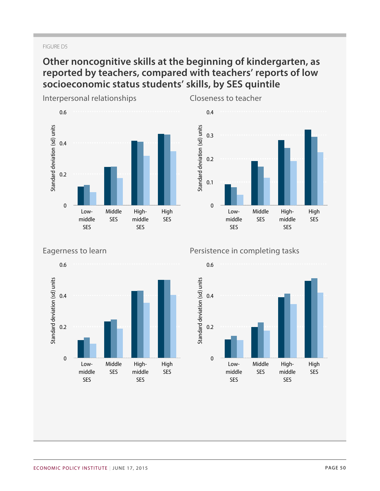### FIGURE D5

# **Other noncognitive skills at the beginning of kindergarten, as reported by teachers, compared with teachers' reports of low socioeconomic status students' skills, by SES quintile**



Closeness to teacher



Eagerness to learn



## Persistence in completing tasks

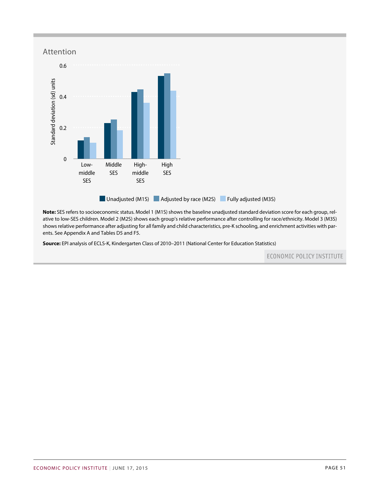

**Note:** SES refers to socioeconomic status. Model 1 (M1S) shows the baseline unadjusted standard deviation score for each group, relative to low-SES children. Model 2 (M2S) shows each group's relative performance after controlling for race/ethnicity. Model 3 (M3S) showsrelative performance after adjusting for all family and child characteristics, pre-K schooling, and enrichment activities with parents. See Appendix A and Tables D5 and F5.

**Source:** EPI analysis of ECLS-K, Kindergarten Class of 2010–2011 (National Center for Education Statistics)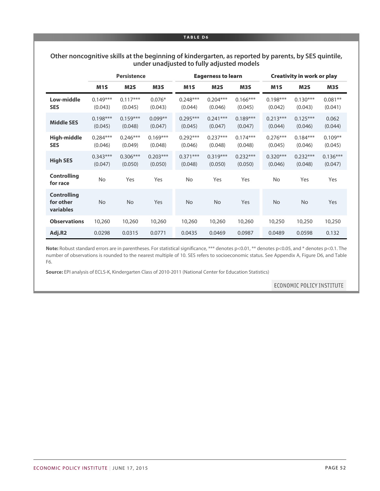#### **TABLE D6**

## **Other noncognitive skills at the beginning of kindergarten, as reported by parents, by SES quintile, under unadjusted to fully adjusted models**

|                                              |                       | <b>Persistence</b>    |                       |                       | <b>Eagerness to learn</b> |                       | <b>Creativity in work or play</b> |                       |                       |  |
|----------------------------------------------|-----------------------|-----------------------|-----------------------|-----------------------|---------------------------|-----------------------|-----------------------------------|-----------------------|-----------------------|--|
|                                              | M <sub>1</sub> S      | <b>M2S</b>            | M3S                   | M <sub>1</sub> S      | M <sub>2</sub> S          | M3S                   | M <sub>1</sub> S                  | M <sub>2</sub> S      | M3S                   |  |
| Low-middle<br><b>SES</b>                     | $0.149***$<br>(0.043) | $0.117***$<br>(0.045) | $0.076*$<br>(0.043)   | $0.248***$<br>(0.044) | $0.204***$<br>(0.046)     | $0.166***$<br>(0.045) | $0.198***$<br>(0.042)             | $0.130***$<br>(0.043) | $0.081**$<br>(0.041)  |  |
| <b>Middle SES</b>                            | $0.198***$<br>(0.045) | $0.159***$<br>(0.048) | $0.099**$<br>(0.047)  | $0.295***$<br>(0.045) | $0.241***$<br>(0.047)     | $0.189***$<br>(0.047) | $0.213***$<br>(0.044)             | $0.125***$<br>(0.046) | 0.062<br>(0.044)      |  |
| <b>High-middle</b><br><b>SES</b>             | $0.284***$<br>(0.046) | $0.246***$<br>(0.049) | $0.169***$<br>(0.048) | $0.292***$<br>(0.046) | $0.237***$<br>(0.048)     | $0.174***$<br>(0.048) | $0.276***$<br>(0.045)             | $0.184***$<br>(0.046) | $0.109**$<br>(0.045)  |  |
| <b>High SES</b>                              | $0.343***$<br>(0.047) | $0.306***$<br>(0.050) | $0.203***$<br>(0.050) | $0.371***$<br>(0.048) | $0.319***$<br>(0.050)     | $0.232***$<br>(0.050) | $0.320***$<br>(0.046)             | $0.232***$<br>(0.048) | $0.136***$<br>(0.047) |  |
| <b>Controlling</b><br>for race               | No                    | Yes                   | Yes                   | No                    | Yes                       | Yes                   | <b>No</b>                         | Yes                   | Yes                   |  |
| <b>Controlling</b><br>for other<br>variables | <b>No</b>             | <b>No</b>             | Yes                   | <b>No</b>             | <b>No</b>                 | Yes                   | <b>No</b>                         | <b>No</b>             | Yes                   |  |
| <b>Observations</b>                          | 10,260                | 10,260                | 10,260                | 10,260                | 10,260                    | 10,260                | 10,250                            | 10,250                | 10,250                |  |
| Adj.R2                                       | 0.0298                | 0.0315                | 0.0771                | 0.0435                | 0.0469                    | 0.0987                | 0.0489                            | 0.0598                | 0.132                 |  |

**Note:** Robust standard errors are in parentheses. For statistical significance, \*\*\* denotes p<0.01, \*\* denotes p<0.05, and \* denotes p<0.1. The number of observations is rounded to the nearest multiple of 10. SES refers to socioeconomic status. See Appendix A, Figure D6, and Table F6.

**Source:** EPI analysis of ECLS-K, Kindergarten Class of 2010-2011 (National Center for Education Statistics)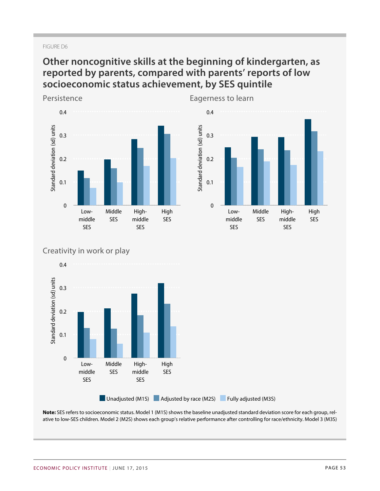### FIGURE D6

# **Other noncognitive skills at the beginning of kindergarten, as reported by parents, compared with parents' reports of low socioeconomic status achievement, by SES quintile**



Eagerness to learn *Low-middle SES Middle SES* 0.295\*\*\* (0.045) 0.241\*\*\*  $\overline{\mathcal{O}}$ 0.189\*\*\* (0.047) *High-middle* 0.2 *SES* 0.292\*\*\*  $\overline{\phantom{0}}$ 0.237\*\*\* (0.048) 0.174\*\*\*  $\overline{\phantom{0}}$ *High SES* 0.371\*\*\* (0.048) 0.319\*\*\* (0.050) 0.232\*\*\* (0.050) Standard deviation (sd) units Lowmiddle SES Middle SES Highmiddle SES High SES 0 0.1 0.3 0.4

## Creativity in work or play



**Note:** SES refers to socioeconomic status. Model 1 (M1S) shows the baseline unadjusted standard deviation score for each group, relative to low-SES children. Model 2 (M2S) shows each group's relative performance after controlling for race/ethnicity. Model 3 (M3S)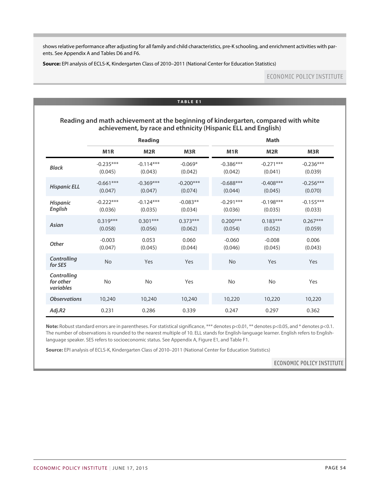showsrelative performance after adjusting for all family and child characteristics, pre-K schooling, and enrichment activities with parents. See Appendix A and Tables D6 and F6.

**Source:** EPI analysis of ECLS-K, Kindergarten Class of 2010–2011 (National Center for Education Statistics)

## **ECONOMIC POLICY INSTITUTE**

#### **TABLE E1**

## **Reading and math achievement at the beginning of kindergarten, compared with white achievement, by race and ethnicity (Hispanic ELL and English)**

|                                       |                        | <b>Reading</b>         |                        |                        | <b>Math</b>            |                        |
|---------------------------------------|------------------------|------------------------|------------------------|------------------------|------------------------|------------------------|
|                                       | M <sub>1</sub> R       | M <sub>2R</sub>        | M3R                    | M <sub>1</sub> R       | M <sub>2R</sub>        | M3R                    |
| <b>Black</b>                          | $-0.235***$<br>(0.045) | $-0.114***$<br>(0.043) | $-0.069*$<br>(0.042)   | $-0.386***$<br>(0.042) | $-0.271***$<br>(0.041) | $-0.236***$<br>(0.039) |
| <b>Hispanic ELL</b>                   | $-0.661***$<br>(0.047) | $-0.369***$<br>(0.047) | $-0.200***$<br>(0.074) | $-0.688***$<br>(0.044) | $-0.408***$<br>(0.045) | $-0.256***$<br>(0.070) |
| <b>Hispanic</b><br>English            | $-0.222***$<br>(0.036) | $-0.124***$<br>(0.035) | $-0.083**$<br>(0.034)  | $-0.291***$<br>(0.036) | $-0.198***$<br>(0.035) | $-0.155***$<br>(0.033) |
| Asian                                 | $0.319***$<br>(0.058)  | $0.301***$<br>(0.056)  | $0.373***$<br>(0.062)  | $0.200***$<br>(0.054)  | $0.183***$<br>(0.052)  | $0.267***$<br>(0.059)  |
| <b>Other</b>                          | $-0.003$<br>(0.047)    | 0.053<br>(0.045)       | 0.060<br>(0.044)       | $-0.060$<br>(0.046)    | $-0.008$<br>(0.045)    | 0.006<br>(0.043)       |
| Controlling<br>for SES                | No                     | Yes                    | Yes                    | <b>No</b>              | Yes                    | Yes                    |
| Controlling<br>for other<br>variables | <b>No</b>              | <b>No</b>              | Yes                    | <b>No</b>              | <b>No</b>              | Yes                    |
| <b>Observations</b>                   | 10,240                 | 10,240                 | 10,240                 | 10,220                 | 10,220                 | 10,220                 |
| Adj.R2                                | 0.231                  | 0.286                  | 0.339                  | 0.247                  | 0.297                  | 0.362                  |

Note: Robust standard errors are in parentheses. For statistical significance, \*\*\* denotes p<0.01, \*\* denotes p<0.05, and \* denotes p<0.1. The number of observations is rounded to the nearest multiple of 10. ELL stands for English-language learner. English refers to Englishlanguage speaker. SES refers to socioeconomic status. See Appendix A, Figure E1, and Table F1.

**Source:** EPI analysis of ECLS-K, Kindergarten Class of 2010–2011 (National Center for Education Statistics)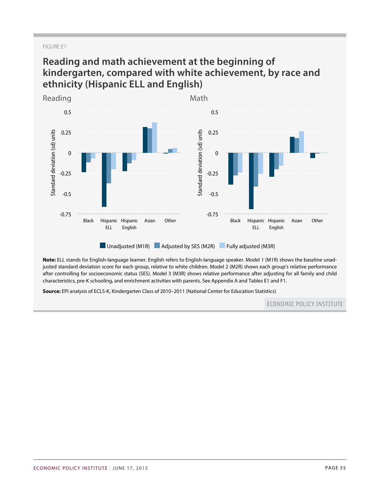### FIGURE E1

## **Reading and math achievement at the beginning of kindergarten, compared with white achievement, by race and ethnicity (Hispanic ELL and English)**



**Note:** ELL stands for English-language learner. English refers to English-language speaker. Model 1 (M1R) shows the baseline unadjusted standard deviation score for each group, relative to white children. Model 2 (M2R) shows each group's relative performance after controlling for socioeconomic status (SES). Model 3 (M3R) shows relative performance after adjusting for all family and child characteristics, pre-K schooling, and enrichment activities with parents. See Appendix A and Tables E1 and F1.

**Source:** EPI analysis of ECLS-K, Kindergarten Class of 2010–2011 (National Center for Education Statistics)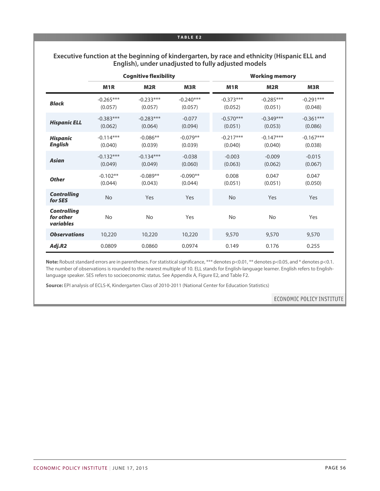#### **TABLE E2**

| Executive function at the beginning of kindergarten, by race and ethnicity (Hispanic ELL and |  |
|----------------------------------------------------------------------------------------------|--|
| English), under unadjusted to fully adjusted models                                          |  |

|                                              |                        | <b>Cognitive flexibility</b> |                        |                        | <b>Working memory</b>  |                        |
|----------------------------------------------|------------------------|------------------------------|------------------------|------------------------|------------------------|------------------------|
|                                              | M <sub>1</sub> R       | M <sub>2R</sub>              | M <sub>3</sub> R       | M <sub>1</sub> R       | M <sub>2</sub> R       | M3R                    |
| <b>Black</b>                                 | $-0.265***$<br>(0.057) | $-0.233***$<br>(0.057)       | $-0.240***$<br>(0.057) | $-0.373***$<br>(0.052) | $-0.285***$<br>(0.051) | $-0.291***$<br>(0.048) |
| <b>Hispanic ELL</b>                          | $-0.383***$<br>(0.062) | $-0.283***$<br>(0.064)       | $-0.077$<br>(0.094)    | $-0.570***$<br>(0.051) | $-0.349***$<br>(0.053) | $-0.361***$<br>(0.086) |
| <b>Hispanic</b><br><b>English</b>            | $-0.114***$<br>(0.040) | $-0.086**$<br>(0.039)        | $-0.079**$<br>(0.039)  | $-0.217***$<br>(0.040) | $-0.147***$<br>(0.040) | $-0.167***$<br>(0.038) |
| <b>Asian</b>                                 | $-0.132***$<br>(0.049) | $-0.134***$<br>(0.049)       | $-0.038$<br>(0.060)    | $-0.003$<br>(0.063)    | $-0.009$<br>(0.062)    | $-0.015$<br>(0.067)    |
| <b>Other</b>                                 | $-0.102**$<br>(0.044)  | $-0.089**$<br>(0.043)        | $-0.090**$<br>(0.044)  | 0.008<br>(0.051)       | 0.047<br>(0.051)       | 0.047<br>(0.050)       |
| <b>Controlling</b><br>for SES                | <b>No</b>              | Yes                          | Yes                    | <b>No</b>              | Yes                    | Yes                    |
| <b>Controlling</b><br>for other<br>variables | <b>No</b>              | <b>No</b>                    | Yes                    | <b>No</b>              | <b>No</b>              | Yes                    |
| <b>Observations</b>                          | 10,220                 | 10,220                       | 10,220                 | 9,570                  | 9,570                  | 9,570                  |
| Adj.R2                                       | 0.0809                 | 0.0860                       | 0.0974                 | 0.149                  | 0.176                  | 0.255                  |

Note: Robust standard errors are in parentheses. For statistical significance, \*\*\* denotes p<0.01, \*\* denotes p<0.05, and \* denotes p<0.1. The number of observations is rounded to the nearest multiple of 10. ELL stands for English-language learner. English refers to Englishlanguage speaker. SES refers to socioeconomic status. See Appendix A, Figure E2, and Table F2.

**Source:** EPI analysis of ECLS-K, Kindergarten Class of 2010-2011 (National Center for Education Statistics)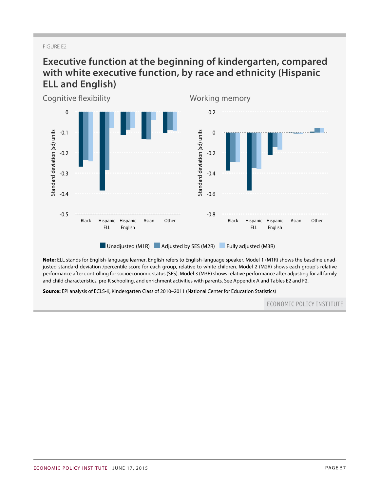### FIGURE E2

# **Executive function at the beginning of kindergarten, compared with white executive function, by race and ethnicity (Hispanic ELL and English)**



**Note:** ELL stands for English-language learner. English refers to English-language speaker. Model 1 (M1R) shows the baseline unadjusted standard deviation /percentile score for each group, relative to white children. Model 2 (M2R) shows each group's relative performance after controlling for socioeconomic status (SES). Model 3 (M3R) shows relative performance after adjusting for all family and child characteristics, pre-K schooling, and enrichment activities with parents. See Appendix A and Tables E2 and F2.

**Source:** EPI analysis of ECLS-K, Kindergarten Class of 2010–2011 (National Center for Education Statistics)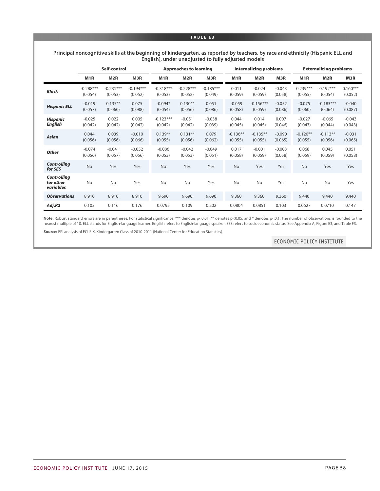#### **TABLE E3**

#### **Principal noncognitive skills at the beginning of kindergarten, as reported by teachers, by race and ethnicity (Hispanic ELL and English), under unadjusted to fully adjusted models**

|                                              |                        | Self-control           |                        |                        | <b>Approaches to learning</b> |                        |                       | <b>Internalizing problems</b> |                     |                       | <b>Externalizing problems</b> |                       |
|----------------------------------------------|------------------------|------------------------|------------------------|------------------------|-------------------------------|------------------------|-----------------------|-------------------------------|---------------------|-----------------------|-------------------------------|-----------------------|
|                                              | M1R                    | M <sub>2</sub> R       | M3R                    | M1R                    | M2R                           | M3R                    | M1R                   | M <sub>2</sub> R              | M3R                 | M1R                   | M <sub>2</sub> R              | M3R                   |
| <b>Black</b>                                 | $-0.288***$<br>(0.054) | $-0.231***$<br>(0.053) | $-0.194***$<br>(0.052) | $-0.318***$<br>(0.053) | $-0.228***$<br>(0.052)        | $-0.185***$<br>(0.049) | 0.011<br>(0.059)      | $-0.024$<br>(0.059)           | $-0.043$<br>(0.058) | $0.239***$<br>(0.055) | $0.192***$<br>(0.054)         | $0.160***$<br>(0.052) |
| <b>Hispanic ELL</b>                          | $-0.019$<br>(0.057)    | $0.137**$<br>(0.060)   | 0.075<br>(0.088)       | $-0.094*$<br>(0.054)   | $0.130**$<br>(0.056)          | 0.051<br>(0.086)       | $-0.059$<br>(0.058)   | $-0.156***$<br>(0.059)        | $-0.052$<br>(0.086) | $-0.075$<br>(0.060)   | $-0.183***$<br>(0.064)        | $-0.040$<br>(0.087)   |
| <b>Hispanic</b><br><b>English</b>            | $-0.025$<br>(0.042)    | 0.022<br>(0.042)       | 0.005<br>(0.042)       | $-0.123***$<br>(0.042) | $-0.051$<br>(0.042)           | $-0.038$<br>(0.039)    | 0.044<br>(0.045)      | 0.014<br>(0.045)              | 0.007<br>(0.046)    | $-0.027$<br>(0.043)   | $-0.065$<br>(0.044)           | $-0.043$<br>(0.043)   |
| <b>Asian</b>                                 | 0.044<br>(0.056)       | 0.039<br>(0.056)       | $-0.010$<br>(0.066)    | $0.139**$<br>(0.055)   | $0.131**$<br>(0.056)          | 0.079<br>(0.062)       | $-0.136**$<br>(0.055) | $-0.135**$<br>(0.055)         | $-0.090$<br>(0.065) | $-0.120**$<br>(0.055) | $-0.113**$<br>(0.056)         | $-0.031$<br>(0.065)   |
| <b>Other</b>                                 | $-0.074$<br>(0.056)    | $-0.041$<br>(0.057)    | $-0.052$<br>(0.056)    | $-0.086$<br>(0.053)    | $-0.042$<br>(0.053)           | $-0.049$<br>(0.051)    | 0.017<br>(0.058)      | $-0.001$<br>(0.059)           | $-0.003$<br>(0.058) | 0.068<br>(0.059)      | 0.045<br>(0.059)              | 0.051<br>(0.058)      |
| <b>Controlling</b><br>for SES                | No                     | Yes                    | Yes                    | <b>No</b>              | Yes                           | Yes                    | <b>No</b>             | Yes                           | Yes                 | <b>No</b>             | Yes                           | Yes                   |
| <b>Controlling</b><br>for other<br>variables | <b>No</b>              | <b>No</b>              | Yes                    | <b>No</b>              | <b>No</b>                     | Yes                    | <b>No</b>             | <b>No</b>                     | Yes                 | <b>No</b>             | <b>No</b>                     | Yes                   |
| <b>Observations</b>                          | 8,910                  | 8,910                  | 8,910                  | 9,690                  | 9,690                         | 9,690                  | 9,360                 | 9,360                         | 9,360               | 9,440                 | 9,440                         | 9,440                 |
| Adj.R2                                       | 0.103                  | 0.116                  | 0.176                  | 0.0795                 | 0.109                         | 0.202                  | 0.0804                | 0.0851                        | 0.103               | 0.0627                | 0.0710                        | 0.147                 |

Note: Robust standard errors are in parentheses. For statistical significance, \*\*\* denotes p<0.01, \*\* denotes p<0.05, and \* denotes p<0.1. The number of observations is rounded to the nearest multiple of 10. ELL stands for English-language learner. English refers to English-language speaker. SES refers to socioeconomic status. See Appendix A, Figure E3, and Table F3.

**Source:** EPI analysis of ECLS-K, Kindergarten Class of 2010-2011 (National Center for Education Statistics)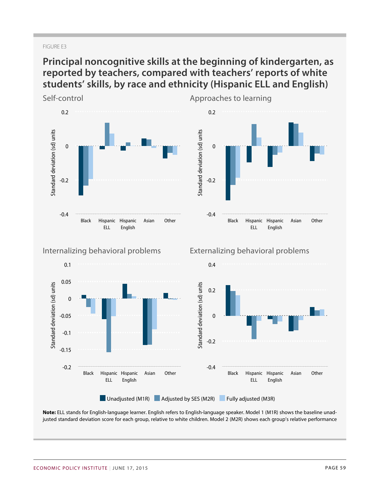### FIGURE E3

# **Principal noncognitive skills at the beginning of kindergarten, as reported by teachers, compared with teachers' reports of white students' skills, by race and ethnicity (Hispanic ELL and English)**



**Note:** ELL stands for English-language learner. English refers to English-language speaker. Model 1 (M1R) shows the baseline unadjusted standard deviation score for each group, relative to white children. Model 2 (M2R) shows each group's relative performance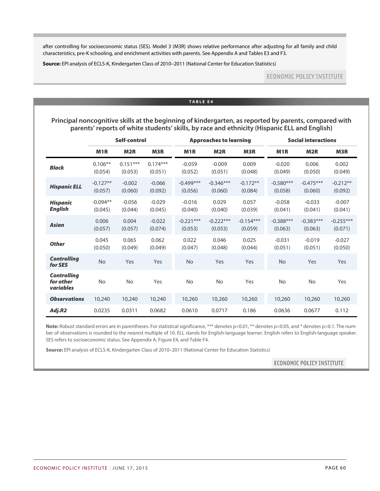after controlling for socioeconomic status (SES). Model 3 (M3R) shows relative performance after adjusting for all family and child characteristics, pre-K schooling, and enrichment activities with parents. See Appendix A and Tables E3 and F3.

**Source:** EPI analysis of ECLS-K, Kindergarten Class of 2010–2011 (National Center for Education Statistics)

## **ECONOMIC POLICY INSTITUTE**

#### **TABLE E4**

**Principal noncognitive skills at the beginning of kindergarten, as reported by parents, compared with parents' reports of white students' skills, by race and ethnicity (Hispanic ELL and English)**

|                                              |                       | Self-control          |                       |                        | <b>Approaches to learning</b> |                        |                        | <b>Social interactions</b> |                        |  |  |
|----------------------------------------------|-----------------------|-----------------------|-----------------------|------------------------|-------------------------------|------------------------|------------------------|----------------------------|------------------------|--|--|
|                                              | M <sub>1</sub> R      | M <sub>2R</sub>       | <b>M3R</b>            | M <sub>1</sub> R       | M <sub>2R</sub>               | <b>M3R</b>             | M <sub>1</sub> R       | M <sub>2R</sub>            | M3R                    |  |  |
| <b>Black</b>                                 | $0.106**$<br>(0.054)  | $0.151***$<br>(0.053) | $0.174***$<br>(0.051) | $-0.059$<br>(0.052)    | $-0.009$<br>(0.051)           | 0.009<br>(0.048)       | $-0.020$<br>(0.049)    | 0.006<br>(0.050)           | 0.002<br>(0.049)       |  |  |
| <b>Hispanic ELL</b>                          | $-0.127**$<br>(0.057) | $-0.002$<br>(0.060)   | $-0.066$<br>(0.092)   | $-0.499***$<br>(0.056) | $-0.346***$<br>(0.060)        | $-0.172**$<br>(0.084)  | $-0.580***$<br>(0.058) | $-0.475***$<br>(0.060)     | $-0.212**$<br>(0.092)  |  |  |
| <b>Hispanic</b><br><b>English</b>            | $-0.094**$<br>(0.045) | $-0.056$<br>(0.044)   | $-0.029$<br>(0.045)   | $-0.016$<br>(0.040)    | 0.029<br>(0.040)              | 0.057<br>(0.039)       | $-0.058$<br>(0.041)    | $-0.033$<br>(0.041)        | $-0.007$<br>(0.041)    |  |  |
| <b>Asian</b>                                 | 0.006<br>(0.057)      | 0.004<br>(0.057)      | $-0.022$<br>(0.074)   | $-0.221***$<br>(0.053) | $-0.222***$<br>(0.053)        | $-0.154***$<br>(0.059) | $-0.388***$<br>(0.063) | $-0.383***$<br>(0.063)     | $-0.255***$<br>(0.071) |  |  |
| <b>Other</b>                                 | 0.045<br>(0.050)      | 0.065<br>(0.049)      | 0.062<br>(0.049)      | 0.022<br>(0.047)       | 0.046<br>(0.048)              | 0.025<br>(0.044)       | $-0.031$<br>(0.051)    | $-0.019$<br>(0.051)        | $-0.027$<br>(0.050)    |  |  |
| <b>Controlling</b><br>for SES                | No                    | Yes                   | Yes                   | <b>No</b>              | Yes                           | Yes                    | <b>No</b>              | Yes                        | Yes                    |  |  |
| <b>Controlling</b><br>for other<br>variables | <b>No</b>             | <b>No</b>             | Yes                   | <b>No</b>              | <b>No</b>                     | Yes                    | <b>No</b>              | <b>No</b>                  | Yes                    |  |  |
| <b>Observations</b>                          | 10,240                | 10,240                | 10,240                | 10,260                 | 10,260                        | 10,260                 | 10,260                 | 10,260                     | 10,260                 |  |  |
| Adj.R2                                       | 0.0235                | 0.0311                | 0.0682                | 0.0610                 | 0.0717                        | 0.186                  | 0.0636                 | 0.0677                     | 0.112                  |  |  |

Note: Robust standard errors are in parentheses. For statistical significance, \*\*\* denotes p<0.01, \*\* denotes p<0.05, and \* denotes p<0.1. The number of observations is rounded to the nearest multiple of 10. ELL stands for English-language learner. English refers to English-language speaker. SES refers to socioeconomic status. See Appendix A, Figure E4, and Table F4.

**Source:** EPI analysis of ECLS-K, Kindergarten Class of 2010–2011 (National Center for Education Statistics)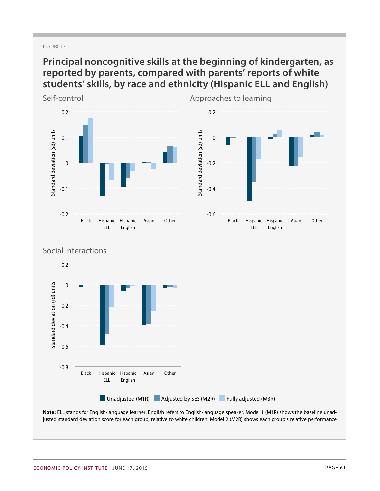### FIGURE E4

# **Principal noncognitive skills at the beginning of kindergarten, as reported by parents, compared with parents' reports of white students' skills, by race and ethnicity (Hispanic ELL and English)**



**Note:** ELL stands for English-language learner. English refers to English-language speaker. Model 1 (M1R) shows the baseline unadjusted standard deviation score for each group, relative to white children. Model 2 (M2R) shows each group's relative performance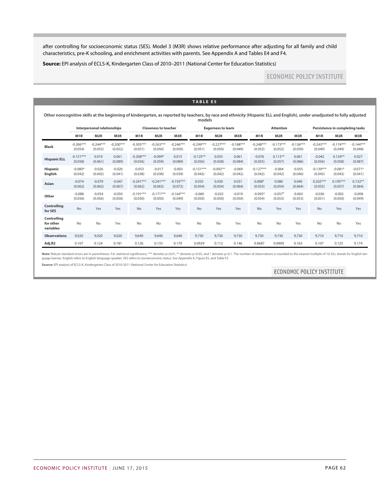after controlling for socioeconomic status (SES). Model 3 (M3R) shows relative performance after adjusting for all family and child characteristics, pre-K schooling, and enrichment activities with parents. See Appendix A and Tables E4 and F4.

**Source:** EPI analysis of ECLS-K, Kindergarten Class of 2010–2011 (National Center for Education Statistics)

## **ECONOMIC POLICY INSTITUTE**

|                                       |                        | Interpersonal relationships |                        |                        | <b>Closeness to teacher</b> |                        |                        | <b>Eagerness to learn</b> |                        |                        | <b>Attention</b>       |                        |                        | Persistence in completing tasks |                        |
|---------------------------------------|------------------------|-----------------------------|------------------------|------------------------|-----------------------------|------------------------|------------------------|---------------------------|------------------------|------------------------|------------------------|------------------------|------------------------|---------------------------------|------------------------|
|                                       | M <sub>1</sub> R       | M <sub>2R</sub>             | M3R                    | M1R                    | M <sub>2R</sub>             | M3R                    | M <sub>1</sub> R       | M <sub>2R</sub>           | M3R                    | M <sub>1</sub> R       | M <sub>2R</sub>        | M3R                    | M <sub>1</sub> R       | M <sub>2R</sub>                 | M3R                    |
| <b>Black</b>                          | $-0.306***$<br>(0.054) | $-0.244***$<br>(0.053)      | $-0.200***$<br>(0.052) | $-0.305***$<br>(0.051) | $-0.263***$<br>(0.050)      | $-0.246***$<br>(0.050) | $-0.299***$<br>(0.051) | $-0.227***$<br>(0.050)    | $-0.188***$<br>(0.049) | $-0.248***$<br>(0.053) | $-0.173***$<br>(0.052) | $-0.136***$<br>(0.050) | $-0.243***$<br>(0.049) | $-0.174***$<br>(0.049)          | $-0.144***$<br>(0.048) |
| <b>Hispanic ELL</b>                   | $-0.151***$<br>(0.058) | 0.019<br>(0.061)            | 0.061<br>(0.089)       | $-0.208***$<br>(0.056) | $-0.099*$<br>(0.059)        | 0.015<br>(0.089)       | $-0.125**$<br>(0.056)  | 0.055<br>(0.058)          | 0.061<br>(0.084)       | $-0.076$<br>(0.055)    | $0.113***$<br>(0.057)  | 0.061<br>(0.086)       | $-0.042$<br>(0.056)    | $0.134***$<br>(0.058)           | 0.027<br>(0.087)       |
| <b>Hispanic</b><br>English            | $-0.080*$<br>(0.042)   | $-0.026$<br>(0.042)         | $-0.020$<br>(0.041)    | $-0.053$<br>(0.038)    | $-0.017$<br>(0.038)         | $-0.003$<br>(0.039)    | $-0.151***$<br>(0.042) | $-0.092**$<br>(0.042)     | $-0.069$<br>(0.042)    | $-0.127***$<br>(0.042) | $-0.064$<br>(0.042)    | $-0.055$<br>(0.040)    | $-0.139***$<br>(0.043) | $-0.081*$<br>(0.043)            | $-0.071*$<br>(0.041)   |
| Asian                                 | $-0.074$<br>(0.062)    | $-0.079$<br>(0.062)         | $-0.047$<br>(0.067)    | $-0.241***$<br>(0.062) | $-0.241***$<br>(0.063)      | $-0.193***$<br>(0.072) | 0.035<br>(0.054)       | 0.030<br>(0.054)          | 0.031<br>(0.064)       | $0.088*$<br>(0.053)    | 0.080<br>(0.054)       | 0.040<br>(0.064)       | $0.202***$<br>(0.055)  | $0.195***$<br>(0.057)           | $0.132***$<br>(0.064)  |
| Other                                 | $-0.088$<br>(0.056)    | $-0.054$<br>(0.056)         | $-0.050$<br>(0.056)    | $-0.191***$<br>(0.050) | $-0.171***$<br>(0.050)      | $-0.164***$<br>(0.049) | $-0.060$<br>(0.050)    | $-0.023$<br>(0.050)       | $-0.019$<br>(0.050)    | $-0.095*$<br>(0.054)   | $-0.057''$<br>(0.053)  | $-0.063$<br>(0.053)    | $-0.036$<br>(0.051)    | $-0.002$<br>(0.050)             | $-0.008$<br>(0.049)    |
| Controlling<br>for SES                | No                     | Yes                         | Yes                    | No                     | Yes                         | Yes                    | No                     | Yes                       | Yes                    | No                     | Yes                    | Yes                    | No                     | Yes                             | Yes                    |
| Controlling<br>for other<br>variables | <b>No</b>              | No                          | Yes                    | <b>No</b>              | <b>No</b>                   | Yes                    | No                     | <b>No</b>                 | Yes                    | No                     | No                     | Yes                    | No                     | No                              | Yes                    |
| <b>Observations</b>                   | 9,020                  | 9,020                       | 9,020                  | 9,640                  | 9,640                       | 9,640                  | 9,730                  | 9,730                     | 9,730                  | 9,730                  | 9,730                  | 9,730                  | 9,710                  | 9,710                           | 9,710                  |
| Adj.R2                                | 0.107                  | 0.124                       | 0.181                  | 0.126                  | 0.133                       | 0.170                  | 0.0929                 | 0.112                     | 0.146                  | 0.0687                 | 0.0909                 | 0.163                  | 0.107                  | 0.125                           | 0.174                  |

Note: Robust standard errors are in parentheses. For statistical significance, \*\*\* denotes p<0.01, \*\* denotes p<0.05, and \* denotes p<0.0. The number of observations is rounded to the nearest multiple of 10. ELL stands for guage learner. English refers to English-language speaker. SES refers to socioeconomic status. See Appendix A, Figure E5, and Table F5.

**Source:** EPI analysis of ECLS-K, Kindergarten Class of 2010-2011 (National Center for Education Statistics)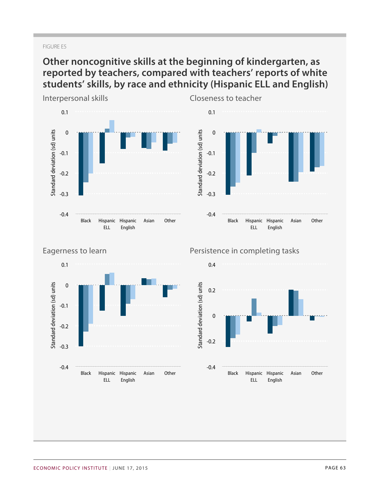### FIGURE E5

# **Other noncognitive skills at the beginning of kindergarten, as reported by teachers, compared with teachers' reports of white students' skills, by race and ethnicity (Hispanic ELL and English)**







## Persistence in completing tasks

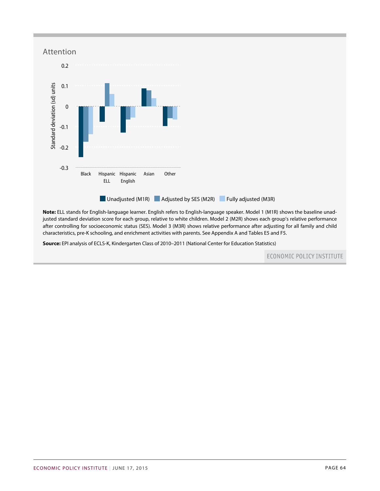

**Note:** ELL stands for English-language learner. English refers to English-language speaker. Model 1 (M1R) shows the baseline unadjusted standard deviation score for each group, relative to white children. Model 2 (M2R) shows each group's relative performance after controlling for socioeconomic status (SES). Model 3 (M3R) shows relative performance after adjusting for all family and child characteristics, pre-K schooling, and enrichment activities with parents. See Appendix A and Tables E5 and F5.

**Source:** EPI analysis of ECLS-K, Kindergarten Class of 2010–2011 (National Center for Education Statistics)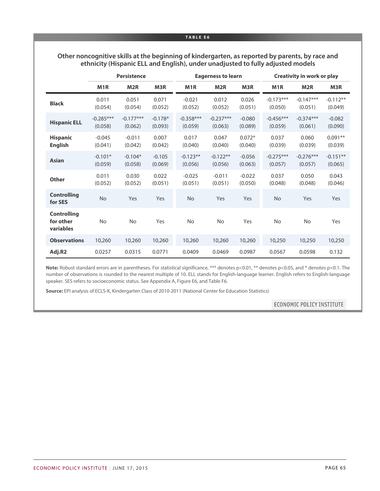#### **TABLE E6**

## **Other noncognitive skills at the beginning of kindergarten, as reported by parents, by race and ethnicity (Hispanic ELL and English), under unadjusted to fully adjusted models**

|                                              |                        | Persistence            |                      |                        | <b>Eagerness to learn</b> |                     | <b>Creativity in work or play</b> |                        |                       |  |
|----------------------------------------------|------------------------|------------------------|----------------------|------------------------|---------------------------|---------------------|-----------------------------------|------------------------|-----------------------|--|
|                                              | M <sub>1</sub> R       | M <sub>2R</sub>        | M3R                  | M <sub>1</sub> R       | M <sub>2R</sub>           | M3R                 | M <sub>1</sub> R                  | M <sub>2R</sub>        | M3R                   |  |
| <b>Black</b>                                 | 0.011<br>(0.054)       | 0.051<br>(0.054)       | 0.071<br>(0.052)     | $-0.021$<br>(0.052)    | 0.012<br>(0.052)          | 0.026<br>(0.051)    | $-0.173***$<br>(0.050)            | $-0.147***$<br>(0.051) | $-0.112**$<br>(0.049) |  |
| <b>Hispanic ELL</b>                          | $-0.285***$<br>(0.058) | $-0.177***$<br>(0.062) | $-0.178*$<br>(0.093) | $-0.358***$<br>(0.059) | $-0.237***$<br>(0.063)    | $-0.080$<br>(0.089) | $-0.456***$<br>(0.059)            | $-0.374***$<br>(0.061) | $-0.082$<br>(0.090)   |  |
| <b>Hispanic</b><br><b>English</b>            | $-0.045$<br>(0.041)    | $-0.011$<br>(0.042)    | 0.007<br>(0.042)     | 0.017<br>(0.040)       | 0.047<br>(0.040)          | $0.072*$<br>(0.040) | 0.037<br>(0.039)                  | 0.060<br>(0.039)       | $0.091**$<br>(0.039)  |  |
| <b>Asian</b>                                 | $-0.101*$<br>(0.059)   | $-0.104*$<br>(0.058)   | $-0.105$<br>(0.069)  | $-0.123**$<br>(0.056)  | $-0.122**$<br>(0.056)     | $-0.056$<br>(0.063) | $-0.275***$<br>(0.057)            | $-0.276***$<br>(0.057) | $-0.151**$<br>(0.065) |  |
| <b>Other</b>                                 | 0.011<br>(0.052)       | 0.030<br>(0.052)       | 0.022<br>(0.051)     | $-0.025$<br>(0.051)    | $-0.011$<br>(0.051)       | $-0.022$<br>(0.050) | 0.037<br>(0.048)                  | 0.050<br>(0.048)       | 0.043<br>(0.046)      |  |
| <b>Controlling</b><br>for SES                | <b>No</b>              | Yes                    | Yes                  | No                     | Yes                       | Yes                 | <b>No</b>                         | Yes                    | Yes                   |  |
| <b>Controlling</b><br>for other<br>variables | <b>No</b>              | <b>No</b>              | Yes                  | <b>No</b>              | <b>No</b>                 | Yes                 | <b>No</b>                         | <b>No</b>              | Yes                   |  |
| <b>Observations</b>                          | 10,260                 | 10,260                 | 10,260               | 10,260                 | 10,260                    | 10,260              | 10,250                            | 10,250                 | 10,250                |  |
| Adj.R2                                       | 0.0257                 | 0.0315                 | 0.0771               | 0.0409                 | 0.0469                    | 0.0987              | 0.0567                            | 0.0598                 | 0.132                 |  |

Note: Robust standard errors are in parentheses. For statistical significance, \*\*\* denotes p<0.01, \*\* denotes p<0.05, and \* denotes p<0.1. The number of observations is rounded to the nearest multiple of 10. ELL stands for English-language learner. English refers to English-language speaker. SES refers to socioeconomic status. See Appendix A, Figure E6, and Table F6.

**Source:** EPI analysis of ECLS-K, Kindergarten Class of 2010-2011 (National Center for Education Statistics)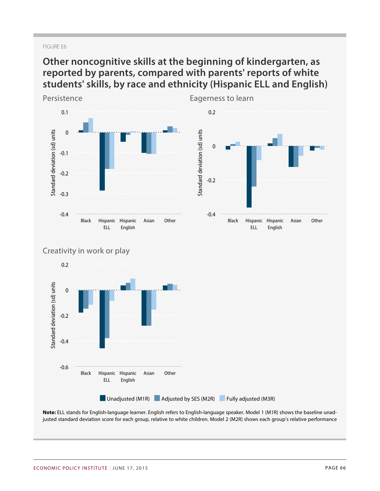### FIGURE E6

# **Other noncognitive skills at the beginning of kindergarten, as reported by parents, compared with parents' reports of white students' skills, by race and ethnicity (Hispanic ELL and English)**



**Note:** ELL stands for English-language learner. English refers to English-language speaker. Model 1 (M1R) shows the baseline unadjusted standard deviation score for each group, relative to white children. Model 2 (M2R) shows each group's relative performance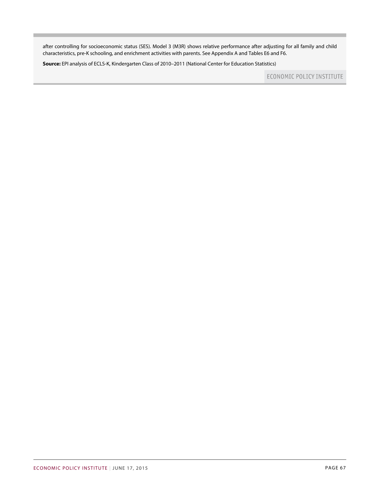after controlling for socioeconomic status (SES). Model 3 (M3R) shows relative performance after adjusting for all family and child characteristics, pre-K schooling, and enrichment activities with parents. See Appendix A and Tables E6 and F6.

**Source:** EPI analysis of ECLS-K, Kindergarten Class of 2010–2011 (National Center for Education Statistics)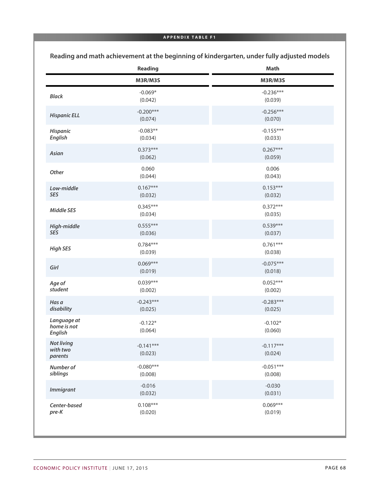### **APPENDIX TABLE F1**

|                                              | Reading                | Math                   |
|----------------------------------------------|------------------------|------------------------|
|                                              | M3R/M3S                | M3R/M3S                |
| <b>Black</b>                                 | $-0.069*$<br>(0.042)   | $-0.236***$<br>(0.039) |
| <b>Hispanic ELL</b>                          | $-0.200***$<br>(0.074) | $-0.256***$<br>(0.070) |
| Hispanic<br><b>English</b>                   | $-0.083**$<br>(0.034)  | $-0.155***$<br>(0.033) |
| Asian                                        | $0.373***$<br>(0.062)  | $0.267***$<br>(0.059)  |
| Other                                        | 0.060<br>(0.044)       | 0.006<br>(0.043)       |
| Low-middle<br><b>SES</b>                     | $0.167***$<br>(0.032)  | $0.153***$<br>(0.032)  |
| <b>Middle SES</b>                            | $0.345***$<br>(0.034)  | $0.372***$<br>(0.035)  |
| High-middle<br><b>SES</b>                    | $0.555***$<br>(0.036)  | $0.539***$<br>(0.037)  |
| <b>High SES</b>                              | $0.784***$<br>(0.039)  | $0.761***$<br>(0.038)  |
| Girl                                         | $0.069***$<br>(0.019)  | $-0.075***$<br>(0.018) |
| Age of<br>student                            | $0.039***$<br>(0.002)  | $0.052***$<br>(0.002)  |
| Has a<br>disability                          | $-0.243***$<br>(0.025) | $-0.283***$<br>(0.025) |
| Language at<br>home is not<br><b>English</b> | $-0.122*$<br>(0.064)   | $-0.102*$<br>(0.060)   |
| <b>Not living</b><br>with two<br>parents     | $-0.141***$<br>(0.023) | $-0.117***$<br>(0.024) |
| Number of<br>siblings                        | $-0.080***$<br>(0.008) | $-0.051***$<br>(0.008) |
| <b>Immigrant</b>                             | $-0.016$<br>(0.032)    | $-0.030$<br>(0.031)    |
| Center-based<br>pre-K                        | $0.108***$<br>(0.020)  | $0.069***$<br>(0.019)  |

**Reading and math achievement at the beginning of kindergarten, under fully adjusted models**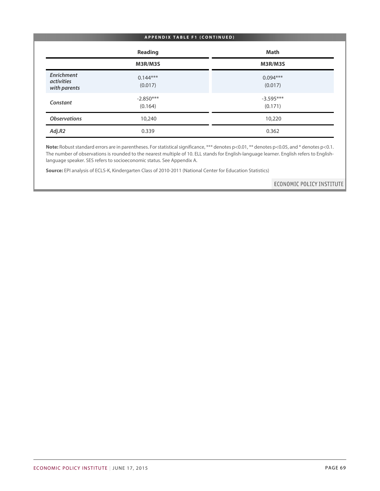#### **APPENDIX TABLE F1 (CONTINUED)**

|                                                 | <b>Reading</b>         | <b>Math</b>            |
|-------------------------------------------------|------------------------|------------------------|
|                                                 | M3R/M3S                | M3R/M3S                |
| Enrichment<br><i>activities</i><br>with parents | $0.144***$<br>(0.017)  | $0.094***$<br>(0.017)  |
| Constant                                        | $-2.850***$<br>(0.164) | $-3.595***$<br>(0.171) |
| <b>Observations</b>                             | 10,240                 | 10,220                 |
| Adj.R2                                          | 0.339                  | 0.362                  |

Note: Robust standard errors are in parentheses. For statistical significance, \*\*\* denotes p<0.01, \*\* denotes p<0.05, and \* denotes p<0.1. The number of observations is rounded to the nearest multiple of 10. ELL stands for English-language learner. English refers to Englishlanguage speaker. SES refers to socioeconomic status. See Appendix A.

**Source:** EPI analysis of ECLS-K, Kindergarten Class of 2010-2011 (National Center for Education Statistics)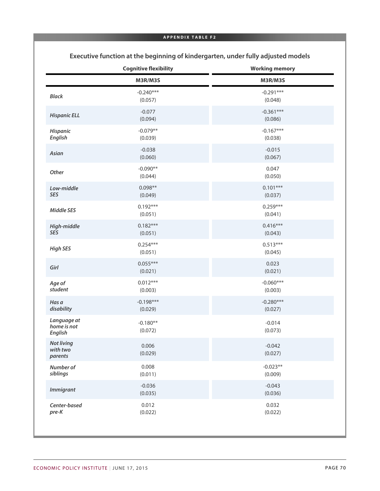## **APPENDIX TABLE F2**

|                                              | <b>Cognitive flexibility</b> | <b>Working memory</b>  |
|----------------------------------------------|------------------------------|------------------------|
|                                              | M3R/M3S                      | M3R/M3S                |
| <b>Black</b>                                 | $-0.240***$<br>(0.057)       | $-0.291***$<br>(0.048) |
| <b>Hispanic ELL</b>                          | $-0.077$<br>(0.094)          | $-0.361***$<br>(0.086) |
| Hispanic<br><b>English</b>                   | $-0.079**$<br>(0.039)        | $-0.167***$<br>(0.038) |
| Asian                                        | $-0.038$<br>(0.060)          | $-0.015$<br>(0.067)    |
| Other                                        | $-0.090**$<br>(0.044)        | 0.047<br>(0.050)       |
| Low-middle<br>SES                            | $0.098**$<br>(0.049)         | $0.101***$<br>(0.037)  |
| <b>Middle SES</b>                            | $0.192***$<br>(0.051)        | $0.259***$<br>(0.041)  |
| High-middle<br>SES                           | $0.182***$<br>(0.051)        | $0.416***$<br>(0.043)  |
| <b>High SES</b>                              | $0.254***$<br>(0.051)        | $0.513***$<br>(0.045)  |
| Girl                                         | $0.055***$<br>(0.021)        | 0.023<br>(0.021)       |
| Age of<br>student                            | $0.012***$<br>(0.003)        | $-0.060***$<br>(0.003) |
| Has a<br>disability                          | $-0.198***$<br>(0.029)       | $-0.280***$<br>(0.027) |
| Language at<br>home is not<br><b>English</b> | $-0.180**$<br>(0.072)        | $-0.014$<br>(0.073)    |
| <b>Not living</b><br>with two<br>parents     | 0.006<br>(0.029)             | $-0.042$<br>(0.027)    |
| Number of<br>siblings                        | 0.008<br>(0.011)             | $-0.023**$<br>(0.009)  |
| <b>Immigrant</b>                             | $-0.036$<br>(0.035)          | $-0.043$<br>(0.036)    |
| Center-based<br>pre-K                        | 0.012<br>(0.022)             | 0.032<br>(0.022)       |

**Executive function at the beginning of kindergarten, under fully adjusted models**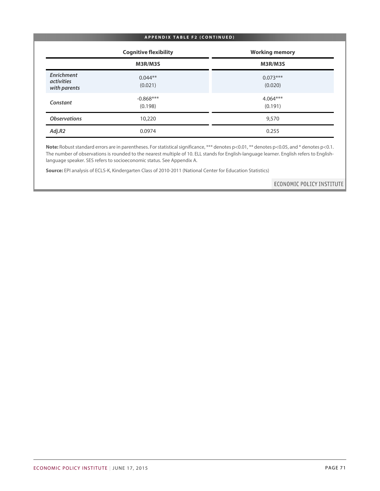#### **APPENDIX TABLE F2 (CONTINUED)**

|                                                 | <b>Cognitive flexibility</b> | <b>Working memory</b> |
|-------------------------------------------------|------------------------------|-----------------------|
|                                                 | M3R/M3S                      | M3R/M3S               |
| Enrichment<br><i>activities</i><br>with parents | $0.044**$<br>(0.021)         | $0.073***$<br>(0.020) |
| Constant                                        | $-0.868***$<br>(0.198)       | $4.064***$<br>(0.191) |
| <b>Observations</b>                             | 10,220                       | 9,570                 |
| Adj.R2                                          | 0.0974                       | 0.255                 |

Note: Robust standard errors are in parentheses. For statistical significance, \*\*\* denotes p<0.01, \*\* denotes p<0.05, and \* denotes p<0.1. The number of observations is rounded to the nearest multiple of 10. ELL stands for English-language learner. English refers to Englishlanguage speaker. SES refers to socioeconomic status. See Appendix A.

**Source:** EPI analysis of ECLS-K, Kindergarten Class of 2010-2011 (National Center for Education Statistics)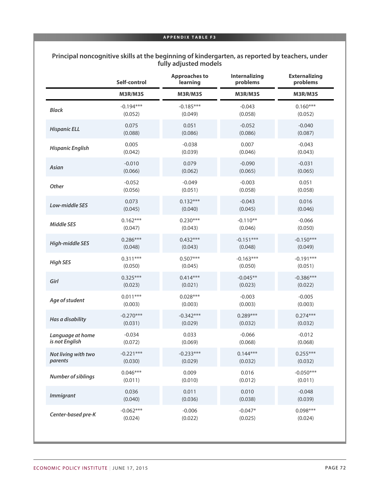## **Principal noncognitive skills at the beginning of kindergarten, as reported by teachers, under fully adjusted models**

|                           | Self-control | <b>Approaches to</b><br>learning | <b>Internalizing</b><br>problems | <b>Externalizing</b><br>problems |
|---------------------------|--------------|----------------------------------|----------------------------------|----------------------------------|
|                           | M3R/M3S      | M3R/M3S                          | M3R/M3S                          | M3R/M3S                          |
| <b>Black</b>              | $-0.194***$  | $-0.185***$                      | $-0.043$                         | $0.160***$                       |
|                           | (0.052)      | (0.049)                          | (0.058)                          | (0.052)                          |
| <b>Hispanic ELL</b>       | 0.075        | 0.051                            | $-0.052$                         | $-0.040$                         |
|                           | (0.088)      | (0.086)                          | (0.086)                          | (0.087)                          |
| <b>Hispanic English</b>   | 0.005        | $-0.038$                         | 0.007                            | $-0.043$                         |
|                           | (0.042)      | (0.039)                          | (0.046)                          | (0.043)                          |
| Asian                     | $-0.010$     | 0.079                            | $-0.090$                         | $-0.031$                         |
|                           | (0.066)      | (0.062)                          | (0.065)                          | (0.065)                          |
| Other                     | $-0.052$     | $-0.049$                         | $-0.003$                         | 0.051                            |
|                           | (0.056)      | (0.051)                          | (0.058)                          | (0.058)                          |
| Low-middle SES            | 0.073        | $0.132***$                       | $-0.043$                         | 0.016                            |
|                           | (0.045)      | (0.040)                          | (0.045)                          | (0.046)                          |
| <b>Middle SES</b>         | $0.162***$   | $0.230***$                       | $-0.110**$                       | $-0.066$                         |
|                           | (0.047)      | (0.043)                          | (0.046)                          | (0.050)                          |
| <b>High-middle SES</b>    | $0.286***$   | $0.432***$                       | $-0.151***$                      | $-0.150***$                      |
|                           | (0.048)      | (0.043)                          | (0.048)                          | (0.049)                          |
| <b>High SES</b>           | $0.311***$   | $0.507***$                       | $-0.163***$                      | $-0.191***$                      |
|                           | (0.050)      | (0.045)                          | (0.050)                          | (0.051)                          |
| Girl                      | $0.325***$   | $0.414***$                       | $-0.045**$                       | $-0.386***$                      |
|                           | (0.023)      | (0.021)                          | (0.023)                          | (0.022)                          |
| Age of student            | $0.011***$   | $0.028***$                       | $-0.003$                         | $-0.005$                         |
|                           | (0.003)      | (0.003)                          | (0.003)                          | (0.003)                          |
| Has a disability          | $-0.270***$  | $-0.342***$                      | $0.289***$                       | $0.274***$                       |
|                           | (0.031)      | (0.029)                          | (0.032)                          | (0.032)                          |
| Language at home          | $-0.034$     | 0.033                            | $-0.066$                         | $-0.012$                         |
| is not English            | (0.072)      | (0.069)                          | (0.068)                          | (0.068)                          |
| Not living with two       | $-0.221***$  | $-0.233***$                      | $0.144***$                       | $0.255***$                       |
| parents                   | (0.030)      | (0.029)                          | (0.032)                          | (0.032)                          |
| <b>Number of siblings</b> | $0.046***$   | 0.009                            | 0.016                            | $-0.050***$                      |
|                           | (0.011)      | (0.010)                          | (0.012)                          | (0.011)                          |
| <b>Immigrant</b>          | 0.036        | 0.011                            | 0.010                            | $-0.048$                         |
|                           | (0.040)      | (0.036)                          | (0.038)                          | (0.039)                          |
| Center-based pre-K        | $-0.062***$  | $-0.006$                         | $-0.047*$                        | $0.098***$                       |
|                           | (0.024)      | (0.022)                          | (0.025)                          | (0.024)                          |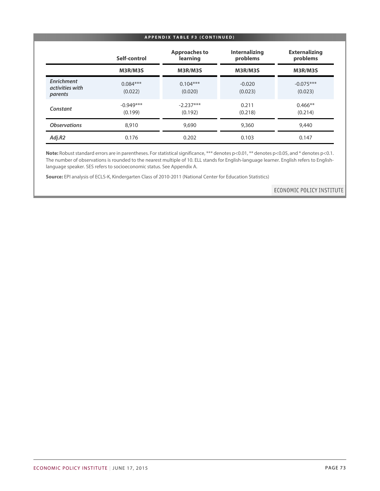| <b>APPENDIX TABLE F3 (CONTINUED)</b>     |                        |                                  |                                  |                                  |
|------------------------------------------|------------------------|----------------------------------|----------------------------------|----------------------------------|
|                                          | Self-control           | <b>Approaches to</b><br>learning | <b>Internalizing</b><br>problems | <b>Externalizing</b><br>problems |
|                                          | M3R/M3S                | M3R/M3S                          | M3R/M3S                          | M3R/M3S                          |
| Enrichment<br>activities with<br>parents | $0.084***$<br>(0.022)  | $0.104***$<br>(0.020)            | $-0.020$<br>(0.023)              | $-0.075***$<br>(0.023)           |
| Constant                                 | $-0.949***$<br>(0.199) | $-2.237***$<br>(0.192)           | 0.211<br>(0.218)                 | $0.466**$<br>(0.214)             |
| <b>Observations</b>                      | 8,910                  | 9,690                            | 9,360                            | 9,440                            |
| Adj.R2                                   | 0.176                  | 0.202                            | 0.103                            | 0.147                            |

Note: Robust standard errors are in parentheses. For statistical significance, \*\*\* denotes p<0.01, \*\* denotes p<0.05, and \* denotes p<0.1. The number of observations is rounded to the nearest multiple of 10. ELL stands for English-language learner. English refers to Englishlanguage speaker. SES refers to socioeconomic status. See Appendix A.

**Source:** EPI analysis of ECLS-K, Kindergarten Class of 2010-2011 (National Center for Education Statistics)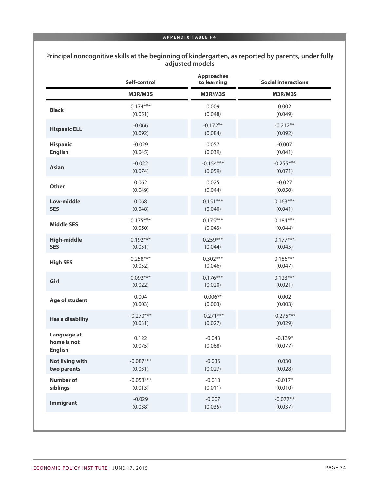## **Principal noncognitive skills at the beginning of kindergarten, as reported by parents, under fully adjusted models**

|                                              | Self-control     | <b>Approaches</b><br>to learning | <b>Social interactions</b> |
|----------------------------------------------|------------------|----------------------------------|----------------------------|
|                                              | M3R/M3S          | M3R/M3S                          | M3R/M3S                    |
| <b>Black</b>                                 | $0.174***$       | 0.009                            | 0.002                      |
|                                              | (0.051)          | (0.048)                          | (0.049)                    |
| <b>Hispanic ELL</b>                          | $-0.066$         | $-0.172**$                       | $-0.212**$                 |
|                                              | (0.092)          | (0.084)                          | (0.092)                    |
| <b>Hispanic</b>                              | $-0.029$         | 0.057                            | $-0.007$                   |
| <b>English</b>                               | (0.045)          | (0.039)                          | (0.041)                    |
| <b>Asian</b>                                 | $-0.022$         | $-0.154***$                      | $-0.255***$                |
|                                              | (0.074)          | (0.059)                          | (0.071)                    |
| <b>Other</b>                                 | 0.062            | 0.025                            | $-0.027$                   |
|                                              | (0.049)          | (0.044)                          | (0.050)                    |
| <b>Low-middle</b>                            | 0.068            | $0.151***$                       | $0.163***$                 |
| <b>SES</b>                                   | (0.048)          | (0.040)                          | (0.041)                    |
| <b>Middle SES</b>                            | $0.175***$       | $0.175***$                       | $0.184***$                 |
|                                              | (0.050)          | (0.043)                          | (0.044)                    |
| <b>High-middle</b>                           | $0.192***$       | $0.259***$                       | $0.177***$                 |
| <b>SES</b>                                   | (0.051)          | (0.044)                          | (0.045)                    |
| <b>High SES</b>                              | $0.258***$       | $0.302***$                       | $0.186***$                 |
|                                              | (0.052)          | (0.046)                          | (0.047)                    |
| Girl                                         | $0.092***$       | $0.176***$                       | $0.123***$                 |
|                                              | (0.022)          | (0.020)                          | (0.021)                    |
| Age of student                               | 0.004            | $0.006**$                        | 0.002                      |
|                                              | (0.003)          | (0.003)                          | (0.003)                    |
| <b>Has a disability</b>                      | $-0.270***$      | $-0.271***$                      | $-0.275***$                |
|                                              | (0.031)          | (0.027)                          | (0.029)                    |
| Language at<br>home is not<br><b>English</b> | 0.122<br>(0.075) | $-0.043$<br>(0.068)              | $-0.139*$<br>(0.077)       |
| <b>Not living with</b>                       | $-0.087***$      | $-0.036$                         | 0.030                      |
| two parents                                  | (0.031)          | (0.027)                          | (0.028)                    |
| <b>Number of</b>                             | $-0.058***$      | $-0.010$                         | $-0.017*$                  |
| siblings                                     | (0.013)          | (0.011)                          | (0.010)                    |
| <b>Immigrant</b>                             | $-0.029$         | $-0.007$                         | $-0.077**$                 |
|                                              | (0.038)          | (0.035)                          | (0.037)                    |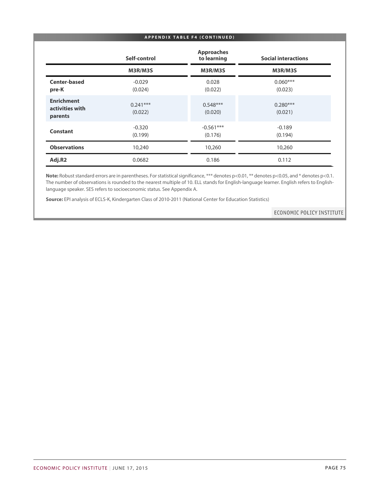### **APPENDIX TABLE F4 (CONTINUED)**

|                                                 | Self-control          | <b>Approaches</b><br>to learning | <b>Social interactions</b> |
|-------------------------------------------------|-----------------------|----------------------------------|----------------------------|
|                                                 | M3R/M3S               | M3R/M3S                          | M3R/M3S                    |
| <b>Center-based</b><br>pre-K                    | $-0.029$<br>(0.024)   | 0.028<br>(0.022)                 | $0.060***$<br>(0.023)      |
| <b>Enrichment</b><br>activities with<br>parents | $0.241***$<br>(0.022) | $0.548***$<br>(0.020)            | $0.280***$<br>(0.021)      |
| Constant                                        | $-0.320$<br>(0.199)   | $-0.561***$<br>(0.176)           | $-0.189$<br>(0.194)        |
| <b>Observations</b>                             | 10,240                | 10,260                           | 10,260                     |
| Adj.R2                                          | 0.0682                | 0.186                            | 0.112                      |

Note: Robust standard errors are in parentheses. For statistical significance, \*\*\* denotes p<0.01, \*\* denotes p<0.05, and \* denotes p<0.1. The number of observations is rounded to the nearest multiple of 10. ELL stands for English-language learner. English refers to Englishlanguage speaker. SES refers to socioeconomic status. See Appendix A.

**Source:** EPI analysis of ECLS-K, Kindergarten Class of 2010-2011 (National Center for Education Statistics)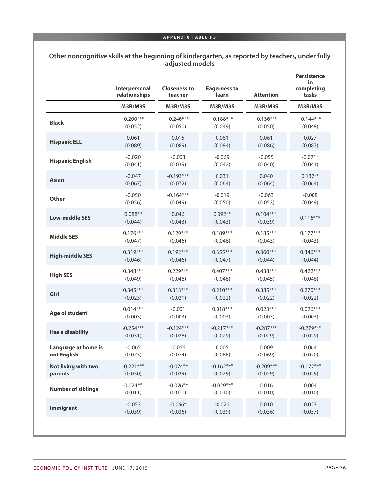| Other noncognitive skills at the beginning of kindergarten, as reported by teachers, under fully |
|--------------------------------------------------------------------------------------------------|
| adjusted models                                                                                  |

|                           | Interpersonal<br>relationships | <b>Closeness to</b><br>teacher | <b>Eagerness to</b><br>learn | <b>Attention</b>      | <b>Persistence</b><br>in<br>completing<br>tasks |
|---------------------------|--------------------------------|--------------------------------|------------------------------|-----------------------|-------------------------------------------------|
|                           | M3R/M3S                        | M3R/M3S                        | M3R/M3S                      | M3R/M3S               | M3R/M3S                                         |
| <b>Black</b>              | $-0.200***$                    | $-0.246***$                    | $-0.188***$                  | $-0.136***$           | $-0.144***$                                     |
|                           | (0.052)                        | (0.050)                        | (0.049)                      | (0.050)               | (0.048)                                         |
| <b>Hispanic ELL</b>       | 0.061                          | 0.015                          | 0.061                        | 0.061                 | 0.027                                           |
|                           | (0.089)                        | (0.089)                        | (0.084)                      | (0.086)               | (0.087)                                         |
| <b>Hispanic English</b>   | $-0.020$                       | $-0.003$                       | $-0.069$                     | $-0.055$              | $-0.071*$                                       |
|                           | (0.041)                        | (0.039)                        | (0.042)                      | (0.040)               | (0.041)                                         |
| <b>Asian</b>              | $-0.047$                       | $-0.193***$                    | 0.031                        | 0.040                 | $0.132**$                                       |
|                           | (0.067)                        | (0.072)                        | (0.064)                      | (0.064)               | (0.064)                                         |
| <b>Other</b>              | $-0.050$                       | $-0.164***$                    | $-0.019$                     | $-0.063$              | $-0.008$                                        |
|                           | (0.056)                        | (0.049)                        | (0.050)                      | (0.053)               | (0.049)                                         |
| <b>Low-middle SES</b>     | $0.088**$<br>(0.044)           | 0.046<br>(0.043)               | $0.092**$<br>(0.043)         | $0.104***$<br>(0.039) | $0.116***$                                      |
| <b>Middle SES</b>         | $0.176***$                     | $0.120***$                     | $0.189***$                   | $0.185***$            | $0.177***$                                      |
|                           | (0.047)                        | (0.046)                        | (0.046)                      | (0.043)               | (0.043)                                         |
| <b>High-middle SES</b>    | $0.319***$                     | $0.192***$                     | $0.355***$                   | $0.360***$            | $0.346***$                                      |
|                           | (0.046)                        | (0.046)                        | (0.047)                      | (0.044)               | (0.044)                                         |
| <b>High SES</b>           | $0.348***$                     | $0.229***$                     | $0.407***$                   | $0.438***$            | $0.422***$                                      |
|                           | (0.049)                        | (0.048)                        | (0.048)                      | (0.045)               | (0.046)                                         |
| Girl                      | $0.345***$                     | $0.318***$                     | $0.210***$                   | $0.385***$            | $0.270***$                                      |
|                           | (0.023)                        | (0.021)                        | (0.022)                      | (0.022)               | (0.022)                                         |
| Age of student            | $0.014***$                     | $-0.001$                       | $0.018***$                   | $0.023***$            | $0.026***$                                      |
|                           | (0.003)                        | (0.003)                        | (0.003)                      | (0.003)               | (0.003)                                         |
| <b>Has a disability</b>   | $-0.254***$                    | $-0.124***$                    | $-0.217***$                  | $-0.287***$           | $-0.279***$                                     |
|                           | (0.031)                        | (0.028)                        | (0.029)                      | (0.029)               | (0.029)                                         |
| Language at home is       | $-0.065$                       | $-0.066$                       | 0.005                        | 0.009                 | 0.064                                           |
| not English               | (0.073)                        | (0.074)                        | (0.066)                      | (0.069)               | (0.070)                                         |
| Not living with two       | $-0.221***$                    | $-0.074**$                     | $-0.162***$                  | $-0.209***$           | $-0.172***$                                     |
| parents                   | (0.030)                        | (0.029)                        | (0.029)                      | (0.029)               | (0.029)                                         |
| <b>Number of siblings</b> | $0.024**$                      | $-0.026**$                     | $-0.029***$                  | 0.016                 | 0.004                                           |
|                           | (0.011)                        | (0.011)                        | (0.010)                      | (0.010)               | (0.010)                                         |
| <b>Immigrant</b>          | $-0.053$                       | $-0.066*$                      | $-0.021$                     | 0.010                 | 0.023                                           |
|                           | (0.039)                        | (0.036)                        | (0.039)                      | (0.036)               | (0.037)                                         |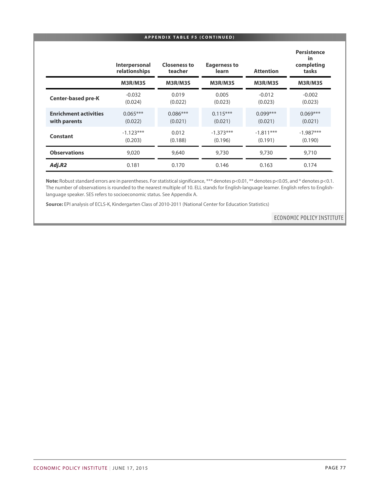#### **APPENDIX TABLE F5 (CONTINUED)**

|                                              | Interpersonal<br>relationships | <b>Closeness to</b><br>teacher | <b>Eagerness to</b><br>learn | <b>Attention</b>       | <b>Persistence</b><br>in<br>completing<br>tasks |
|----------------------------------------------|--------------------------------|--------------------------------|------------------------------|------------------------|-------------------------------------------------|
|                                              | M3R/M3S                        | M3R/M3S                        | M3R/M3S                      | M3R/M3S                | M3R/M3S                                         |
| <b>Center-based pre-K</b>                    | $-0.032$<br>(0.024)            | 0.019<br>(0.022)               | 0.005<br>(0.023)             | $-0.012$<br>(0.023)    | $-0.002$<br>(0.023)                             |
| <b>Enrichment activities</b><br>with parents | $0.065***$<br>(0.022)          | $0.086***$<br>(0.021)          | $0.115***$<br>(0.021)        | $0.099***$<br>(0.021)  | $0.069***$<br>(0.021)                           |
| Constant                                     | $-1.123***$<br>(0.203)         | 0.012<br>(0.188)               | $-1.373***$<br>(0.196)       | $-1.811***$<br>(0.191) | $-1.987***$<br>(0.190)                          |
| <b>Observations</b>                          | 9,020                          | 9,640                          | 9,730                        | 9,730                  | 9,710                                           |
| Adj.R2                                       | 0.181                          | 0.170                          | 0.146                        | 0.163                  | 0.174                                           |

Note: Robust standard errors are in parentheses. For statistical significance, \*\*\* denotes p<0.01, \*\* denotes p<0.05, and \* denotes p<0.1. The number of observations is rounded to the nearest multiple of 10. ELL stands for English-language learner. English refers to Englishlanguage speaker. SES refers to socioeconomic status. See Appendix A.

**Source:** EPI analysis of ECLS-K, Kindergarten Class of 2010-2011 (National Center for Education Statistics)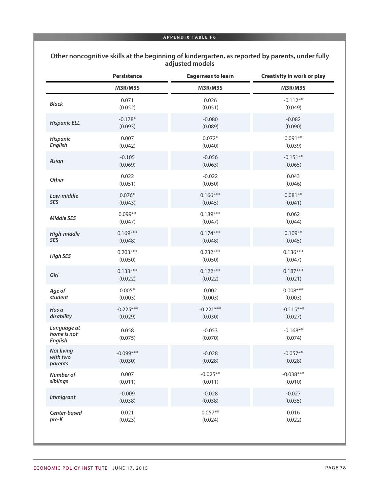## **Other noncognitive skills at the beginning of kindergarten, as reported by parents, under fully adjusted models**

|                                              | Persistence            | <b>Eagerness to learn</b> | Creativity in work or play |
|----------------------------------------------|------------------------|---------------------------|----------------------------|
|                                              | M3R/M3S                | M3R/M3S                   | M3R/M3S                    |
| <b>Black</b>                                 | 0.071                  | 0.026                     | $-0.112**$                 |
|                                              | (0.052)                | (0.051)                   | (0.049)                    |
| <b>Hispanic ELL</b>                          | $-0.178*$              | $-0.080$                  | $-0.082$                   |
|                                              | (0.093)                | (0.089)                   | (0.090)                    |
| <b>Hispanic</b>                              | 0.007                  | $0.072*$                  | $0.091**$                  |
| <b>English</b>                               | (0.042)                | (0.040)                   | (0.039)                    |
| Asian                                        | $-0.105$               | $-0.056$                  | $-0.151**$                 |
|                                              | (0.069)                | (0.063)                   | (0.065)                    |
| Other                                        | 0.022                  | $-0.022$                  | 0.043                      |
|                                              | (0.051)                | (0.050)                   | (0.046)                    |
| Low-middle                                   | $0.076*$               | $0.166***$                | $0.081**$                  |
| <b>SES</b>                                   | (0.043)                | (0.045)                   | (0.041)                    |
| <b>Middle SES</b>                            | $0.099**$              | $0.189***$                | 0.062                      |
|                                              | (0.047)                | (0.047)                   | (0.044)                    |
| High-middle                                  | $0.169***$             | $0.174***$                | $0.109**$                  |
| <b>SES</b>                                   | (0.048)                | (0.048)                   | (0.045)                    |
| <b>High SES</b>                              | $0.203***$             | $0.232***$                | $0.136***$                 |
|                                              | (0.050)                | (0.050)                   | (0.047)                    |
| Girl                                         | $0.133***$             | $0.122***$                | $0.187***$                 |
|                                              | (0.022)                | (0.022)                   | (0.021)                    |
| Age of                                       | $0.005*$               | 0.002                     | $0.008***$                 |
| student                                      | (0.003)                | (0.003)                   | (0.003)                    |
| Has a                                        | $-0.225***$            | $-0.221***$               | $-0.115***$                |
| disability                                   | (0.029)                | (0.030)                   | (0.027)                    |
| Language at<br>home is not<br><b>English</b> | 0.058<br>(0.075)       | $-0.053$<br>(0.070)       | $-0.168**$<br>(0.074)      |
| <b>Not living</b><br>with two<br>parents     | $-0.099***$<br>(0.030) | $-0.028$<br>(0.028)       | $-0.057**$<br>(0.028)      |
| Number of                                    | 0.007                  | $-0.025**$                | $-0.038***$                |
| siblings                                     | (0.011)                | (0.011)                   | (0.010)                    |
| <b>Immigrant</b>                             | $-0.009$               | $-0.028$                  | $-0.027$                   |
|                                              | (0.038)                | (0.038)                   | (0.035)                    |
| Center-based                                 | 0.021                  | $0.057**$                 | 0.016                      |
| pre-K                                        | (0.023)                | (0.024)                   | (0.022)                    |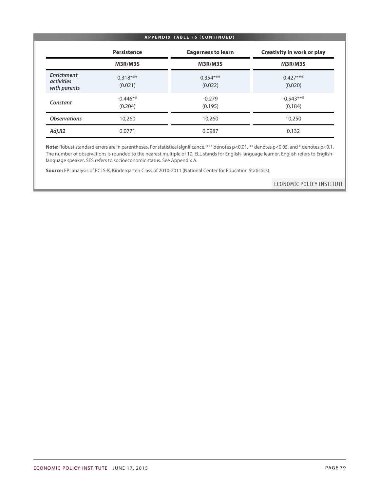#### **APPENDIX TABLE F6 (CONTINUED)**

|                                                 | Persistence           | <b>Eagerness to learn</b> | <b>Creativity in work or play</b> |
|-------------------------------------------------|-----------------------|---------------------------|-----------------------------------|
|                                                 | M3R/M3S               | M3R/M3S                   | M3R/M3S                           |
| Enrichment<br><i>activities</i><br>with parents | $0.318***$<br>(0.021) | $0.354***$<br>(0.022)     | $0.427***$<br>(0.020)             |
| Constant                                        | $-0.446**$<br>(0.204) | $-0.279$<br>(0.195)       | $-0.543***$<br>(0.184)            |
| <b>Observations</b>                             | 10,260                | 10,260                    | 10,250                            |
| Adj.R2                                          | 0.0771                | 0.0987                    | 0.132                             |

Note: Robust standard errors are in parentheses. For statistical significance, \*\*\* denotes p<0.01, \*\* denotes p<0.05, and \* denotes p<0.1. The number of observations is rounded to the nearest multiple of 10. ELL stands for English-language learner. English refers to Englishlanguage speaker. SES refers to socioeconomic status. See Appendix A.

**Source:** EPI analysis of ECLS-K, Kindergarten Class of 2010-2011 (National Center for Education Statistics)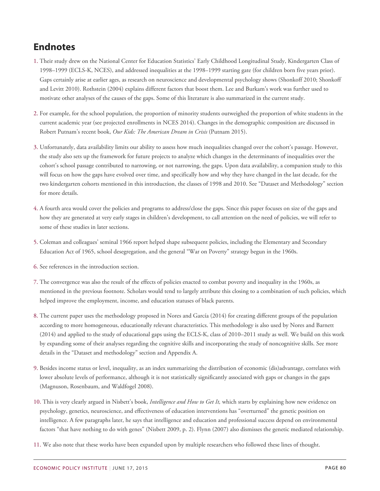# **Endnotes**

- [1.](#page-2-0) Their study drew on the National Center for Education Statistics' Early Childhood Longitudinal Study, Kindergarten Class of 1998–1999 (ECLS-K, NCES), and addressed inequalities at the 1998–1999 starting gate (for children born five years prior). Gaps certainly arise at earlier ages, as research on neuroscience and developmental psychology shows (Shonkoff 2010; Shonkoff and Levitt 2010). Rothstein (2004) explains different factors that boost them. Lee and Burkam's work was further used to motivate other analyses of the causes of the gaps. Some of this literature is also summarized in the current study.
- [2.](#page-2-1) For example, for the school population, the proportion of minority students outweighed the proportion of white students in the current academic year (see projected enrollments in NCES 2014). Changes in the demographic composition are discussed in Robert Putnam's recent book, *Our Kids: The American Dream in Crisis* (Putnam 2015).
- [3.](#page-3-0) Unfortunately, data availability limits our ability to assess how much inequalities changed over the cohort's passage. However, the study also sets up the framework for future projects to analyze which changes in the determinants of inequalities over the cohort's school passage contributed to narrowing, or not narrowing, the gaps. Upon data availability, a companion study to this will focus on how the gaps have evolved over time, and specifically how and why they have changed in the last decade, for the two kindergarten cohorts mentioned in this introduction, the classes of 1998 and 2010. See "Dataset and Methodology" section for more details.
- [4.](#page-5-0) A fourth area would cover the policies and programs to address/close the gaps. Since this paper focuses on size of the gaps and how they are generated at very early stages in children's development, to call attention on the need of policies, we will refer to some of these studies in later sections.
- [5.](#page-5-1) Coleman and colleagues' seminal 1966 report helped shape subsequent policies, including the Elementary and Secondary Education Act of 1965, school desegregation, and the general "War on Poverty" strategy begun in the 1960s.
- [6.](#page-5-2) See references in the introduction section.
- [7.](#page-6-0) The convergence was also the result of the effects of policies enacted to combat poverty and inequality in the 1960s, as mentioned in the previous footnote. Scholars would tend to largely attribute this closing to a combination of such policies, which helped improve the employment, income, and education statuses of black parents.
- [8.](#page-6-1) The current paper uses the methodology proposed in Nores and García (2014) for creating different groups of the population according to more homogeneous, educationally relevant characteristics. This methodology is also used by Nores and Barnett (2014) and applied to the study of educational gaps using the ECLS-K, class of 2010–2011 study as well. We build on this work by expanding some of their analyses regarding the cognitive skills and incorporating the study of noncognitive skills. See more details in the "Dataset and methodology" section and Appendix A.
- [9.](#page-7-0) Besides income status or level, inequality, as an index summarizing the distribution of economic (dis)advantage, correlates with lower absolute levels of performance, although it is not statistically significantly associated with gaps or changes in the gaps (Magnuson, Rosenbaum, and Waldfogel 2008).
- [10.](#page-7-1) This is very clearly argued in Nisbett's book, *Intelligence and How to Get It,* which starts by explaining how new evidence on psychology, genetics, neuroscience, and effectiveness of education interventions has "overturned" the genetic position on intelligence. A few paragraphs later, he says that intelligence and education and professional success depend on environmental factors "that have nothing to do with genes" (Nisbett 2009, p. 2). Flynn (2007) also dismisses the genetic mediated relationship.
- [11.](#page-7-2) We also note that these works have been expanded upon by multiple researchers who followed these lines of thought.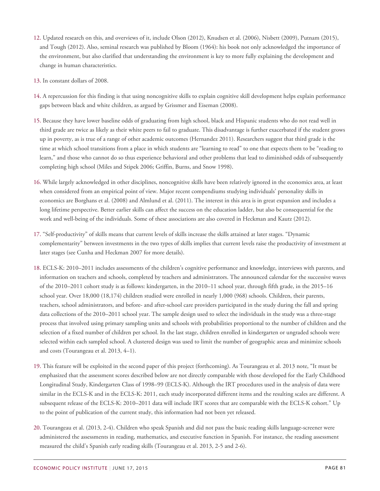- [12.](#page-7-3) Updated research on this, and overviews of it, include Olson (2012), Knudsen et al. (2006), Nisbett (2009), Putnam (2015), and Tough (2012). Also, seminal research was published by Bloom (1964): his book not only acknowledged the importance of the environment, but also clarified that understanding the environment is key to more fully explaining the development and change in human characteristics.
- [13.](#page-8-0) In constant dollars of 2008.
- [14.](#page-9-0) A repercussion for this finding is that using noncognitive skills to explain cognitive skill development helps explain performance gaps between black and white children, as argued by Grissmer and Eiseman (2008).
- [15.](#page-9-1) Because they have lower baseline odds of graduating from high school, black and Hispanic students who do not read well in third grade are twice as likely as their white peers to fail to graduate. This disadvantage is further exacerbated if the student grows up in poverty, as is true of a range of other academic outcomes (Hernandez 2011). Researchers suggest that third grade is the time at which school transitions from a place in which students are "learning to read" to one that expects them to be "reading to learn," and those who cannot do so thus experience behavioral and other problems that lead to diminished odds of subsequently completing high school (Miles and Stipek 2006; Griffin, Burns, and Snow 1998).
- [16.](#page-9-2) While largely acknowledged in other disciplines, noncognitive skills have been relatively ignored in the economics area, at least when considered from an empirical point of view. Major recent compendiums studying individuals' personality skills in economics are Borghans et al. (2008) and Almlund et al. (2011). The interest in this area is in great expansion and includes a long lifetime perspective. Better earlier skills can affect the success on the education ladder, but also be consequential for the work and well-being of the individuals. Some of these associations are also covered in Heckman and Kautz (2012).
- [17.](#page-9-3) "Self-productivity" of skills means that current levels of skills increase the skills attained at later stages. "Dynamic complementarity" between investments in the two types of skills implies that current levels raise the productivity of investment at later stages (see Cunha and Heckman 2007 for more details).
- [18.](#page-9-4) ECLS-K: 2010–2011 includes assessments of the children's cognitive performance and knowledge, interviews with parents, and information on teachers and schools, completed by teachers and administrators. The announced calendar for the successive waves of the 2010–2011 cohort study is as follows: kindergarten, in the 2010–11 school year, through fifth grade, in the 2015–16 school year. Over 18,000 (18,174) children studied were enrolled in nearly 1,000 (968) schools. Children, their parents, teachers, school administrators, and before- and after-school care providers participated in the study during the fall and spring data collections of the 2010–2011 school year. The sample design used to select the individuals in the study was a three-stage process that involved using primary sampling units and schools with probabilities proportional to the number of children and the selection of a fixed number of children per school. In the last stage, children enrolled in kindergarten or ungraded schools were selected within each sampled school. A clustered design was used to limit the number of geographic areas and minimize schools and costs (Tourangeau et al. 2013, 4–1).
- [19.](#page-10-0) This feature will be exploited in the second paper of this project (forthcoming). As Tourangeau et al. 2013 note, "It must be emphasized that the assessment scores described below are not directly comparable with those developed for the Early Childhood Longitudinal Study, Kindergarten Class of 1998–99 (ECLS-K). Although the IRT procedures used in the analysis of data were similar in the ECLS-K and in the ECLS-K: 2011, each study incorporated different items and the resulting scales are different. A subsequent release of the ECLS-K: 2010–2011 data will include IRT scores that are comparable with the ECLS-K cohort." Up to the point of publication of the current study, this information had not been yet released.
- [20.](#page-10-1) Tourangeau et al. (2013, 2-4). Children who speak Spanish and did not pass the basic reading skills language-screener were administered the assessments in reading, mathematics, and executive function in Spanish. For instance, the reading assessment measured the child's Spanish early reading skills (Tourangeau et al. 2013, 2-5 and 2-6).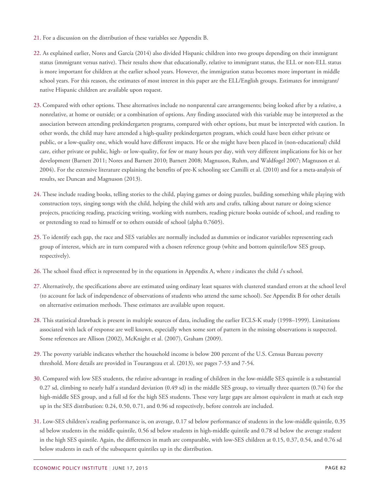- [21.](#page-11-0) For a discussion on the distribution of these variables see Appendix B.
- [22.](#page-11-1) As explained earlier, Nores and García (2014) also divided Hispanic children into two groups depending on their immigrant status (immigrant versus native). Their results show that educationally, relative to immigrant status, the ELL or non-ELL status is more important for children at the earlier school years. However, the immigration status becomes more important in middle school years. For this reason, the estimates of most interest in this paper are the ELL/English groups. Estimates for immigrant/ native Hispanic children are available upon request.
- [23.](#page-12-0) Compared with other options. These alternatives include no nonparental care arrangements; being looked after by a relative, a nonrelative, at home or outside; or a combination of options. Any finding associated with this variable may be interpreted as the association between attending prekindergarten programs, compared with other options, but must be interpreted with caution. In other words, the child may have attended a high-quality prekindergarten program, which could have been either private or public, or a low-quality one, which would have different impacts. He or she might have been placed in (non-educational) child care, either private or public, high- or low-quality, for few or many hours per day, with very different implications for his or her development (Barnett 2011; Nores and Barnett 2010; Barnett 2008; Magnuson, Ruhm, and Waldfogel 2007; Magnuson et al. 2004). For the extensive literature explaining the benefits of pre-K schooling see Camilli et al. (2010) and for a meta-analysis of results, see Duncan and Magnuson (2013).
- [24.](#page-12-1) These include reading books, telling stories to the child, playing games or doing puzzles, building something while playing with construction toys, singing songs with the child, helping the child with arts and crafts, talking about nature or doing science projects, practicing reading, practicing writing, working with numbers, reading picture books outside of school, and reading to or pretending to read to himself or to others outside of school (alpha 0.7605).
- [25.](#page-12-2) To identify each gap, the race and SES variables are normally included as dummies or indicator variables representing each group of interest, which are in turn compared with a chosen reference group (white and bottom quintile/low SES group, respectively).
- [26.](#page-12-3) The school fixed effect is represented by in the equations in Appendix A, where *s* indicates the child *i*'s school.
- [27.](#page-12-4) Alternatively, the specifications above are estimated using ordinary least squares with clustered standard errors at the school level (to account for lack of independence of observations of students who attend the same school). See Appendix B for other details on alternative estimation methods. These estimates are available upon request.
- [28.](#page-12-5) This statistical drawback is present in multiple sources of data, including the earlier ECLS-K study (1998–1999). Limitations associated with lack of response are well known, especially when some sort of pattern in the missing observations is suspected. Some references are Allison (2002), McKnight et al. (2007), Graham (2009).
- [29.](#page-13-0) The poverty variable indicates whether the household income is below 200 percent of the U.S. Census Bureau poverty threshold. More details are provided in Tourangeau et al. (2013), see pages 7-53 and 7-54.
- [30.](#page-15-0) Compared with low SES students, the relative advantage in reading of children in the low-middle SES quintile is a substantial 0.27 sd, climbing to nearly half a standard deviation (0.49 sd) in the middle SES group, to virtually three quarters (0.74) for the high-middle SES group, and a full sd for the high SES students. These very large gaps are almost equivalent in math at each step up in the SES distribution: 0.24, 0.50, 0.71, and 0.96 sd respectively, before controls are included.
- [31.](#page-15-1) Low-SES children's reading performance is, on average, 0.17 sd below performance of students in the low-middle quintile, 0.35 sd below students in the middle quintile, 0.56 sd below students in high-middle quintile and 0.78 sd below the average student in the high SES quintile. Again, the differences in math are comparable, with low-SES children at 0.15, 0.37, 0.54, and 0.76 sd below students in each of the subsequent quintiles up in the distribution.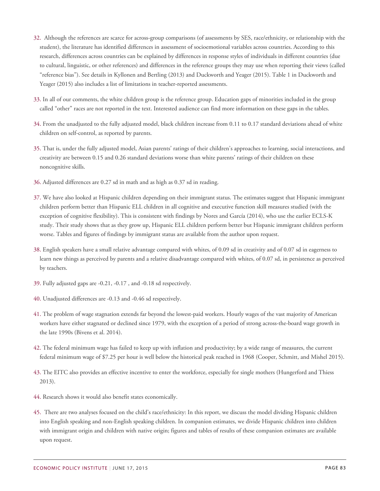- [32.](#page-18-0) Although the references are scarce for across-group comparisons (of assessments by SES, race/ethnicity, or relationship with the student), the literature has identified differences in assessment of socioemotional variables across countries. According to this research, differences across countries can be explained by differences in response styles of individuals in different countries (due to cultural, linguistic, or other references) and differences in the reference groups they may use when reporting their views (called "reference bias"). See details in Kyllonen and Bertling (2013) and Duckworth and Yeager (2015). Table 1 in Duckworth and Yeager (2015) also includes a list of limitations in teacher-reported assessments.
- [33.](#page-18-1) In all of our comments, the white children group is the reference group. Education gaps of minorities included in the group called "other" races are not reported in the text. Interested audience can find more information on these gaps in the tables.
- [34.](#page-20-0) From the unadjusted to the fully adjusted model, black children increase from 0.11 to 0.17 standard deviations ahead of white children on self-control, as reported by parents.
- [35.](#page-20-1) That is, under the fully adjusted model, Asian parents' ratings of their children's approaches to learning, social interactions, and creativity are between 0.15 and 0.26 standard deviations worse than white parents' ratings of their children on these noncognitive skills.
- [36.](#page-20-2) Adjusted differences are 0.27 sd in math and as high as 0.37 sd in reading.
- [37.](#page-21-0) We have also looked at Hispanic children depending on their immigrant status. The estimates suggest that Hispanic immigrant children perform better than Hispanic ELL children in all cognitive and executive function skill measures studied (with the exception of cognitive flexibility). This is consistent with findings by Nores and García (2014), who use the earlier ECLS-K study. Their study shows that as they grow up, Hispanic ELL children perform better but Hispanic immigrant children perform worse. Tables and figures of findings by immigrant status are available from the author upon request.
- [38.](#page-21-1) English speakers have a small relative advantage compared with whites, of 0.09 sd in creativity and of 0.07 sd in eagerness to learn new things as perceived by parents and a relative disadvantage compared with whites, of 0.07 sd, in persistence as perceived by teachers.
- [39.](#page-21-2) Fully adjusted gaps are -0.21, -0.17 , and -0.18 sd respectively.
- [40.](#page-21-3) Unadjusted differences are -0.13 and -0.46 sd respectively.
- [41.](#page-27-0) The problem of wage stagnation extends far beyond the lowest-paid workers. Hourly wages of the vast majority of American workers have either stagnated or declined since 1979, with the exception of a period of strong across-the-board wage growth in the late 1990s (Bivens et al. 2014).
- [42.](#page-27-1) The federal minimum wage has failed to keep up with inflation and productivity; by a wide range of measures, the current federal minimum wage of \$7.25 per hour is well below the historical peak reached in 1968 (Cooper, Schmitt, and Mishel 2015).
- [43.](#page-27-2) The EITC also provides an effective incentive to enter the workforce, especially for single mothers (Hungerford and Thiess 2013).
- [44.](#page-28-0) Research shows it would also benefit states economically.
- [45.](#page-30-0) There are two analyses focused on the child's race/ethnicity: In this report, we discuss the model dividing Hispanic children into English speaking and non-English speaking children. In companion estimates, we divide Hispanic children into children with immigrant origin and children with native origin; figures and tables of results of these companion estimates are available upon request.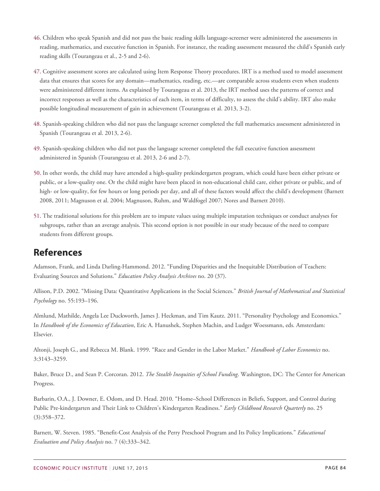- [46.](#page-31-0) Children who speak Spanish and did not pass the basic reading skills language-screener were administered the assessments in reading, mathematics, and executive function in Spanish. For instance, the reading assessment measured the child's Spanish early reading skills (Tourangeau et al., 2-5 and 2-6).
- [47.](#page-31-0) Cognitive assessment scores are calculated using Item Response Theory procedures. IRT is a method used to model assessment data that ensures that scores for any domain—mathematics, reading, etc.—are comparable across students even when students were administered different items. As explained by Tourangeau et al. 2013, the IRT method uses the patterns of correct and incorrect responses as well as the characteristics of each item, in terms of difficulty, to assess the child's ability. IRT also make possible longitudinal measurement of gain in achievement (Tourangeau et al. 2013, 3-2).
- [48.](#page-31-1) Spanish-speaking children who did not pass the language screener completed the full mathematics assessment administered in Spanish (Tourangeau et al. 2013, 2-6).
- [49.](#page-31-2) Spanish-speaking children who did not pass the language screener completed the full executive function assessment administered in Spanish (Tourangeau et al. 2013, 2-6 and 2-7).
- [50.](#page-34-0) In other words, the child may have attended a high-quality prekindergarten program, which could have been either private or public, or a low-quality one. Or the child might have been placed in non-educational child care, either private or public, and of high- or low-quality, for few hours or long periods per day, and all of these factors would affect the child's development (Barnett 2008, 2011; Magnuson et al. 2004; Magnuson, Ruhm, and Waldfogel 2007; Nores and Barnett 2010).
- [51.](#page-34-1) The traditional solutions for this problem are to impute values using multiple imputation techniques or conduct analyses for subgroups, rather than an average analysis. This second option is not possible in our study because of the need to compare students from different groups.

## **References**

Adamson, Frank, and Linda Darling-Hammond. 2012. "Funding Disparities and the Inequitable Distribution of Teachers: Evaluating Sources and Solutions." *Education Policy Analysis Archives* no. 20 (37).

Allison, P.D. 2002. "Missing Data: Quantitative Applications in the Social Sciences." *British Journal of Mathematical and Statistical Psychology* no. 55:193–196.

Almlund, Mathilde, Angela Lee Duckworth, James J. Heckman, and Tim Kautz. 2011. "Personality Psychology and Economics." In *Handbook of the Economics of Education*, Eric A. Hanushek, Stephen Machin, and Ludger Woessmann, eds*.* Amsterdam: Elsevier.

Altonji, Joseph G., and Rebecca M. Blank. 1999. "Race and Gender in the Labor Market." *Handbook of Labor Economics* no. 3:3143–3259.

Baker, Bruce D., and Sean P. Corcoran. 2012. *The Stealth Inequities of School Funding*. Washington, DC: The Center for American Progress.

Barbarin, O.A., J. Downer, E. Odom, and D. Head. 2010. "Home–School Differences in Beliefs, Support, and Control during Public Pre-kindergarten and Their Link to Children's Kindergarten Readiness." *Early Childhood Research Quarterly* no. 25 (3):358–372.

Barnett, W. Steven. 1985. "Benefit-Cost Analysis of the Perry Preschool Program and Its Policy Implications." *Educational Evaluation and Policy Analysis* no. 7 (4):333–342.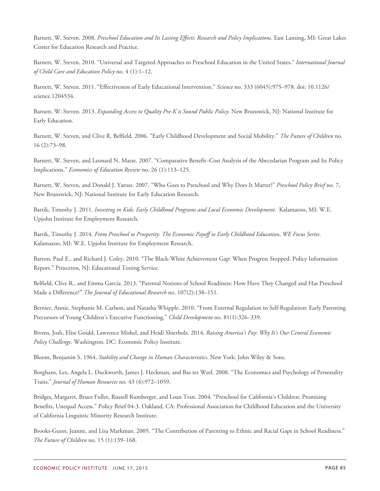Barnett, W. Steven. 2008. *Preschool Education and Its Lasting Effects: Research and Policy Implications*. East Lansing, MI: Great Lakes Center for Education Research and Practice.

Barnett, W. Steven. 2010. "Universal and Targeted Approaches to Preschool Education in the United States." *International Journal of Child Care and Education Policy* no. 4 (1):1–12.

Barnett, W. Steven. 2011. "Effectiveness of Early Educational Intervention." *Science* no. 333 (6045):975–978. doi: 10.1126/ science.1204534.

Barnett, W. Steven. 2013. *Expanding Access to Quality Pre-K is Sound Public Policy*. New Brunswick, NJ: National Institute for Early Education.

Barnett, W. Steven, and Clive R. Belfield. 2006. "Early Childhood Development and Social Mobility." *The Future of Children* no. 16 (2):73–98.

Barnett, W. Steven, and Leonard N. Masse. 2007. "Comparative Benefit–Cost Analysis of the Abecedarian Program and Its Policy Implications." *Economics of Education Review* no. 26 (1):113–125.

Barnett, W. Steven, and Donald J. Yarosz. 2007. "Who Goes to Preschool and Why Does It Matter?" *Preschool Policy Brief* no. 7, New Brunswick, NJ: National Institute for Early Education Research.

Bartik, Timothy J. 2011. *Investing in Kids: Early Childhood Programs and Local Economic Development*. Kalamazoo, MI: W.E. Upjohn Institute for Employment Research.

Bartik, Timothy J. 2014. *From Preschool to Prosperity: The Economic Payoff to Early Childhood Education*, *WE Focus Series*. Kalamazoo, MI: W.E. Upjohn Institute for Employment Research.

Barton, Paul E., and Richard J. Coley. 2010. "The Black-White Achievement Gap: When Progress Stopped. Policy Information Report." Princeton, NJ: Educational Testing Service.

Belfield, Clive R., and Emma García. 2013. "Parental Notions of School Readiness: How Have They Changed and Has Preschool Made a Difference?" *The Journal of Educational Research* no. 107(2):138–151.

Bernier, Annie, Stephanie M. Carlson, and Natasha Whipple. 2010. "From External Regulation to Self‐Regulation: Early Parenting Precursors of Young Children's Executive Functioning." *Child Development* no. 81(1):326–339.

Bivens, Josh, Elise Gould, Lawrence Mishel, and Heidi Shierholz. 2014. *Raising America's Pay: Why It's Our Central Economic Policy Challenge*. Washington, DC: Economic Policy Institute.

Bloom, Benjamin S. 1964. *Stability and Change in Human Characteristics*. New York: John Wiley & Sons.

Borghans, Lex, Angela L. Duckworth, James J. Heckman, and Bas ter Weel. 2008. "The Economics and Psychology of Personality Traits." *Journal of Human Resources* no. 43 (4):972–1059.

Bridges, Margaret, Bruce Fuller, Russell Rumberger, and Loan Tran. 2004. "Preschool for California's Children: Promising Benefits, Unequal Access." Policy Brief 04-3. Oakland, CA: Professional Association for Childhood Education and the University of California Linguistic Minority Research Institute.

Brooks-Gunn, Jeanne, and Lisa Markman. 2005. "The Contribution of Parenting to Ethnic and Racial Gaps in School Readiness." *The Future of Children* no. 15 (1):139–168.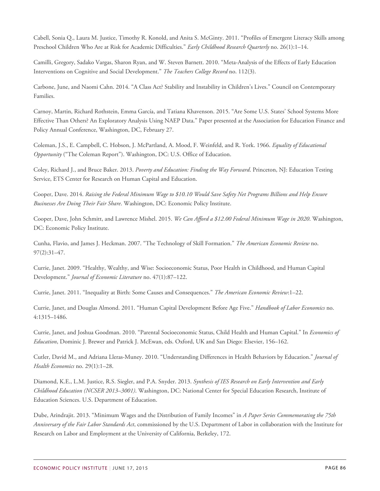Cabell, Sonia Q., Laura M. Justice, Timothy R. Konold, and Anita S. McGinty. 2011. "Profiles of Emergent Literacy Skills among Preschool Children Who Are at Risk for Academic Difficulties." *Early Childhood Research Quarterly* no. 26(1):1–14.

Camilli, Gregory, Sadako Vargas, Sharon Ryan, and W. Steven Barnett. 2010. "Meta-Analysis of the Effects of Early Education Interventions on Cognitive and Social Development." *The Teachers College Record* no. 112(3).

Carbone, June, and Naomi Cahn. 2014. "A Class Act? Stability and Instability in Children's Lives." Council on Contemporary Families.

Carnoy, Martin, Richard Rothstein, Emma García, and Tatiana Khavenson. 2015. "Are Some U.S. States' School Systems More Effective Than Others? An Exploratory Analysis Using NAEP Data." Paper presented at the Association for Education Finance and Policy Annual Conference, Washington, DC, February 27.

Coleman, J.S., E. Campbell, C. Hobson, J. McPartland, A. Mood, F. Weinfeld, and R. York. 1966. *Equality of Educational Opportunity* ("The Coleman Report"). Washington, DC: U.S. Office of Education.

Coley, Richard J., and Bruce Baker. 2013. *Poverty and Education: Finding the Way Forward*. Princeton, NJ: Education Testing Service, ETS Center for Research on Human Capital and Education.

Cooper, Dave. 2014. *Raising the Federal Minimum Wage to \$10.10 Would Save Safety Net Programs Billions and Help Ensure Businesses Are Doing Their Fair Share*. Washington, DC: Economic Policy Institute.

Cooper, Dave, John Schmitt, and Lawrence Mishel. 2015. *We Can Afford a \$12.00 Federal Minimum Wage in 2020*. Washington, DC: Economic Policy Institute.

Cunha, Flavio, and James J. Heckman. 2007. "The Technology of Skill Formation." *The American Economic Review* no. 97(2):31–47.

Currie, Janet. 2009. "Healthy, Wealthy, and Wise: Socioeconomic Status, Poor Health in Childhood, and Human Capital Development." *Journal of Economic Literature* no. 47(1):87–122.

Currie, Janet. 2011. "Inequality at Birth: Some Causes and Consequences." *The American Economic Review*:1–22.

Currie, Janet, and Douglas Almond. 2011. "Human Capital Development Before Age Five." *Handbook of Labor Economics* no. 4:1315–1486.

Currie, Janet, and Joshua Goodman. 2010. "Parental Socioeconomic Status, Child Health and Human Capital." In *Economics of Education*, Dominic J. Brewer and Patrick J. McEwan, eds. Oxford, UK and San Diego: Elsevier, 156–162.

Cutler, David M., and Adriana Lleras-Muney. 2010. "Understanding Differences in Health Behaviors by Education." *Journal of Health Economics* no. 29(1):1–28.

Diamond, K.E., L.M. Justice, R.S. Siegler, and P.A. Snyder. 2013. *Synthesis of IES Research on Early Intervention and Early Childhood Education (NCSER 2013–3001)*. Washington, DC: National Center for Special Education Research, Institute of Education Sciences. U.S. Department of Education.

Dube, Arindrajit. 2013. "Minimum Wages and the Distribution of Family Incomes" in *A Paper Series Commemorating the 75th Anniversary of the Fair Labor Standards Act*, commissioned by the U.S. Department of Labor in collaboration with the Institute for Research on Labor and Employment at the University of California, Berkeley, 172.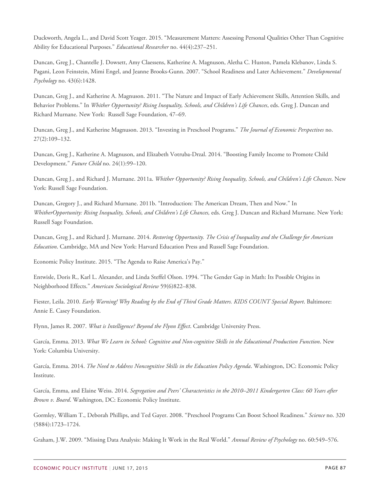Duckworth, Angela L., and David Scott Yeager. 2015. "Measurement Matters: Assessing Personal Qualities Other Than Cognitive Ability for Educational Purposes." *Educational Researcher* no. 44(4):237–251.

Duncan, Greg J., Chantelle J. Dowsett, Amy Claessens, Katherine A. Magnuson, Aletha C. Huston, Pamela Klebanov, Linda S. Pagani, Leon Feinstein, Mimi Engel, and Jeanne Brooks-Gunn. 2007. "School Readiness and Later Achievement." *Developmental Psychology* no. 43(6):1428.

Duncan, Greg J., and Katherine A. Magnuson. 2011. "The Nature and Impact of Early Achievement Skills, Attention Skills, and Behavior Problems." In *Whither Opportunity? Rising Inequality, Schools, and Children's Life Chances*, eds. Greg J. Duncan and Richard Murnane. New York: Russell Sage Foundation, 47–69.

Duncan, Greg J., and Katherine Magnuson. 2013. "Investing in Preschool Programs." *The Journal of Economic Perspectives* no. 27(2):109–132.

Duncan, Greg J., Katherine A. Magnuson, and Elizabeth Votruba-Drzal. 2014. "Boosting Family Income to Promote Child Development." *Future Child* no. 24(1):99–120.

Duncan, Greg J., and Richard J. Murnane. 2011a. *Whither Opportunity? Rising Inequality, Schools, and Children's Life Chances*. New York: Russell Sage Foundation.

Duncan, Gregory J., and Richard Murnane. 2011b. "Introduction: The American Dream, Then and Now." In *WhitherOpportunity: Rising Inequality, Schools, and Children's Life Chances,* eds. Greg J. Duncan and Richard Murnane. New York: Russell Sage Foundation.

Duncan, Greg J., and Richard J. Murnane. 2014. *Restoring Opportunity. The Crisis of Inequality and the Challenge for American Education*. Cambridge, MA and New York: Harvard Education Press and Russell Sage Foundation.

Economic Policy Institute. 2015. "The Agenda to Raise America's Pay."

Entwisle, Doris R., Karl L. Alexander, and Linda Steffel Olson. 1994. "The Gender Gap in Math: Its Possible Origins in Neighborhood Effects." *American Sociological Review* 59(6)822–838.

Fiester, Leila. 2010. *Early Warning! Why Reading by the End of Third Grade Matters. KIDS COUNT Special Report*. Baltimore: Annie E. Casey Foundation.

Flynn, James R. 2007. *What is Intelligence? Beyond the Flynn Effect*. Cambridge University Press.

García, Emma. 2013. *What We Learn in School: Cognitive and Non-cognitive Skills in the Educational Production Function*. New York: Columbia University.

García, Emma. 2014. *The Need to Address Noncognitive Skills in the Education Policy Agenda*. Washington, DC: Economic Policy Institute.

García, Emma, and Elaine Weiss. 2014. *Segregation and Peers' Characteristics in the 2010–2011 Kindergarten Class: 60 Years after Brown v. Board*. Washington, DC: Economic Policy Institute.

Gormley, William T., Deborah Phillips, and Ted Gayer. 2008. "Preschool Programs Can Boost School Readiness." *Science* no. 320 (5884):1723–1724.

Graham, J.W. 2009. "Missing Data Analysis: Making It Work in the Real World." *Annual Review of Psychology* no. 60:549–576.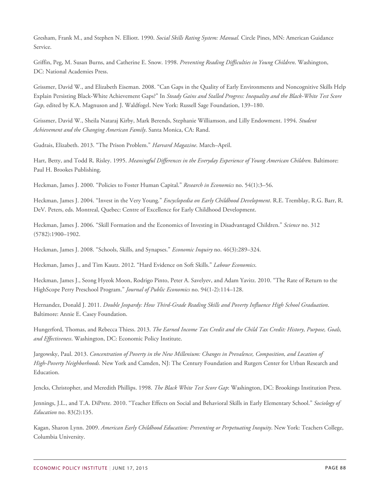Gresham, Frank M., and Stephen N. Elliott. 1990. *Social Skills Rating System: Manual.* Circle Pines, MN: American Guidance Service.

Griffin, Peg, M. Susan Burns, and Catherine E. Snow. 1998. *Preventing Reading Difficulties in Young Children*. Washington, DC: National Academies Press.

Grissmer, David W., and Elizabeth Eiseman. 2008. "Can Gaps in the Quality of Early Environments and Noncognitive Skills Help Explain Persisting Black-White Achievement Gaps?" In *Steady Gains and Stalled Progress: Inequality and the Black-White Test Score Gap,* edited by K.A. Magnuson and J. Waldfogel. New York: Russell Sage Foundation, 139–180.

Grissmer, David W., Sheila Nataraj Kirby, Mark Berends, Stephanie Williamson, and Lilly Endowment. 1994. *Student Achievement and the Changing American Family*. Santa Monica, CA: Rand.

Gudrais, Elizabeth. 2013. "The Prison Problem." *Harvard Magazine*. March–April.

Hart, Betty, and Todd R. Risley. 1995. *Meaningful Differences in the Everyday Experience of Young American Children.* Baltimore: Paul H. Brookes Publishing.

Heckman, James J. 2000. "Policies to Foster Human Capital." *Research in Economics* no. 54(1):3–56.

Heckman, James J. 2004. "Invest in the Very Young." *Encyclopedia on Early Childhood Development*. R.E. Tremblay, R.G. Barr, R. DeV. Peters, eds. Montreal, Quebec: Centre of Excellence for Early Childhood Development.

Heckman, James J. 2006. "Skill Formation and the Economics of Investing in Disadvantaged Children." *Science* no. 312 (5782):1900–1902.

Heckman, James J. 2008. "Schools, Skills, and Synapses." *Economic Inquiry* no. 46(3):289–324.

Heckman, James J., and Tim Kautz. 2012. "Hard Evidence on Soft Skills." *Labour Economics*.

Heckman, James J., Seong Hyeok Moon, Rodrigo Pinto, Peter A. Savelyev, and Adam Yavitz. 2010. "The Rate of Return to the HighScope Perry Preschool Program." *Journal of Public Economics* no. 94(1-2):114–128.

Hernandez, Donald J. 2011. *Double Jeopardy: How Third-Grade Reading Skills and Poverty Influence High School Graduation*. Baltimore: Annie E. Casey Foundation.

Hungerford, Thomas, and Rebecca Thiess. 2013. *The Earned Income Tax Credit and the Child Tax Credit: History, Purpose, Goals, and Effectiveness*. Washington, DC: Economic Policy Institute.

Jargowsky, Paul. 2013. *Concentration of Poverty in the New Millenium: Changes in Prevalence, Composition, and Location of High-Poverty Neighborhoods.* New York and Camden, NJ: The Century Foundation and Rutgers Center for Urban Research and Education.

Jencks, Christopher, and Meredith Phillips. 1998. *The Black White Test Score Gap*: Washington, DC: Brookings Institution Press.

Jennings, J.L., and T.A. DiPrete. 2010. "Teacher Effects on Social and Behavioral Skills in Early Elementary School." *Sociology of Education* no. 83(2):135.

Kagan, Sharon Lynn. 2009. *American Early Childhood Education: Preventing or Perpetuating Inequity*. New York: Teachers College, Columbia University.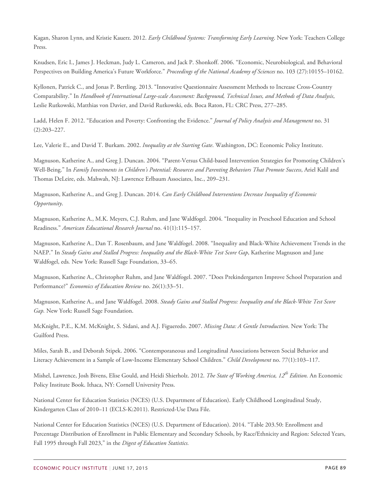Kagan, Sharon Lynn, and Kristie Kauerz. 2012. *Early Childhood Systems: Transforming Early Learning*. New York: Teachers College Press.

Knudsen, Eric I., James J. Heckman, Judy L. Cameron, and Jack P. Shonkoff. 2006. "Economic, Neurobiological, and Behavioral Perspectives on Building America's Future Workforce." *Proceedings of the National Academy of Sciences* no. 103 (27):10155–10162.

Kyllonen, Patrick C., and Jonas P. Bertling. 2013. "Innovative Questionnaire Assessment Methods to Increase Cross-Country Comparability." In *Handbook of International Large-scale Assessment: Background, Technical Issues, and Methods of Data Analysis*, Leslie Rutkowski, Matthias von Davier, and David Rutkowski, eds. Boca Raton, FL: CRC Press, 277–285.

Ladd, Helen F. 2012. "Education and Poverty: Confronting the Evidence." *Journal of Policy Analysis and Management* no. 31 (2):203–227.

Lee, Valerie E., and David T. Burkam. 2002. *Inequality at the Starting Gate*. Washington, DC: Economic Policy Institute.

Magnuson, Katherine A., and Greg J. Duncan. 2004. "Parent-Versus Child-based Intervention Strategies for Promoting Children's Well-Being." In *Family Investments in Children's Potential: Resources and Parenting Behaviors That Promote Success*, Ariel Kalil and Thomas DeLeire, eds. Mahwah, NJ: Lawrence Erlbaum Associates, Inc., 209–231.

Magnuson, Katherine A., and Greg J. Duncan. 2014. *Can Early Childhood Interventions Decrease Inequality of Economic Opportunity*.

Magnuson, Katherine A., M.K. Meyers, C.J. Ruhm, and Jane Waldfogel. 2004. "Inequality in Preschool Education and School Readiness." *American Educational Research Journal* no. 41(1):115–157.

Magnuson, Katherine A., Dan T. Rosenbaum, and Jane Waldfogel. 2008. "Inequality and Black-White Achievement Trends in the NAEP." In *Steady Gains and Stalled Progress: Inequality and the Black-White Test Score Gap*, Katherine Magnuson and Jane Waldfogel, eds*.* New York: Russell Sage Foundation, 33–65.

Magnuson, Katherine A., Christopher Ruhm, and Jane Waldfogel. 2007. "Does Prekindergarten Improve School Preparation and Performance?" *Economics of Education Review* no. 26(1):33–51.

Magnuson, Katherine A., and Jane Waldfogel. 2008. *Steady Gains and Stalled Progress: Inequality and the Black-White Test Score Gap.* New York: Russell Sage Foundation.

McKnight, P.E., K.M. McKnight, S. Sidani, and A.J. Figueredo. 2007. *Missing Data: A Gentle Introduction*. New York: The Guilford Press.

Miles, Sarah B., and Deborah Stipek. 2006. "Contemporaneous and Longitudinal Associations between Social Behavior and Literacy Achievement in a Sample of Low‐Income Elementary School Children." *Child Development* no. 77(1):103–117.

Mishel, Lawrence, Josh Bivens, Elise Gould, and Heidi Shierholz. 2012. *The State of Working America, 12th Edition.* An Economic Policy Institute Book. Ithaca, NY: Cornell University Press.

National Center for Education Statistics (NCES) (U.S. Department of Education). Early Childhood Longitudinal Study, Kindergarten Class of 2010–11 (ECLS-K:2011). Restricted-Use Data File.

National Center for Education Statistics (NCES) (U.S. Department of Education). 2014. "Table 203.50: Enrollment and Percentage Distribution of Enrollment in Public Elementary and Secondary Schools, by Race/Ethnicity and Region: Selected Years, Fall 1995 through Fall 2023," in the *Digest of Education Statistics.*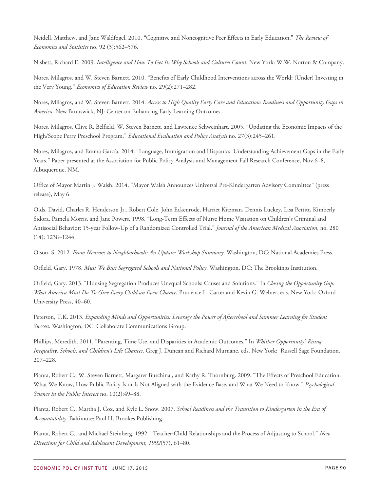Neidell, Matthew, and Jane Waldfogel. 2010. "Cognitive and Noncognitive Peer Effects in Early Education." *The Review of Economics and Statistics* no. 92 (3):562–576.

Nisbett, Richard E. 2009. *Intelligence and How To Get It: Why Schools and Cultures Count*. New York: W.W. Norton & Company.

Nores, Milagros, and W. Steven Barnett. 2010. "Benefits of Early Childhood Interventions across the World: (Under) Investing in the Very Young." *Economics of Education Review* no. 29(2):271–282.

Nores, Milagros, and W. Steven Barnett. 2014. *Access to High Quality Early Care and Education: Readiness and Opportunity Gaps in America*. New Brunswick, NJ: Center on Enhancing Early Learning Outcomes.

Nores, Milagros, Clive R. Belfield, W. Steven Barnett, and Lawrence Schweinhart. 2005. "Updating the Economic Impacts of the High/Scope Perry Preschool Program." *Educational Evaluation and Policy Analysis* no. 27(3):245–261.

Nores, Milagros, and Emma García. 2014. "Language, Immigration and Hispanics. Understanding Achievement Gaps in the Early Years." Paper presented at the Association for Public Policy Analysis and Management Fall Research Conference, Nov.6–8, Albuquerque, NM.

Office of Mayor Martin J. Walsh. 2014. "Mayor Walsh Announces Universal Pre-Kindergarten Advisory Committee" (press release), May 6.

Olds, David, Charles R. Henderson Jr., Robert Cole, John Eckenrode, Harriet Kitzman, Dennis Luckey, Lisa Pettitt, Kimberly Sidora, Pamela Morris, and Jane Powers. 1998. "Long-Term Effects of Nurse Home Visitation on Children's Criminal and Antisocial Behavior: 15-year Follow-Up of a Randomized Controlled Trial." *Journal of the American Medical Association*, no. 280 (14): 1238–1244.

Olson, S. 2012. *From Neurons to Neighborhoods: An Update: Workshop Summary*. Washington, DC: National Academies Press.

Orfield, Gary. 1978. *Must We Bus? Segregated Schools and National Policy*. Washington, DC: The Brookings Institution.

Orfield, Gary. 2013. "Housing Segregation Produces Unequal Schools: Causes and Solutions." In *Closing the Opportunity Gap: What America Must Do To Give Every Child an Even Chance*, Prudence L. Carter and Kevin G. Welner, eds. New York: Oxford University Press, 40–60.

Peterson, T.K. 2013. *Expanding Minds and Opportunities: Leverage the Power of Afterschool and Summer Learning for Student Success.* Washington, DC: Collaborate Communications Group.

Phillips, Meredith. 2011. "Parenting, Time Use, and Disparities in Academic Outcomes." In *Whither Opportunity? Rising Inequality, Schools, and Children's Life Chances,* Greg J. Duncan and Richard Murnane, eds. New York: Russell Sage Foundation, 207–228.

Pianta, Robert C., W. Steven Barnett, Margaret Burchinal, and Kathy R. Thornburg. 2009. "The Effects of Preschool Education: What We Know, How Public Policy Is or Is Not Aligned with the Evidence Base, and What We Need to Know." *Psychological Science in the Public Interest* no. 10(2):49–88.

Pianta, Robert C., Martha J. Cox, and Kyle L. Snow. 2007. *School Readiness and the Transition to Kindergarten in the Era of Accountability*. Baltimore: Paul H. Brookes Publishing.

Pianta, Robert C., and Michael Steinberg. 1992. "Teacher‐Child Relationships and the Process of Adjusting to School." *New Directions for Child and Adolescent Development, 1992*(57), 61–80.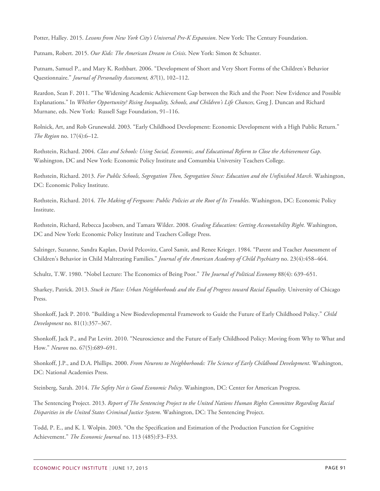Potter, Halley. 2015. *Lessons from New York City's Universal Pre-K Expansion*. New York: The Century Foundation.

Putnam, Robert. 2015. *Our Kids: The American Dream in Crisis*. New York: Simon & Schuster.

Putnam, Samuel P., and Mary K. Rothbart. 2006. "Development of Short and Very Short Forms of the Children's Behavior Questionnaire." *Journal of Personality Assessment, 87*(1), 102–112.

Reardon, Sean F. 2011. "The Widening Academic Achievement Gap between the Rich and the Poor: New Evidence and Possible Explanations." In *Whither Opportunity? Rising Inequality, Schools, and Children's Life Chances,* Greg J. Duncan and Richard Murnane, eds. New York: Russell Sage Foundation, 91–116.

Rolnick, Art, and Rob Grunewald. 2003. "Early Childhood Development: Economic Development with a High Public Return." *The Region* no. 17(4):6–12.

Rothstein, Richard. 2004. *Class and Schools: Using Social, Economic, and Educational Reform to Close the Achievement Gap*. Washington, DC and New York: Economic Policy Institute and Comumbia University Teachers College.

Rothstein, Richard. 2013. *For Public Schools, Segregation Then, Segregation Since: Education and the Unfinished March*. Washington, DC: Economic Policy Institute.

Rothstein, Richard. 2014. *The Making of Ferguson: Public Policies at the Root of Its Troubles*. Washington, DC: Economic Policy Institute.

Rothstein, Richard, Rebecca Jacobsen, and Tamara Wilder. 2008. *Grading Education: Getting Accountability Right.* Washington, DC and New York: Economic Policy Institute and Teachers College Press.

Salzinger, Suzanne, Sandra Kaplan, David Pelcovitz, Carol Samit, and Renee Krieger. 1984. "Parent and Teacher Assessment of Children's Behavior in Child Maltreating Families." *Journal of the American Academy of Child Psychiatry* no. 23(4):458–464.

Schultz, T.W. 1980. "Nobel Lecture: The Economics of Being Poor." *The Journal of Political Economy* 88(4): 639–651.

Sharkey, Patrick. 2013. *Stuck in Place: Urban Neighborhoods and the End of Progress toward Racial Equality.* University of Chicago Press.

Shonkoff, Jack P. 2010. "Building a New Biodevelopmental Framework to Guide the Future of Early Childhood Policy." *Child Development* no. 81(1):357–367.

Shonkoff, Jack P., and Pat Levitt. 2010. "Neuroscience and the Future of Early Childhood Policy: Moving from Why to What and How." *Neuron* no. 67(5):689–691.

Shonkoff, J.P., and D.A. Phillips. 2000. *From Neurons to Neighborhoods: The Science of Early Childhood Development*. Washington, DC: National Academies Press.

Steinberg, Sarah. 2014. *The Safety Net is Good Economic Policy*. Washington, DC: Center for American Progress.

The Sentencing Project. 2013. *Report of The Sentencing Project to the United Nations Human Rights Committee Regarding Racial Disparities in the United States Criminal Justice System*. Washington, DC: The Sentencing Project.

Todd, P. E., and K. I. Wolpin. 2003. "On the Specification and Estimation of the Production Function for Cognitive Achievement." *The Economic Journal* no. 113 (485):F3–F33.